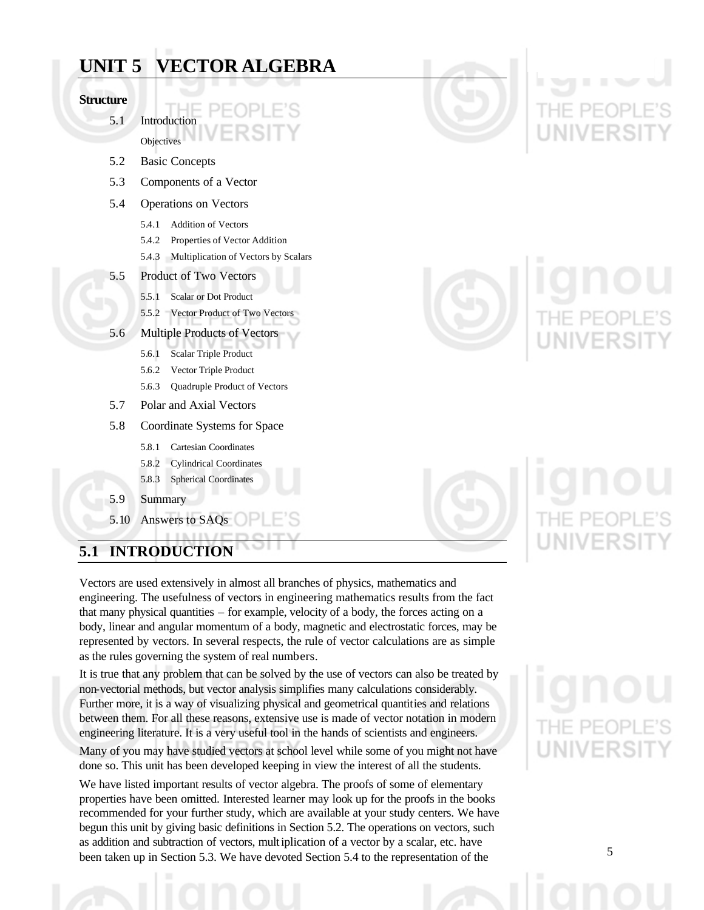|                  | UNIT 5 VECTOR ALGEBRA                         |   |
|------------------|-----------------------------------------------|---|
| <b>Structure</b> |                                               |   |
| 5.1              | Introduction                                  |   |
|                  | Objectives                                    |   |
| 5.2              | <b>Basic Concepts</b>                         |   |
| 5.3              | Components of a Vector                        |   |
| 5.4              | Operations on Vectors                         |   |
|                  | <b>Addition of Vectors</b><br>5.4.1           |   |
|                  | Properties of Vector Addition<br>5.4.2        |   |
|                  | Multiplication of Vectors by Scalars<br>5.4.3 | ◼ |
| 5.5              | Product of Two Vectors                        |   |
|                  | <b>Scalar or Dot Product</b><br>5.5.1         |   |
|                  | 5.5.2 Vector Product of Two Vectors           |   |
| 5.6              | <b>Multiple Products of Vectors</b>           |   |
|                  | <b>Scalar Triple Product</b><br>5.6.1         |   |
|                  | Vector Triple Product<br>5.6.2                |   |
|                  | Quadruple Product of Vectors<br>5.6.3         |   |
| 5.7              | Polar and Axial Vectors                       |   |
| 5.8              | Coordinate Systems for Space                  |   |
|                  | <b>Cartesian Coordinates</b><br>5.8.1         |   |
|                  | 5.8.2<br><b>Cylindrical Coordinates</b>       |   |
|                  | 5.8.3<br><b>Spherical Coordinates</b>         |   |
| 5.9              | Summary                                       |   |
|                  |                                               |   |

# **5.1 INTRODUCTION**

5.10 Answers to SAQs

Vectors are used extensively in almost all branches of physics, mathematics and engineering. The usefulness of vectors in engineering mathematics results from the fact that many physical quantities – for example, velocity of a body, the forces acting on a body, linear and angular momentum of a body, magnetic and electrostatic forces, may be represented by vectors. In several respects, the rule of vector calculations are as simple as the rules governing the system of real numbers.

It is true that any problem that can be solved by the use of vectors can also be treated by non-vectorial methods, but vector analysis simplifies many calculations considerably. Further more, it is a way of visualizing physical and geometrical quantities and relations between them. For all these reasons, extensive use is made of vector notation in modern engineering literature. It is a very useful tool in the hands of scientists and engineers.

Many of you may have studied vectors at school level while some of you might not have done so. This unit has been developed keeping in view the interest of all the students.

We have listed important results of vector algebra. The proofs of some of elementary properties have been omitted. Interested learner may look up for the proofs in the books recommended for your further study, which are available at your study centers. We have begun this unit by giving basic definitions in Section 5.2. The operations on vectors, such as addition and subtraction of vectors, multiplication of a vector by a scalar, etc. have been taken up in Section 5.3. We have devoted Section 5.4 to the representation of the

# **NIVERSI**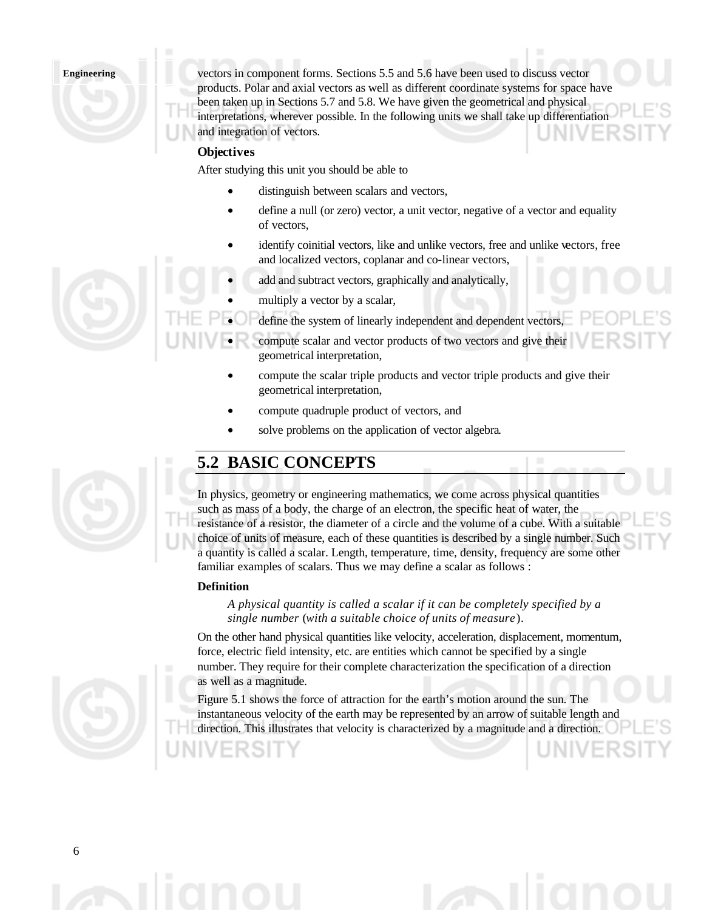vectors in component forms. Sections 5.5 and 5.6 have been used to discuss vector products. Polar and axial vectors as well as different coordinate systems for space have been taken up in Sections 5.7 and 5.8. We have given the geometrical and physical interpretations, wherever possible. In the following units we shall take up differentiation and integration of vectors.

### **Objectives**

After studying this unit you should be able to

- distinguish between scalars and vectors,
- define a null (or zero) vector, a unit vector, negative of a vector and equality of vectors,
- identify coinitial vectors, like and unlike vectors, free and unlike vectors, free and localized vectors, coplanar and co-linear vectors,
	- add and subtract vectors, graphically and analytically,
- multiply a vector by a scalar,
- define the system of linearly independent and dependent vectors,
- compute scalar and vector products of two vectors and give their geometrical interpretation,
- compute the scalar triple products and vector triple products and give their geometrical interpretation,
- compute quadruple product of vectors, and
- solve problems on the application of vector algebra.

# **5.2 BASIC CONCEPTS**

In physics, geometry or engineering mathematics, we come across physical quantities such as mass of a body, the charge of an electron, the specific heat of water, the resistance of a resistor, the diameter of a circle and the volume of a cube. With a suitable choice of units of measure, each of these quantities is described by a single number. Such a quantity is called a scalar. Length, temperature, time, density, frequency are some other familiar examples of scalars. Thus we may define a scalar as follows :

#### **Definition**

*A physical quantity is called a scalar if it can be completely specified by a single number* (*with a suitable choice of units of measure*).

On the other hand physical quantities like velocity, acceleration, displacement, momentum, force, electric field intensity, etc. are entities which cannot be specified by a single number. They require for their complete characterization the specification of a direction as well as a magnitude.

Figure 5.1 shows the force of attraction for the earth's motion around the sun. The instantaneous velocity of the earth may be represented by an arrow of suitable length and direction. This illustrates that velocity is characterized by a magnitude and a direction.



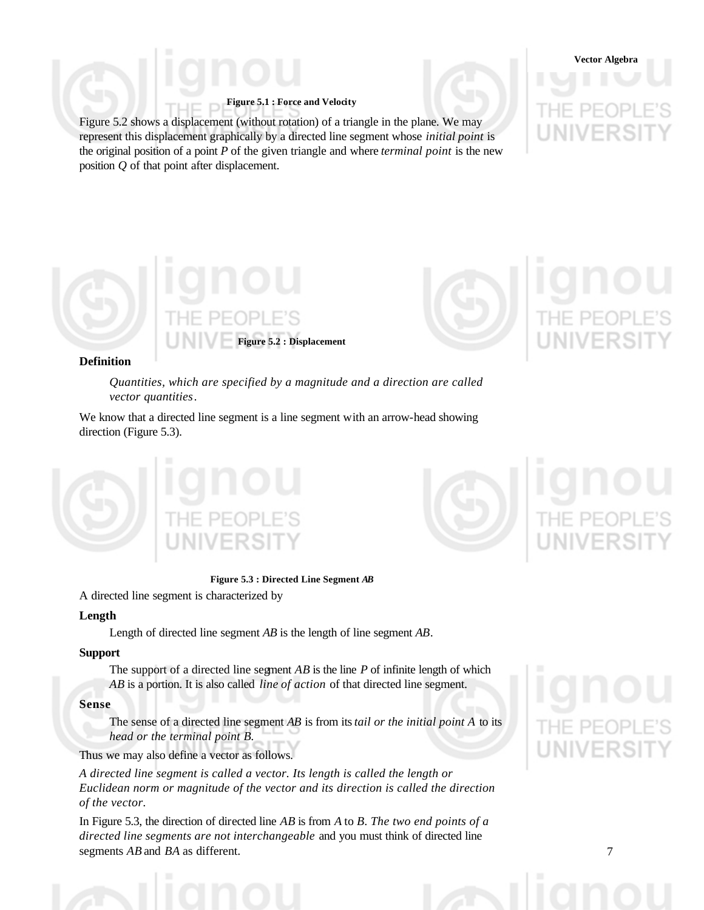#### **Figure 5.1 : Force and Velocity**

Figure 5.2 shows a displacement (without rotation) of a triangle in the plane. We may represent this displacement graphically by a directed line segment whose *initial point* is the original position of a point *P* of the given triangle and where *terminal point* is the new position *Q* of that point after displacement.

**Vector Algebra**



#### **Definition**

*Quantities, which are specified by a magnitude and a direction are called vector quantities*.

We know that a directed line segment is a line segment with an arrow-head showing direction (Figure 5.3).



**Figure 5.3 : Directed Line Segment** *AB*

#### A directed line segment is characterized by

#### **Length**

Length of directed line segment *AB* is the length of line segment *AB*.

#### **Support**

The support of a directed line segment *AB* is the line *P* of infinite length of which *AB* is a portion. It is also called *line of action* of that directed line segment.

#### **Sense**

The sense of a directed line segment *AB* is from its *tail or the initial point A* to its *head or the terminal point B.*

Thus we may also define a vector as follows.

*A directed line segment is called a vector. Its length is called the length or Euclidean norm or magnitude of the vector and its direction is called the direction of the vector.*

In Figure 5.3, the direction of directed line *AB* is from *A* to *B. The two end points of a directed line segments are not interchangeable* and you must think of directed line segments *AB* and *BA* as different.

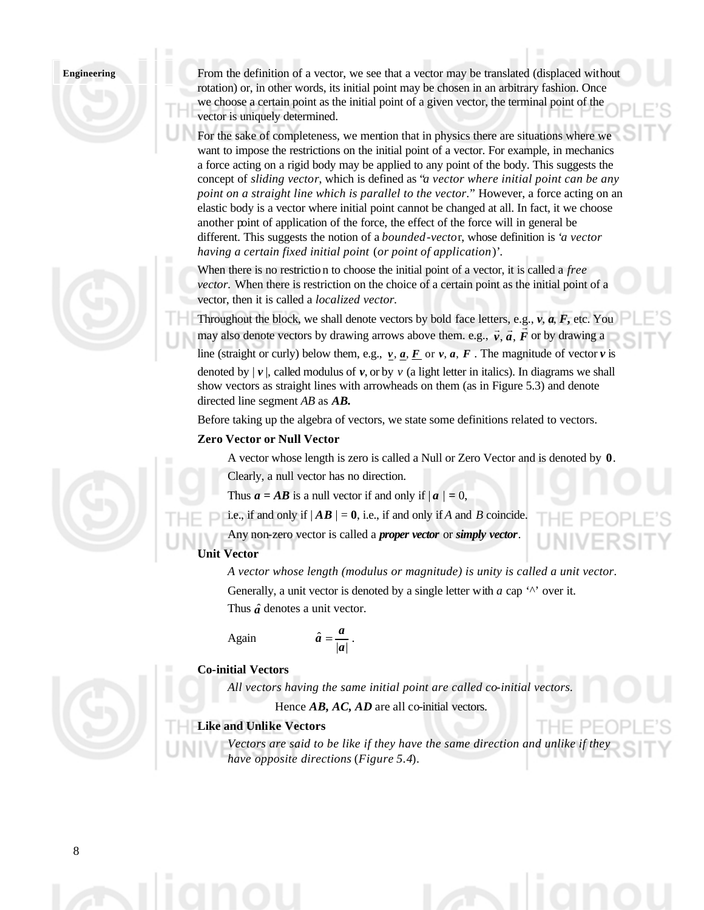From the definition of a vector, we see that a vector may be translated (displaced without rotation) or, in other words, its initial point may be chosen in an arbitrary fashion. Once we choose a certain point as the initial point of a given vector, the terminal point of the vector is uniquely determined.

For the sake of completeness, we mention that in physics there are situations where we want to impose the restrictions on the initial point of a vector. For example, in mechanics a force acting on a rigid body may be applied to any point of the body. This suggests the concept of *sliding vector*, which is defined as "*a vector where initial point can be any point on a straight line which is parallel to the vector.*" However, a force acting on an elastic body is a vector where initial point cannot be changed at all. In fact, it we choose another point of application of the force, the effect of the force will in general be different. This suggests the notion of a *bounded-vecto*r, whose definition is '*a vector having a certain fixed initial point* (*or point of application*)'*.*

When there is no restriction to choose the initial point of a vector, it is called a *free vector.* When there is restriction on the choice of a certain point as the initial point of a vector, then it is called a *localized vector.*

Throughout the block, we shall denote vectors by bold face letters, e.g., *v*, *a*, *F***,** etc. You rmoughout the block, we shall denote vectors by bold race letters, e.g.,  $v$ ,  $a$ ,  $r$ , etc. 10<br>may also denote vectors by drawing arrows above them. e.g.,  $\vec{v}$ ,  $\vec{a}$ ,  $\vec{F}$  or by drawing a line (straight or curly) below them, e.g.,  $v$ ,  $a$ ,  $F$  or  $v$ ,  $a$ ,  $F$ . The magnitude of vector  $v$  is denoted by  $|\mathbf{v}|$ , called modulus of  $\mathbf{v}$ , or by  $\mathbf{v}$  (a light letter in italics). In diagrams we shall show vectors as straight lines with arrowheads on them (as in Figure 5.3) and denote directed line segment *AB* as *AB.*

Before taking up the algebra of vectors, we state some definitions related to vectors.

# **Zero Vector or Null Vector**

A vector whose length is zero is called a Null or Zero Vector and is denoted by **0**.

Clearly, a null vector has no direction.

Thus  $a = AB$  is a null vector if and only if  $|a| = 0$ ,

 $|a|$ 

*a*

i.e., if and only if  $|AB| = 0$ , i.e., if and only if *A* and *B* coincide.

Any non-zero vector is called a *proper vector* or *simply vector*. **Unit Vector**

# *A vector whose length (modulus or magnitude) is unity is called a unit vector.*

Generally, a unit vector is denoted by a single letter with *a* cap '<sup> $\wedge$ </sup> over it.

Thus  $\hat{a}$  denotes a unit vector.

$$
\hat{a}=\frac{a}{|a|}.
$$

# **Co-initial Vectors**

Again

*All vectors having the same initial point are called co-initial vectors.*

Hence **AB, AC, AD** are all co-initial vectors.

# **Like and Unlike Vectors**

Vectors are said to be like if they have the same direction and unlike if the *have opposite directions* (*Figure 5.4*).

 $-$ 

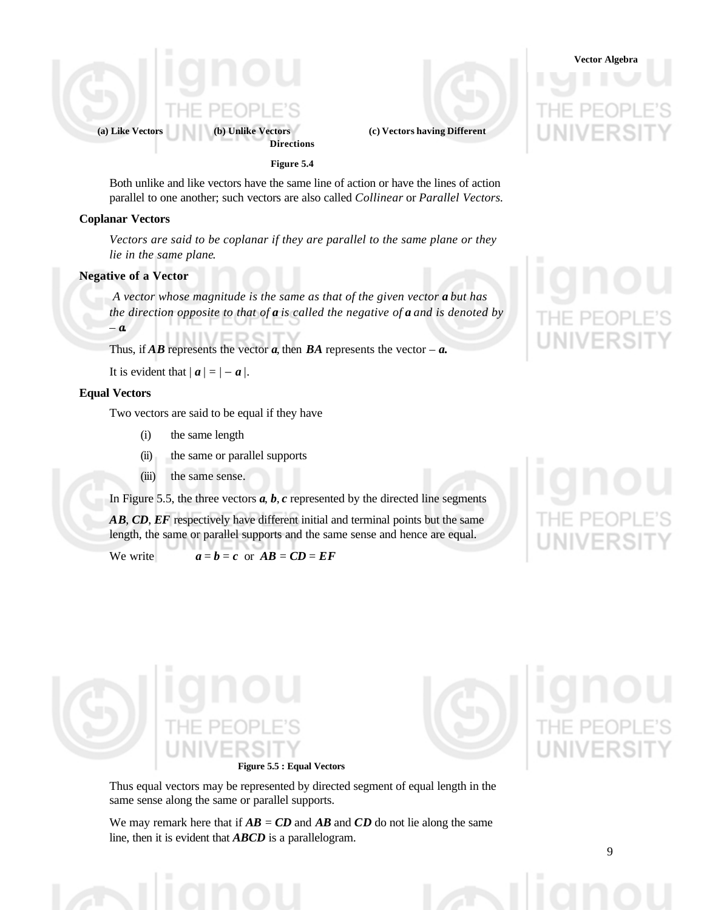

**Directions**

**Figure 5.4**

Both unlike and like vectors have the same line of action or have the lines of action parallel to one another; such vectors are also called *Collinear* or *Parallel Vectors.*

#### **Coplanar Vectors**

*Vectors are said to be coplanar if they are parallel to the same plane or they lie in the same plane.*

### **Negative of a Vector**

*A vector whose magnitude is the same as that of the given vector a but has the direction opposite to that of a is called the negative of a and is denoted by – a.*

Thus, if  $\overline{AB}$  represents the vector  $\overline{a}$ , then  $\overline{BA}$  represents the vector  $-\overline{a}$ .

It is evident that  $|a| = |-a|$ .

#### **Equal Vectors**

Two vectors are said to be equal if they have

- (i) the same length
- (ii) the same or parallel supports
- (iii) the same sense.

In Figure 5.5, the three vectors  $a, b, c$  represented by the directed line segments

*AB*, *CD*, *EF* respectively have different initial and terminal points but the same length, the same or parallel supports and the same sense and hence are equal.

We write  $a = b = c$  or  $AB = CD = EF$ 

**Vector Algebra**





Thus equal vectors may be represented by directed segment of equal length in the same sense along the same or parallel supports.

We may remark here that if  $AB = CD$  and  $AB$  and  $CD$  do not lie along the same line, then it is evident that *ABCD* is a parallelogram.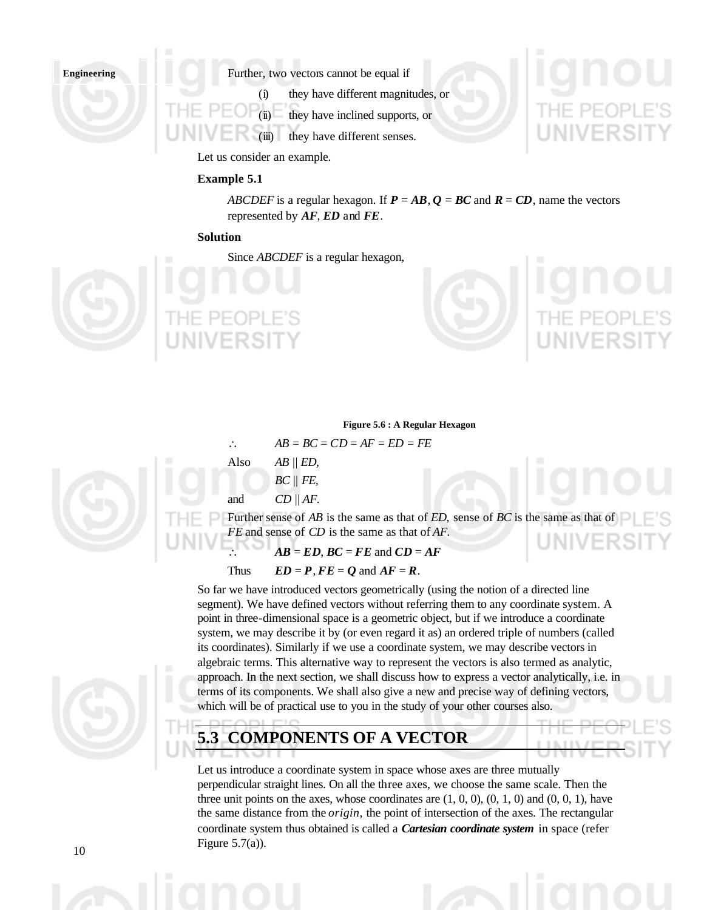Further, two vectors cannot be equal if

(i) they have different magnitudes, or

(ii) they have inclined supports, or

(iii) they have different senses.

Let us consider an example.

#### **Example 5.1**

*ABCDEF* is a regular hexagon. If  $P = AB$ ,  $Q = BC$  and  $R = CD$ , name the vectors represented by *AF*, *ED* and *FE*.

#### **Solution**

Since *ABCDEF* is a regular hexagon,





**LENTIN** UINI

## **Figure 5.6 : A Regular Hexagon**



Further sense of *AB* is the same as that of *ED,* sense of *BC* is the same as that of *FE* and sense of *CD* is the same as that of *AF.*

 $AB = ED, BC = FE$  and  $CD = AF$ 

Thus  $ED = P, FE = O$  and  $AF = R$ .

So far we have introduced vectors geometrically (using the notion of a directed line segment). We have defined vectors without referring them to any coordinate system. A point in three-dimensional space is a geometric object, but if we introduce a coordinate system, we may describe it by (or even regard it as) an ordered triple of numbers (called its coordinates). Similarly if we use a coordinate system, we may describe vectors in algebraic terms. This alternative way to represent the vectors is also termed as analytic, approach. In the next section, we shall discuss how to express a vector analytically, i.e. in terms of its components. We shall also give a new and precise way of defining vectors, which will be of practical use to you in the study of your other courses also.

**5.3 COMPONENTS OF A VECTOR**

Let us introduce a coordinate system in space whose axes are three mutually perpendicular straight lines. On all the three axes, we choose the same scale. Then the three unit points on the axes, whose coordinates are  $(1, 0, 0)$ ,  $(0, 1, 0)$  and  $(0, 0, 1)$ , have the same distance from the *origin,* the point of intersection of the axes. The rectangular coordinate system thus obtained is called a *Cartesian coordinate system* in space (refer Figure  $5.7(a)$ ).

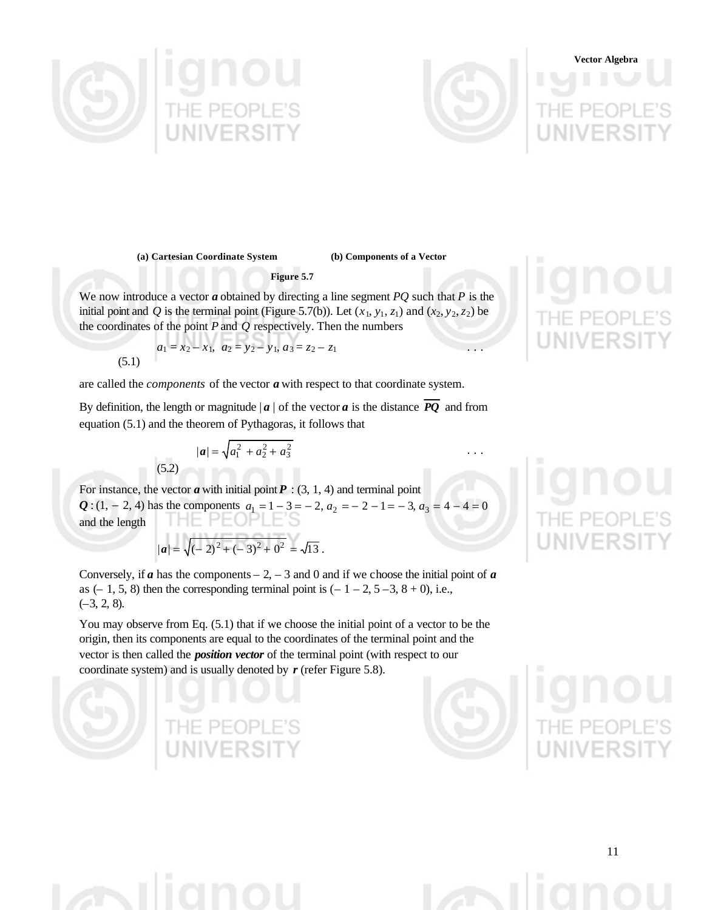



# **Vector Algebra**

**(a) Cartesian Coordinate System (b) Components of a Vector**

**Figure 5.7**

We now introduce a vector *a* obtained by directing a line segment *PQ* such that *P* is the initial point and *Q* is the terminal point (Figure 5.7(b)). Let  $(x_1, y_1, z_1)$  and  $(x_2, y_2, z_2)$  be the coordinates of the point *P* and *Q* respectively. Then the numbers

 $x_1, a_3 = z_2 - z_1$ 

$$
a_1 = x_2 - x_1, \ \ a_2 = y_2 -
$$
\n(5.1)

are called the *components* of the vector *a* with respect to that coordinate system.

By definition, the length or magnitude  $|a|$  of the vector *a* is the distance *PQ* and from equation (5.1) and the theorem of Pythagoras, it follows that

2 3

(5.2) 
$$
|\boldsymbol{a}| = \sqrt{a_1^2 + a_2^2 + a_3^2} \qquad \dots
$$

For instance, the vector  $\boldsymbol{a}$  with initial point  $\boldsymbol{P}$  : (3, 1, 4) and terminal point *Q* : (1, − 2, 4) has the components  $a_1 = 1 - 3 = -2$ ,  $a_2 = -2 - 1 = -3$ ,  $a_3 = 4 - 4 = 0$ <br>and the lenoth and the length

$$
|\boldsymbol{a}| = \sqrt{(-2)^2 + (-3)^2 + 0^2} = \sqrt{13}.
$$

Conversely, if  $\boldsymbol{a}$  has the components – 2, – 3 and 0 and if we choose the initial point of  $\boldsymbol{a}$ as  $(-1, 5, 8)$  then the corresponding terminal point is  $(-1 - 2, 5 - 3, 8 + 0)$ , i.e.,  $(-3, 2, 8)$ .

You may observe from Eq. (5.1) that if we choose the initial point of a vector to be the origin, then its components are equal to the coordinates of the terminal point and the vector is then called the *position vector* of the terminal point (with respect to our coordinate system) and is usually denoted by *r* (refer Figure 5.8).



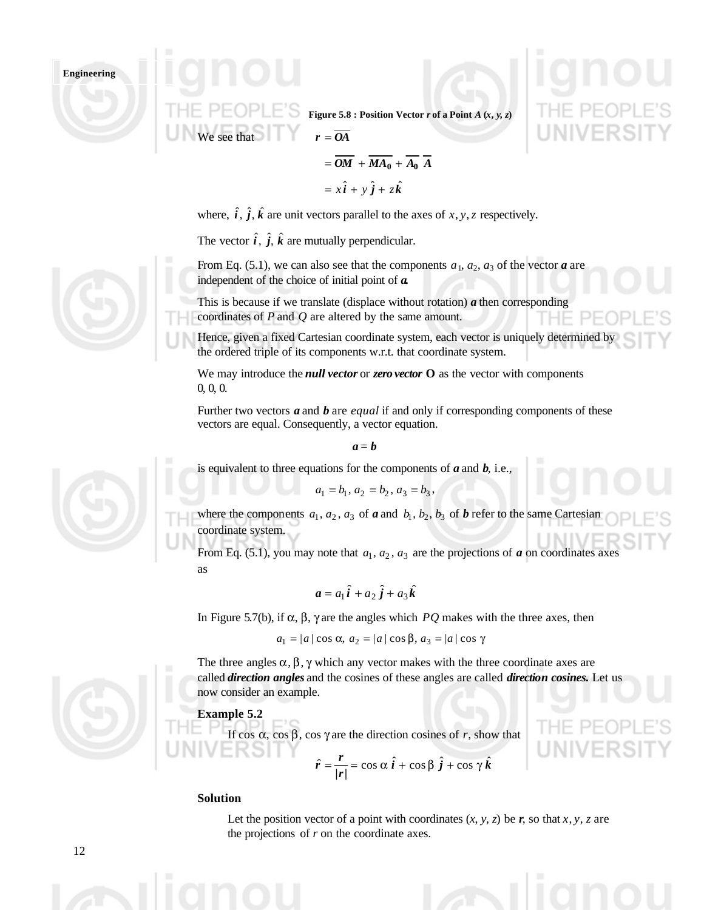

**Figure 5.8 : Position Vector** *r* **of a Point**  $A(x, y, z)$ 

$$
= \overline{OM} + \overline{MA_0} + \overline{A_0} \overline{A}
$$

$$
= x\hat{i} + y\hat{j} + z\hat{k}
$$

where,  $\hat{i}$ ,  $\hat{j}$ ,  $\hat{k}$  are unit vectors parallel to the axes of *x*, *y*, *z* respectively.

The vector  $\hat{i}$ ,  $\hat{j}$ ,  $\hat{k}$  are mutually perpendicular.

We see that  $r = \overline{OA}$ 

From Eq. (5.1), we can also see that the components  $a_1, a_2, a_3$  of the vector  $\boldsymbol{a}$  are independent of the choice of initial point of *a.*

This is because if we translate (displace without rotation) *a* then corresponding coordinates of *P* and *Q* are altered by the same amount.

Hence, given a fixed Cartesian coordinate system, each vector is uniquely determined by the ordered triple of its components w.r.t. that coordinate system.

We may introduce the *null vector* or *zero vector* **O** as the vector with components 0, 0, 0.

Further two vectors *a* and *b* are *equal* if and only if corresponding components of these vectors are equal. Consequently, a vector equation.

*a* = *b*

is equivalent to three equations for the components of *a* and *b*, i.e.,

$$
a_1 = b_1, a_2 = b_2, a_3 = b_3,
$$

where the components  $a_1, a_2, a_3$  of **a** and  $b_1, b_2, b_3$  of **b** refer to the same Cartesian coordinate system.

From Eq. (5.1), you may note that  $a_1, a_2, a_3$  are the projections of *a* on coordinates axes as

$$
\mathbf{a} = a_1 \hat{\mathbf{i}} + a_2 \hat{\mathbf{j}} + a_3 \hat{\mathbf{k}}
$$

In Figure 5.7(b), if α, β, γ are the angles which *PQ* makes with the three axes, then

$$
a_1 = |a| \cos \alpha, a_2 = |a| \cos \beta, a_3 = |a| \cos \gamma
$$

The three angles  $\alpha$ ,  $\beta$ ,  $\gamma$  which any vector makes with the three coordinate axes are called *direction angles* and the cosines of these angles are called *direction cosines.* Let us now consider an example.

## **Example 5.2**

If cos α, cos β, cos γ are the direction cosines of *r*, show that

$$
\hat{r} = \frac{r}{|r|} = \cos \alpha \,\hat{i} + \cos \beta \,\hat{j} + \cos \gamma \,\hat{k}
$$

#### **Solution**

Let the position vector of a point with coordinates  $(x, y, z)$  be  $r$ , so that  $x, y, z$  are the projections of *r* on the coordinate axes.





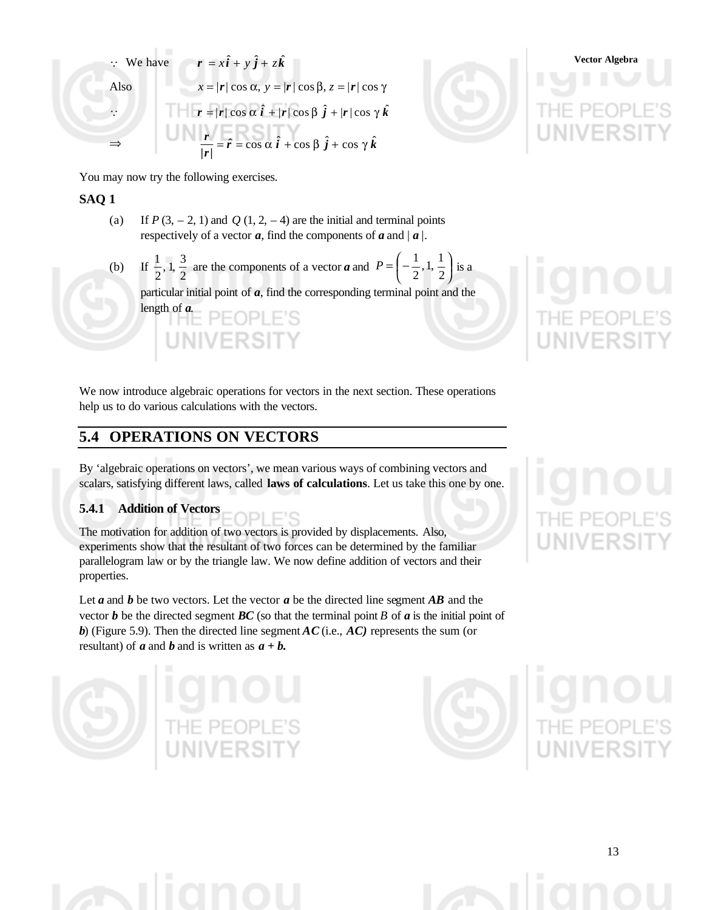$$
\therefore \text{ We have } \mathbf{r} = x\hat{\mathbf{i}} + y\hat{\mathbf{j}} + z\hat{\mathbf{k}}
$$
  
Also  

$$
x = |\mathbf{r}| \cos \alpha, y = |\mathbf{r}| \cos \beta, z = |\mathbf{r}| \cos \gamma
$$
  

$$
\therefore \qquad \qquad \text{THE PEDPL}
$$
  

$$
\Rightarrow \qquad \qquad \frac{\mathbf{r}}{|\mathbf{r}|} = \hat{\mathbf{r}} = \cos \alpha \hat{\mathbf{i}} + \cos \beta \hat{\mathbf{j}} + \cos \gamma \hat{\mathbf{k}}
$$
  

$$
\Rightarrow \qquad \frac{\mathbf{r}}{|\mathbf{r}|} = \hat{\mathbf{r}} = \cos \alpha \hat{\mathbf{i}} + \cos \beta \hat{\mathbf{j}} + \cos \gamma \hat{\mathbf{k}}
$$



You may now try the following exercises.

## **SAQ 1**

- (a) If  $P(3, -2, 1)$  and  $Q(1, 2, -4)$  are the initial and terminal points respectively of a vector  $\boldsymbol{a}$ , find the components of  $\boldsymbol{a}$  and  $|\boldsymbol{a}|$ .
- $(b)$ 2  $, 1, \frac{3}{5}$ 2  $\frac{1}{2}$ , 1,  $\frac{3}{2}$  are the components of a vector *a* and  $P = \left(-\frac{1}{2}, 1, \frac{1}{2}\right)$  $\overline{1}$  $\left(-\frac{1}{2},1,\frac{1}{2}\right)$ l  $=\left(-\frac{1}{2}, 1, \frac{1}{2}\right)$  $, 1, \frac{1}{2}$ 2  $P = \left(-\frac{1}{2}, 1, \frac{1}{2}\right)$  is a particular initial point of *a*, find the corresponding terminal point and the length of *a*.

We now introduce algebraic operations for vectors in the next section. These operations help us to do various calculations with the vectors.

# **5.4 OPERATIONS ON VECTORS**

By 'algebraic operations on vectors', we mean various ways of combining vectors and scalars, satisfying different laws, called **laws of calculations**. Let us take this one by one.

# **5.4.1 Addition of Vectors**

The motivation for addition of two vectors is provided by displacements. Also, experiments show that the resultant of two forces can be determined by the familiar parallelogram law or by the triangle law. We now define addition of vectors and their properties.

ΓC

Let *a* and *b* be two vectors. Let the vector *a* be the directed line segment *AB* and the vector  $\boldsymbol{b}$  be the directed segment  $\boldsymbol{BC}$  (so that the terminal point  $\boldsymbol{B}$  of  $\boldsymbol{a}$  is the initial point of *b*) (Figure 5.9). Then the directed line segment *AC* (i.e., *AC)* represents the sum (or resultant) of  $\boldsymbol{a}$  and  $\boldsymbol{b}$  and is written as  $\boldsymbol{a} + \boldsymbol{b}$ .







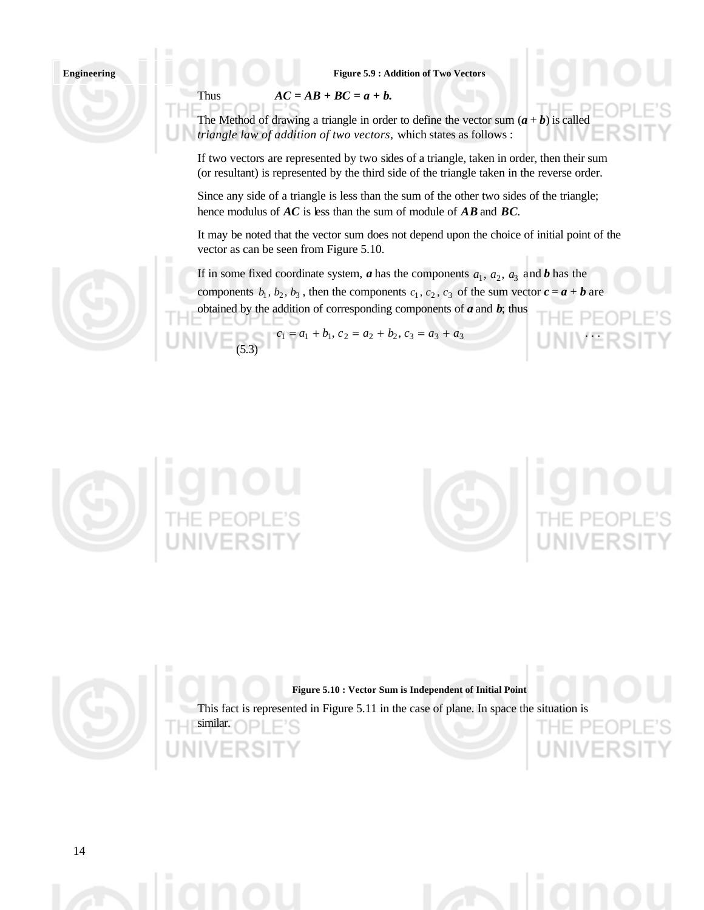#### **Figure 5.9 : Addition of Two Vectors**

Thus  $AC = AB + BC = a + b$ .

The Method of drawing a triangle in order to define the vector sum  $(a + b)$  is called *triangle law of addition of two vectors,* which states as follows :

If two vectors are represented by two sides of a triangle, taken in order, then their sum (or resultant) is represented by the third side of the triangle taken in the reverse order.

Since any side of a triangle is less than the sum of the other two sides of the triangle; hence modulus of *AC* is less than the sum of module of *AB* and *BC*.

It may be noted that the vector sum does not depend upon the choice of initial point of the vector as can be seen from Figure 5.10.

If in some fixed coordinate system, *a* has the components  $a_1$ ,  $a_2$ ,  $a_3$  and *b* has the components  $b_1$ ,  $b_2$ ,  $b_3$ , then the components  $c_1$ ,  $c_2$ ,  $c_3$  of the sum vector  $c = a + b$  are obtained by the addition of corresponding components of *a* and *b*; thus

 $c_1 = a_1 + b_1, c_2 = a_2 + b_2, c_3 = a_3 + a_3$ (5.3)





**Figure 5.10 : Vector Sum is Independent of Initial Point** This fact is represented in Figure 5.11 in the case of plane. In space the situation is similar.HF.



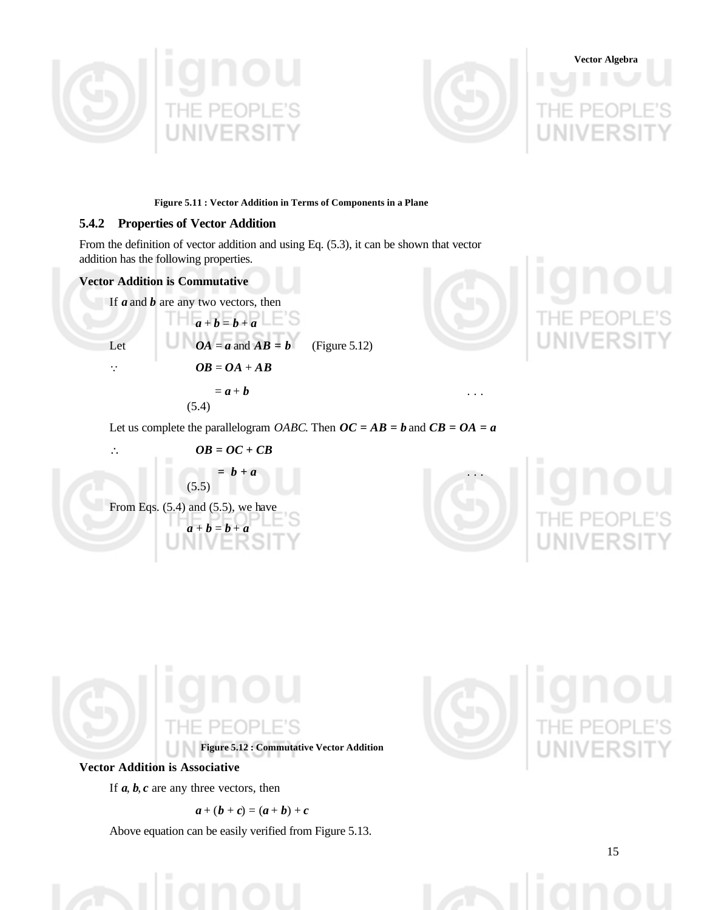



**Figure 5.11 : Vector Addition in Terms of Components in a Plane**

#### **5.4.2 Properties of Vector Addition**

From the definition of vector addition and using Eq. (5.3), it can be shown that vector addition has the following properties.

### **Vector Addition is Commutative**

If *a* and *b* are any two vectors, then

Let  $OA = a$  and  $AB = b$  (Figure 5.12)



(5.4)

 $a + b = b + a$ 





$$
OB = OC + CB
$$
  
=  $b + a$   
(5.5)  
From Eqs. (5.4) and (5.5), we have  
 $a + b = b + a$ 





**Figure 5.12 : Commutative Vector Addition**

#### **Vector Addition is Associative**

If  $a, b, c$  are any three vectors, then

$$
a+(b+c)=(a+b)+c
$$

Above equation can be easily verified from Figure 5.13.



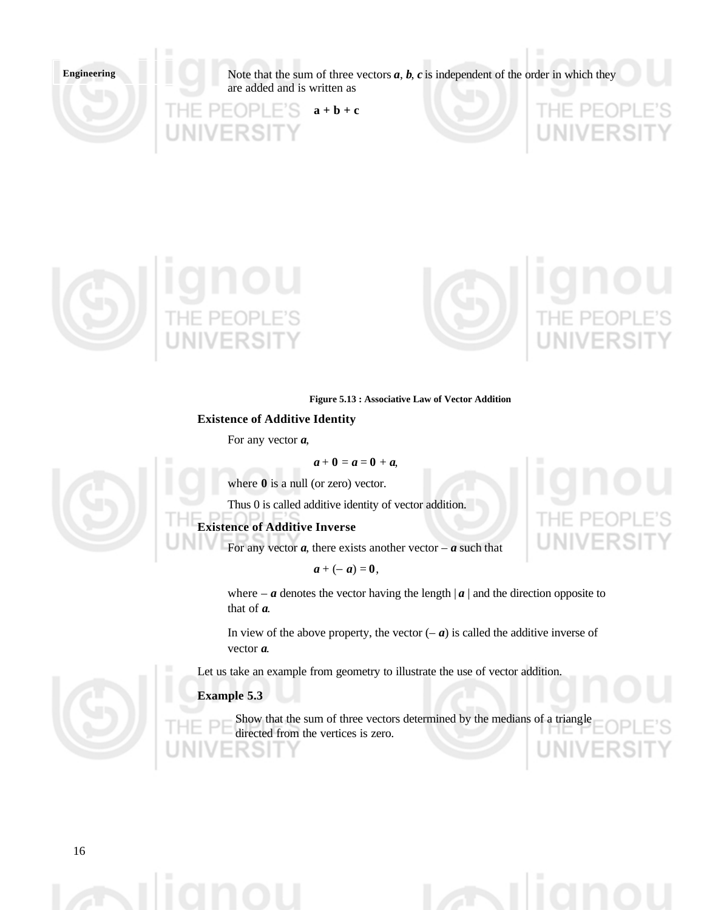Note that the sum of three vectors  $a$ ,  $b$ ,  $c$  is independent of the order in which they are added and is written as

**a + b + c**





#### **Figure 5.13 : Associative Law of Vector Addition**

**Existence of Additive Identity**

For any vector *a*,

$$
a+0=a=0+a,
$$

where  $\theta$  is a null (or zero) vector.

Thus 0 is called additive identity of vector addition.

## **Existence of Additive Inverse**

For any vector  $a$ , there exists another vector –  $a$  such that

 $a + (-a) = 0$ ,

where –  $\boldsymbol{a}$  denotes the vector having the length  $|\boldsymbol{a}|$  and the direction opposite to that of *a*.

In view of the above property, the vector  $(-a)$  is called the additive inverse of vector *a*.

Let us take an example from geometry to illustrate the use of vector addition.

#### **Example 5.3**

Show that the sum of three vectors determined by the medians of a triangle directed from the vertices is zero.est



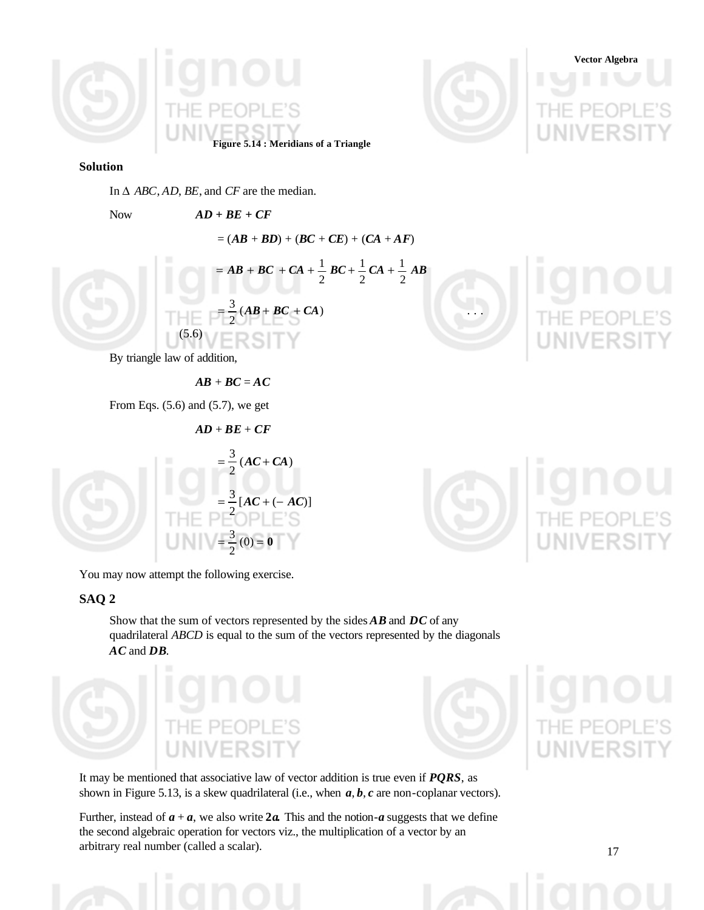



#### **Solution**

In ∆ *ABC*, *AD*, *BE*, and *CF* are the median.

Now *AD + BE + CF*

 $= (AB + BD) + (BC + CE) + (CA + AF)$  $= AB + BC + CA + \frac{1}{2} BC + \frac{1}{2} CA + \frac{1}{2} AB$ 2 1 2 1 2  $= AB + BC + CA + \frac{1}{2} BC + \frac{1}{2} CA +$  $= \frac{3}{2}(AB + BC + CA)$ 2  $=\frac{3}{2}(AB+BC+CA)$  ... (5.6)

By triangle law of addition,

 $AB + BC = AC$ 

*AD* + *BE* + *CF*

From Eqs.  $(5.6)$  and  $(5.7)$ , we get

$$
= \frac{3}{2}(AC + CA)
$$
  

$$
= \frac{3}{2}[AC + (-AC)]
$$
  

You may now attempt the following exercise.

#### **SAQ 2**

Show that the sum of vectors represented by the sides *AB* and *DC* of any quadrilateral *ABCD* is equal to the sum of the vectors represented by the diagonals *AC* and *DB.*





It may be mentioned that associative law of vector addition is true even if *PQRS*, as shown in Figure 5.13, is a skew quadrilateral (i.e., when *a*, *b*, *c* are non-coplanar vectors).

Further, instead of  $a + a$ , we also write  $2a$ . This and the notion- $a$  suggests that we define the second algebraic operation for vectors viz., the multiplication of a vector by an arbitrary real number (called a scalar).

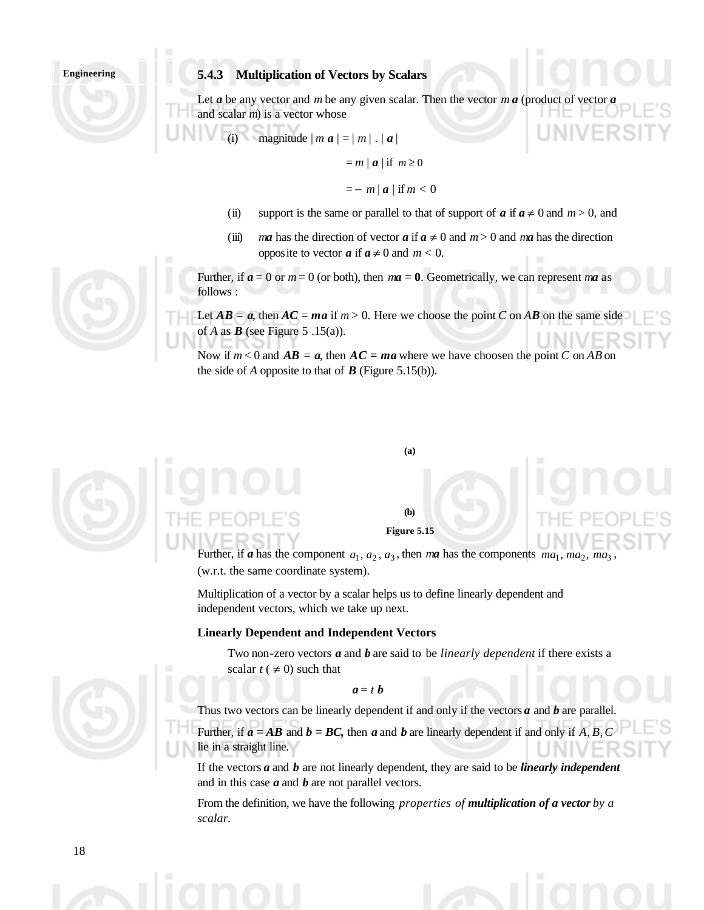#### **5.4.3 Multiplication of Vectors by Scalars**

Let  $\boldsymbol{a}$  be any vector and  $\boldsymbol{m}$  be any given scalar. Then the vector  $\boldsymbol{m}$   $\boldsymbol{a}$  (product of and scalar *m*) is a vector whose

(i) magnitude 
$$
|m \mathbf{a}| = |m|
$$
. |  $\mathbf{a}|$ 

$$
= m | a | if m \ge 0
$$

$$
=-m|\mathbf{a}| \text{ if } m<0
$$

- (ii) support is the same or parallel to that of support of *a* if  $a \neq 0$  and  $m > 0$ , and
- (iii) *ma* has the direction of vector *a* if  $a \neq 0$  and  $m > 0$  and *ma* has the direction opposite to vector  $a$  if  $a \neq 0$  and  $m < 0$ .

Further, if  $a = 0$  or  $m = 0$  (or both), then  $ma = 0$ . Geometrically, we can represent ma as follows :

Let  $AB = a$ , then  $AC = ma$  if  $m > 0$ . Here we choose the point *C* on *AB* on the same side of *A* as *B* (see Figure 5 .15(a)).

Now if  $m < 0$  and  $AB = a$ , then  $AC = ma$  where we have choosen the point *C* on *AB* on the side of *A* opposite to that of  $\bf{B}$  (Figure 5.15(b)).

#### **(a)**

## **(b) Figure 5.15**

Further, if *a* has the component  $a_1, a_2, a_3$ , then *ma* has the components  $ma_1$ ,  $ma_2$ ,  $ma_3$ (w.r.t. the same coordinate system).

Multiplication of a vector by a scalar helps us to define linearly dependent and independent vectors, which we take up next.

#### **Linearly Dependent and Independent Vectors**

Two non-zero vectors *a* and *b* are said to be *linearly dependent* if there exists a scalar  $t \neq 0$ ) such that

 $a = t b$ 

Thus two vectors can be linearly dependent if and only if the vectors *a* and *b* are parallel. Further, if  $a = AB$  and  $b = BC$ , then  $a$  and  $b$  are linearly dependent if and only if  $A, B, C$ lie in a straight line.

If the vectors *a* and *b* are not linearly dependent, they are said to be *linearly independent* and in this case *a* and *b* are not parallel vectors.

From the definition, we have the following *properties of multiplication of a vector by a scalar.*





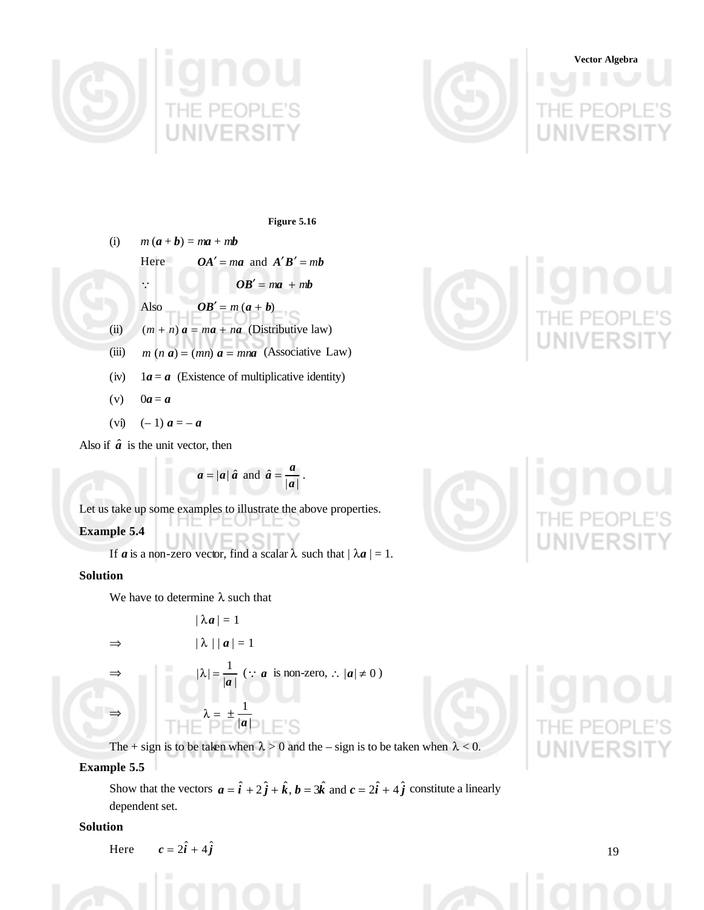



# **Vector Algebra**

**Figure 5.16**

\n- (i) 
$$
m(a + b) = ma + mb
$$
 Here  $OA' = ma$  and  $A'B' = mb$
\n- $\therefore$   $OB' = ma + mb$
\n- Also  $OB' = m(a + b)$
\n- (ii)  $(m + n)a = ma + na$  (Distributive law)
\n- (iii)  $m(n a) = (mn) a = mna$  (Associative Law)
\n- (iv)  $1a = a$  (Existence of multiplicative identity)
\n- (v)  $0a = a$
\n

(vi)  $(-1) a = -a$ 

Also if  $\hat{a}$  is the unit vector, then

$$
a = |a| \hat{a}
$$
 and  $\hat{a} = \frac{a}{|a|}$ .

Let us take up some examples to illustrate the above properties.

**Example 5.4**

If *a* is a non-zero vector, find a scalar  $\lambda$  such that  $|\lambda a| = 1$ .

## **Solution**

We have to determine  $\lambda$  such that

$$
|\lambda a| = 1
$$
  
\n
$$
\Rightarrow |\lambda| |a| = 1
$$

 $|a|$ 

 $\lambda = \pm$ 

 $|a|$ 1

$$
|\lambda| = \frac{1}{|a|} \; (\because \; a \; \text{ is non-zero, } \because |a| \neq 0 \;)
$$

⇒

⇒

The + sign is to be taken when  $\lambda > 0$  and the – sign is to be taken when  $\lambda < 0$ .

## **Example 5.5**

Show that the vectors  $a = \hat{i} + 2\hat{j} + \hat{k}$ ,  $b = 3\hat{k}$  and  $c = 2\hat{i} + 4\hat{j}$  constitute a linearly dependent set.

## **Solution**

Here 
$$
c = 2\hat{i} + 4\hat{j}
$$





19

ERSI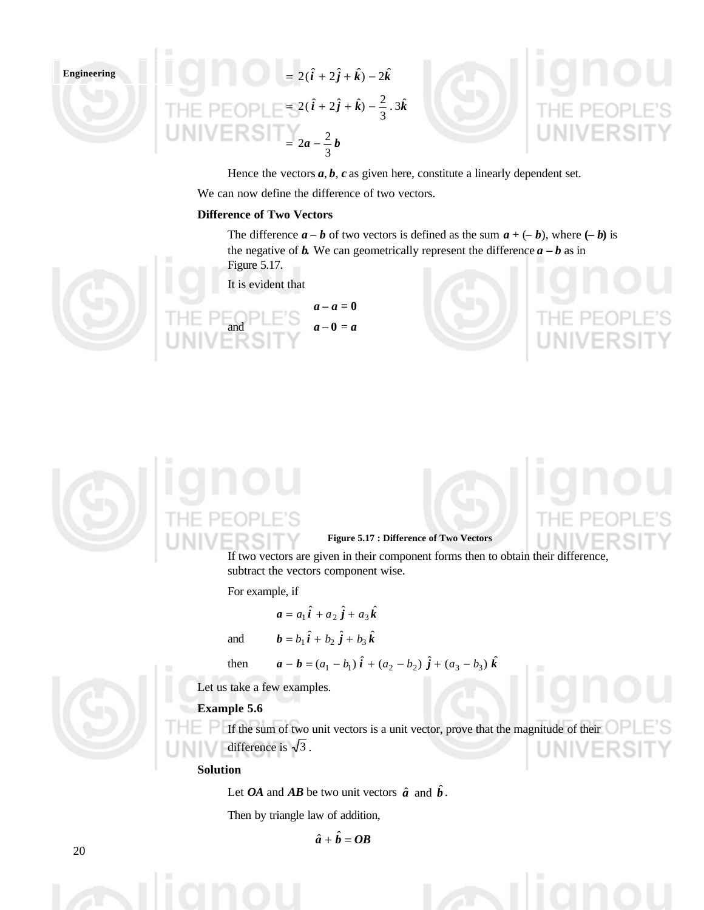





Hence the vectors  $a, b, c$  as given here, constitute a linearly dependent set. We can now define the difference of two vectors.

### **Difference of Two Vectors**

The difference  $\mathbf{a} - \mathbf{b}$  of two vectors is defined as the sum  $\mathbf{a} + (-\mathbf{b})$ , where  $(-\mathbf{b})$  is the negative of **b**. We can geometrically represent the difference  $\mathbf{a} - \mathbf{b}$  as in Figure 5.17.

It is evident that







**Figure 5.17 : Difference of Two Vectors**

If two vectors are given in their component forms then to obtain their difference, subtract the vectors component wise.

For example, if

$$
\boldsymbol{a} = a_1 \hat{\boldsymbol{i}} + a_2 \hat{\boldsymbol{j}} + a_3 \hat{\boldsymbol{k}}
$$

 $a - a = 0$  $a - 0 = a$ 

and 
$$
\boldsymbol{b} = b_1 \hat{\boldsymbol{i}} + b_2 \hat{\boldsymbol{j}} + b_3 \hat{\boldsymbol{k}}
$$

then 
$$
\mathbf{a} - \mathbf{b} = (a_1 - b_1) \hat{\mathbf{i}} + (a_2 - b_2) \hat{\mathbf{j}} + (a_3 - b_3) \hat{\mathbf{k}}
$$

Let us take a few examples.

## **Example 5.6**

If the sum of two unit vectors is a unit vector, prove that the magnitude of their difference is  $\sqrt{3}$ .

## **Solution**

Let *OA* and *AB* be two unit vectors  $\hat{a}$  and  $\hat{b}$ .

Then by triangle law of addition,

 $\hat{a} + \hat{b} = OB$ 

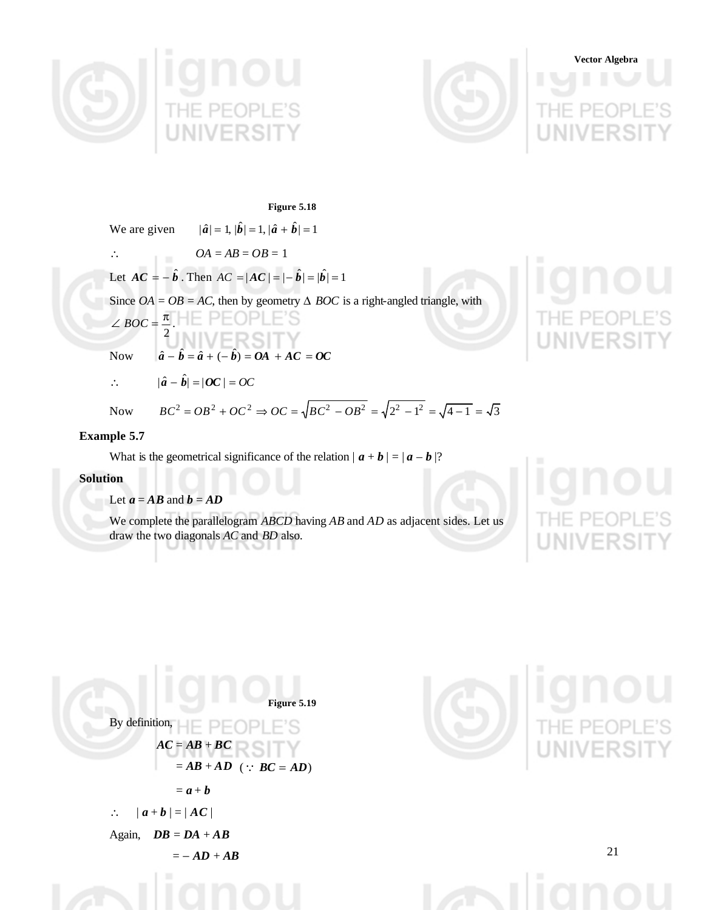



**Vector Algebra**

**Figure 5.18**

We are given  $|\hat{a}| = 1$ ,  $|\hat{b}| = 1$ ,  $|\hat{a} + \hat{b}| = 1$ 

∴  $OA = AB = OB = 1$ 

Let  $AC = -\hat{b}$ . Then  $AC = |AC| = |- \hat{b}| = |\hat{b}| = 1$ 

Since *OA* = *OB* = *AC*, then by geometry  $\triangle$  *BOC* is a right-angled triangle, with

$$
\angle BOC = \frac{\pi}{2}.
$$
  
Now  $\hat{a} - \hat{b} = \hat{a} + (-\hat{b}) = OA + AC = OC$ 

$$
\therefore \qquad |\hat{a} - \hat{b}| = |OC| = OC
$$

Now  $BC^2 = OB^2 + OC^2 \Rightarrow OC = \sqrt{BC^2 - OB^2} = \sqrt{2^2 - 1^2} = \sqrt{4 - 1} = \sqrt{3}$ 

## **Example 5.7**

What is the geometrical significance of the relation  $|\boldsymbol{a} + \boldsymbol{b}| = |\boldsymbol{a} - \boldsymbol{b}|$ ?

## **Solution**

Let  $a = AB$  and  $b = AD$ 

We complete the parallelogram *ABCD* having *AB* and *AD* as adjacent sides. Let us draw the two diagonals *AC* and *BD* also. VLINOI



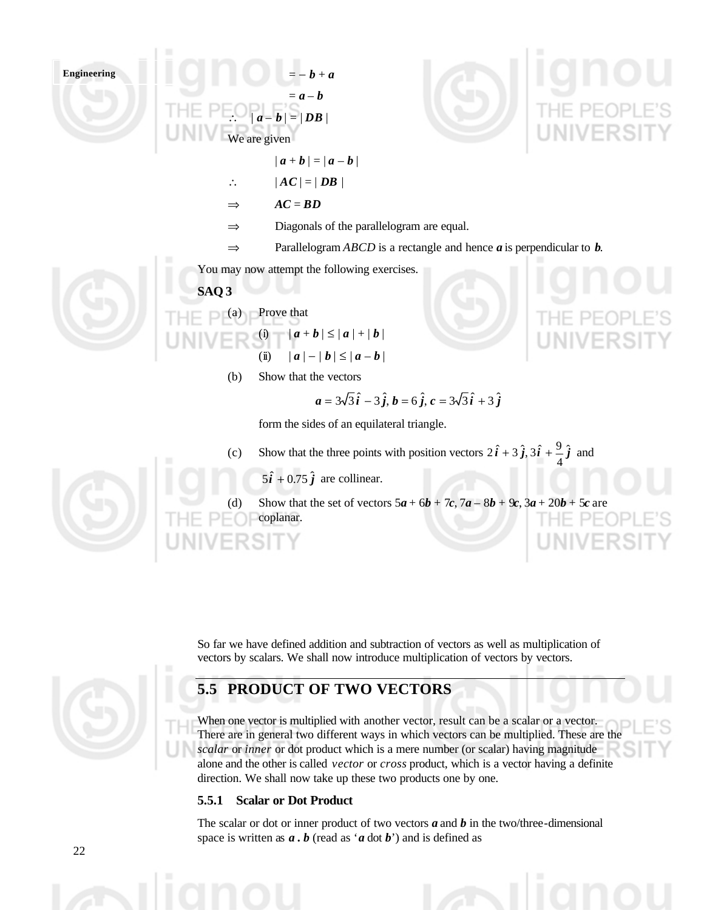$= -b + a$  $= a - b$  $-\overline{b}$  | =  $\overline{b}$  | We are given



- $|a + b| = |a b|$
- $\therefore$   $|AC| = |DB|$
- $\Rightarrow$  *AC* = *BD*
- ⇒ Diagonals of the parallelogram are equal.
- ⇒ Parallelogram *ABCD* is a rectangle and hence *a* is perpendicular to *b*.

You may now attempt the following exercises.

## **SAQ 3**



(a) Prove that (i)  $|a + b| \le |a| + |b|$ 

- (ii)  $|a| |b| \leq |a b|$
- (b) Show that the vectors

$$
a = 3\sqrt{3}\hat{i} - 3\hat{j}, b = 6\hat{j}, c = 3\sqrt{3}\hat{i} + 3\hat{j}
$$

form the sides of an equilateral triangle.

(c) Show that the three points with position vectors  $2\hat{i} + 3\hat{j}$ ,  $3\hat{i} + \frac{9}{7}\hat{j}$ 4  $2\hat{i} + 3\hat{j}, 3\hat{i} + \frac{9}{4}\hat{j}$  and

 $5\hat{i} + 0.75\hat{j}$  are collinear.

(d) Show that the set of vectors  $5a + 6b + 7c$ ,  $7a - 8b + 9c$ ,  $3a + 20b + 5c$  are coplanar. THE PEOP

So far we have defined addition and subtraction of vectors as well as multiplication of vectors by scalars. We shall now introduce multiplication of vectors by vectors.

# **5.5 PRODUCT OF TWO VECTORS**

When one vector is multiplied with another vector, result can be a scalar or a vector. There are in general two different ways in which vectors can be multiplied. These are the *scalar* or *inner* or dot product which is a mere number (or scalar) having magnitude alone and the other is called *vector* or *cross* product, which is a vector having a definite direction. We shall now take up these two products one by one.

## **5.5.1 Scalar or Dot Product**

The scalar or dot or inner product of two vectors *a* and *b* in the two/three-dimensional space is written as *a . b* (read as '*a* dot *b*') and is defined as

$$
\bigcirc \mathcal{C}
$$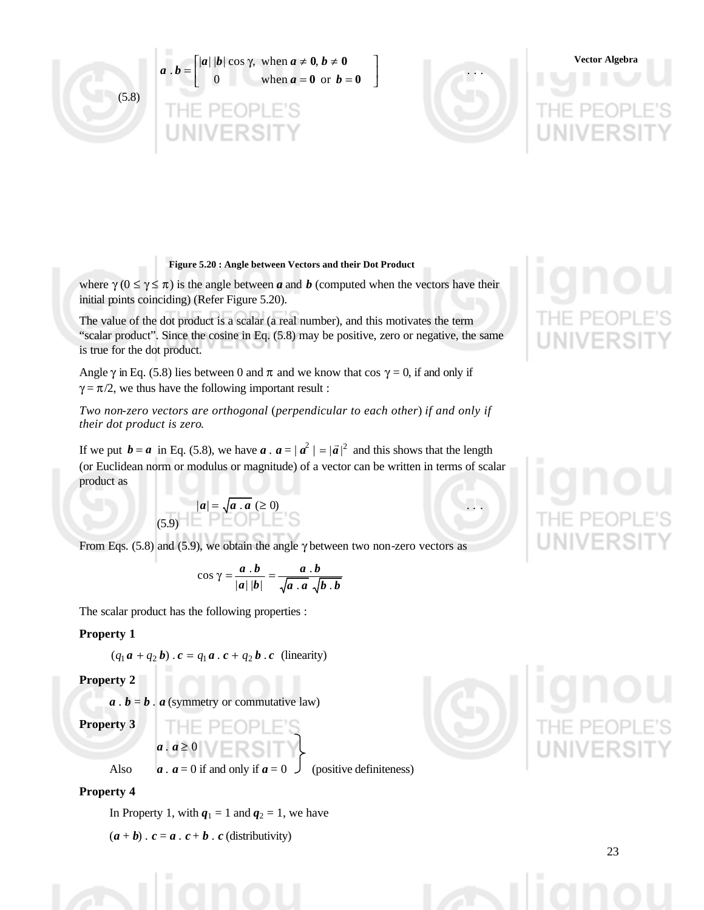





 $\overline{\phantom{a}}$  $\overline{\phantom{a}}$ 

# **Vector Algebra**

## **Figure 5.20 : Angle between Vectors and their Dot Product**

where  $\gamma$  ( $0 \le \gamma \le \pi$ ) is the angle between *a* and *b* (computed when the vectors have their initial points coinciding) (Refer Figure 5.20).

The value of the dot product is a scalar (a real number), and this motivates the term "scalar product". Since the cosine in Eq. (5.8) may be positive, zero or negative, the same is true for the dot product.

Angle  $\gamma$  in Eq. (5.8) lies between 0 and  $\pi$  and we know that cos  $\gamma = 0$ , if and only if  $\gamma = \pi/2$ , we thus have the following important result :

*Two non-zero vectors are orthogonal* (*perpendicular to each other*) *if and only if their dot product is zero*.

If we put  $\mathbf{b} = \mathbf{a}$  in Eq. (5.8), we have  $\mathbf{a} \cdot \mathbf{a} = |\mathbf{a}|^2 = |\mathbf{a}|^2$  and this shows that the length (or Euclidean norm or modulus or magnitude) of a vector can be written in terms of scalar product as

$$
(5.9) \begin{array}{|c|c|c|c|}\n\hline\na & a & \text{if } a & \text{if } a \geq 0 \\
\hline\n\end{array}
$$

From Eqs. (5.8) and (5.9), we obtain the angle  $\gamma$  between two non-zero vectors as

$$
\cos \gamma = \frac{a \cdot b}{|a| |b|} = \frac{a \cdot b}{\sqrt{a \cdot a} \cdot \sqrt{b \cdot b}}
$$

The scalar product has the following properties :

#### **Property 1**

$$
(q_1\mathbf{a} + q_2\mathbf{b}) \cdot \mathbf{c} = q_1\mathbf{a} \cdot \mathbf{c} + q_2\mathbf{b} \cdot \mathbf{c}
$$
 (linearity)

#### **Property 2**

 $a \cdot b = b \cdot a$  (symmetry or commutative law)

**Property 3**

Also  $a \cdot a = 0$  if and only if  $a = 0$  (positive definiteness)

#### **Property 4**

In Property 1, with  $q_1 = 1$  and  $q_2 = 1$ , we have

 $(a + b) \cdot c = a \cdot c + b \cdot c$  (distributivity)

 $a \cdot a \geq 0$ 

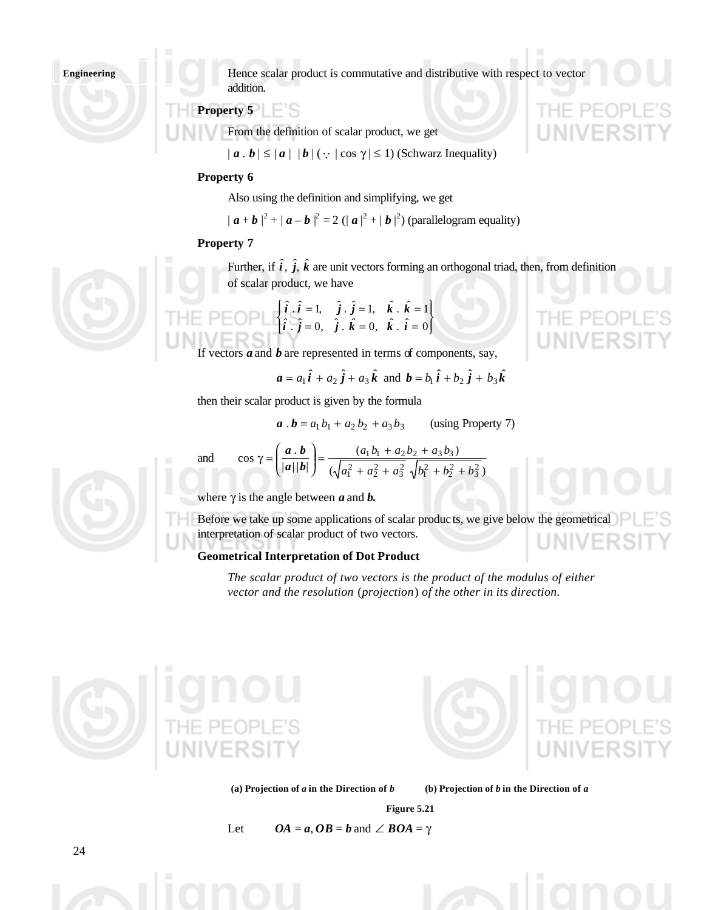Hence scalar product is commutative and distributive with respect to vector addition.

## **Property 5**

From the definition of scalar product, we get

 $|a \cdot b| \leq |a| |b|$  ( $\because$   $|\cos \gamma| \leq 1$ ) (Schwarz Inequality)

### **Property 6**

Also using the definition and simplifying, we get

 $| \bm{a} + \bm{b} |^2 + | \bm{a} - \bm{b} |^2 = 2 (|\bm{a}|^2 + |\bm{b}|^2)$  (parallelogram equality)

#### **Property 7**

and

Further, if  $\hat{i}$ ,  $\hat{j}$ ,  $\hat{k}$  are unit vectors forming an orthogonal triad, then, from definition of scalar product, we have

J  $\left\{ \right.$  $\mathsf{l}$ ţ  $\left\{ \right.$ ŧ  $= 0, j \cdot k = 0, k \cdot i =$  $= 1, j \cdot j = 1, k \cdot k =$  $\hat{i} \cdot \hat{j} = 0$ ,  $\hat{j} \cdot \hat{k} = 0$ ,  $\hat{k} \cdot \hat{i} = 0$  $\hat{i} \cdot \hat{i} = 1, \quad \hat{j} \cdot \hat{j} = 1, \quad \hat{k} \cdot \hat{k} = 1$  $i \cdot j = 0, \; j \cdot k = 0, \; k \cdot i$  $i \cdot i = 1, \quad j \cdot j = 1, \quad k \cdot k$ 

If vectors  $\boldsymbol{a}$  and  $\boldsymbol{b}$  are represented in terms of components, say,

cos  $\gamma = \left(\frac{a \cdot b}{|a||b|}\right) = \frac{(a_1b_1 + a_2b_2 + a_3b_3)}{(\sqrt{a_1^2 + a_2^2 + a_3^2} \sqrt{b_1^2 + b_2^2 + b_3^2})}$ 

 $= \frac{(a_1b_1 + a_2b_2 + a_3b_3)}{(a_1b_1 + a_2b_2 + a_3b_3)}$ 

$$
a = a_1 \hat{i} + a_2 \hat{j} + a_3 \hat{k}
$$
 and  $b = b_1 \hat{i} + b_2 \hat{j} + b_3 \hat{k}$ 

then their scalar product is given by the formula

 $\overline{1}$  $\lambda$ 

**a** . **b** = 
$$
a_1 b_1 + a_2 b_2 + a_3 b_3
$$
 (using Property 7)

 $(\sqrt{a_1^2 + a_2^2 + a_3^2} \sqrt{b_1^2 + b_2^2 + b_3^2})$  $(a_1b_1 + a_2b_2 + a_3b_3)$ 

 $a_1 b_1 + a_2 b_2 + a_3 b_3$  $a_1^2 + a_2^2 + a_3^2$   $\sqrt{b_1^2 + b_2^2 + b_3^2}$  $a_1 b_1 + a_2 b_2 + a_3 b_3$  $+a_2^2 + a_3^2$   $\sqrt{b_1^2 + b_2^2}$  +



where  $\gamma$  is the angle between  $\alpha$  and  $\beta$ .

l l  $\gamma = \left(\begin{array}{c} a & b \\ \hline |a| & b \end{array}\right)$ *a b*

 $|a||b|$ 

Before we take up some applications of scalar produc ts, we give below the geometrical interpretation of scalar product of two vectors.

#### **Geometrical Interpretation of Dot Product**

*The scalar product of two vectors is the product of the modulus of either vector and the resolution* (*projection*) *of the other in its direction.*





HF.

(a) Projection of *a* in the Direction of *b* (b) Projection of *b* in the Direction of *a* 

**Figure 5.21** Let  $OA = a$ ,  $OB = b$  and  $\angle BOA = \gamma$ 



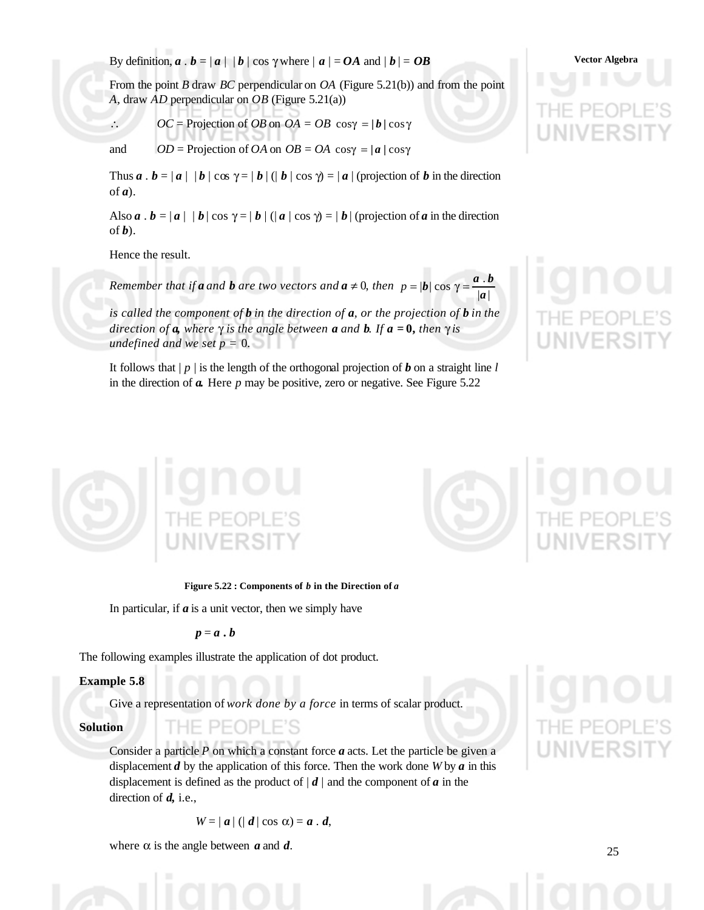By definition,  $\boldsymbol{a} \cdot \boldsymbol{b} = |\boldsymbol{a}| |\boldsymbol{b}| \cos \gamma$  where  $|\boldsymbol{a}| = OA$  and  $|\boldsymbol{b}| = OB$  Vector Algebra

From the point *B* draw *BC* perpendicular on *OA* (Figure 5.21(b)) and from the point *A,* draw *AD* perpendicular on *OB* (Figure 5.21(a))

 $\therefore$  *OC* = Projection of *OB* on *OA* = *OB* cos $\gamma$  = |*b* | cos $\gamma$ 

and  $OD = \text{Projection of } OA \text{ on } OB = OA \text{ cosy } = |a| \text{ cosy}$ 

Thus  $\mathbf{a} \cdot \mathbf{b} = |\mathbf{a}| |\mathbf{b}| \cos \gamma = |\mathbf{b}| (\mathbf{b} | \cos \gamma) = |\mathbf{a}| (\text{projection of } \mathbf{b} \text{ in the direction})$ of *a*).

Also  $\bf{a} \cdot \bf{b} = |\bf{a}| |\bf{b}| \cos \gamma = |\bf{b}| (|\bf{a}| \cos \gamma) = |\bf{b}|$  (projection of  $\bf{a}$  in the direction of *b*).

Hence the result.

*Remember that if a and b are two vectors and a*  $\neq$  *0, then*  $p = |b| \cos \gamma = \frac{a \cdot b}{|a|}$  $|\boldsymbol{b}| \cos \gamma = \frac{\boldsymbol{a}}{|\boldsymbol{a}|}$  $p = |\boldsymbol{b}| \cos \gamma = \frac{\boldsymbol{a} \cdot \boldsymbol{b}}{1}$ 

*is called the component of b in the direction of a, or the projection of b in the direction of a, where* γ *is the angle between a and b. If a =* **0***, then* γ *is undefined and we set p =* 0.

It follows that | *p* | is the length of the orthogonal projection of *b* on a straight line *l* in the direction of *a.* Here *p* may be positive, zero or negative. See Figure 5.22



## **Figure 5.22 : Components of** *b* **in the Direction of** *a*

In particular, if  $\boldsymbol{a}$  is a unit vector, then we simply have

 $p = a \cdot b$ 

The following examples illustrate the application of dot product.

IF PFOPLE'S

## **Example 5.8**

Give a representation of *work done by a force* in terms of scalar product.

#### **Solution**

Consider a particle *P* on which a constant force *a* acts. Let the particle be given a displacement *d* by the application of this force. Then the work done *W* by *a* in this displacement is defined as the product of  $|d|$  and the component of *a* in the direction of *d,* i.e.,

$$
W=|a| (|d| \cos \alpha)=a \cdot d,
$$

where  $\alpha$  is the angle between  $\alpha$  and  $\beta$ .



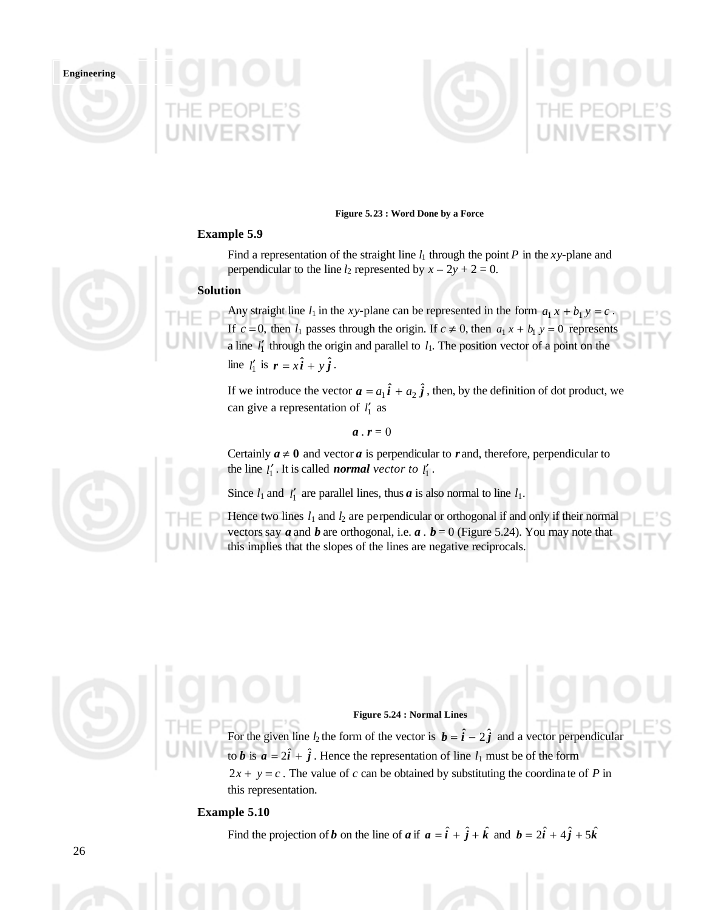





#### **Figure 5.23 : Word Done by a Force**

#### **Example 5.9**

Find a representation of the straight line  $l_1$  through the point P in the *xy*-plane and perpendicular to the line  $l_2$  represented by  $x - 2y + 2 = 0$ .

#### **Solution**

Any straight line  $l_1$  in the *xy*-plane can be represented in the form  $a_1 x + b_1 y = c$ . If  $c = 0$ , then  $l_1$  passes through the origin. If  $c \neq 0$ , then  $a_1 x + b_1 y = 0$  represents a line  $l'_1$  through the origin and parallel to  $l_1$ . The position vector of a point on the line  $l'_1$  is  $\mathbf{r} = x\hat{\mathbf{i}} + y\hat{\mathbf{j}}$ .

If we introduce the vector  $\boldsymbol{a} = a_1 \hat{\boldsymbol{i}} + a_2 \hat{\boldsymbol{j}}$ , then, by the definition of dot product, we can give a representation of <sup>1</sup> *l*′ as

$$
\boldsymbol{a}\cdot\boldsymbol{r}=0
$$

Certainly  $a \neq 0$  and vector *a* is perpendicular to *r* and, therefore, perpendicular to the line  $l'_1$ . It is called *normal vector to*  $l'_1$ .

Since  $l_1$  and  $l'_1$  are parallel lines, thus  $\boldsymbol{a}$  is also normal to line  $l_1$ .

Hence two lines  $l_1$  and  $l_2$  are perpendicular or orthogonal if and only if their normal vectors say  $\boldsymbol{a}$  and  $\boldsymbol{b}$  are orthogonal, i.e.  $\boldsymbol{a}$ .  $\boldsymbol{b} = 0$  (Figure 5.24). You may note that this implies that the slopes of the lines are negative reciprocals.

#### **Figure 5.24 : Normal Lines**

For the given line  $l_2$  the form of the vector is  $\mathbf{b} = \hat{i} - 2\hat{j}$  and a vector perpendicular to *b* is  $a = 2\hat{i} + \hat{j}$ . Hence the representation of line  $l_1$  must be of the form  $2x + y = c$ . The value of *c* can be obtained by substituting the coordinate of *P* in this representation.

#### **Example 5.10**

Find the projection of *b* on the line of *a* if  $a = \hat{i} + \hat{j} + \hat{k}$  and  $b = 2\hat{i} + 4\hat{j} + 5\hat{k}$ 



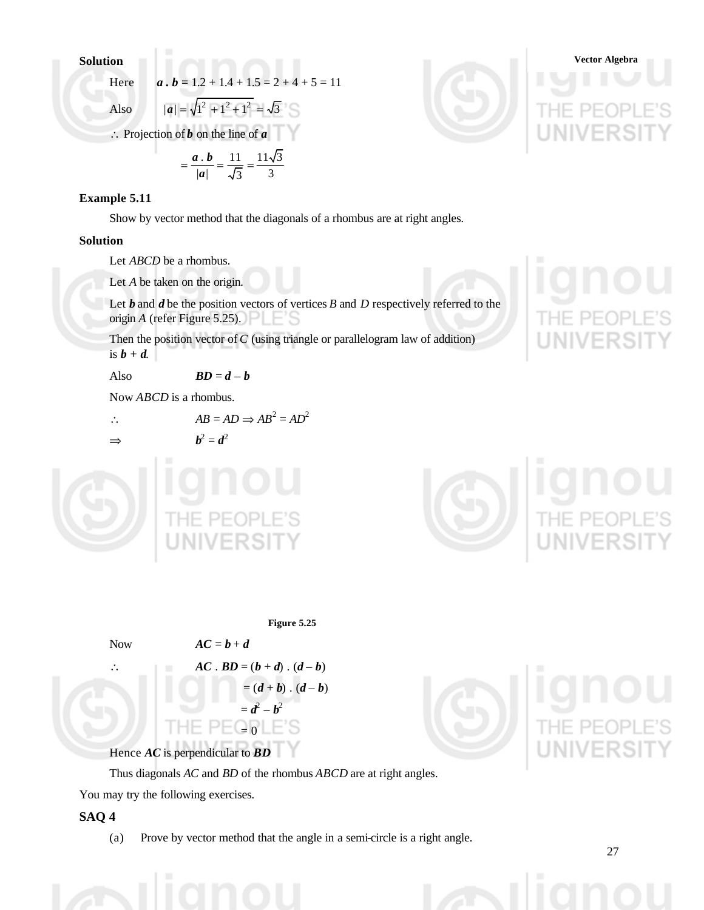Here 
$$
a \cdot b = 1.2 + 1.4 + 1.5 = 2 + 4 + 5 = 11
$$

Also 
$$
|a| = \sqrt{1^2 + 1^2 + 1^2} = \sqrt{3}
$$

∴ Projection of *b* on the line of *a*

$$
= \frac{a \cdot b}{|a|} = \frac{11}{\sqrt{3}} = \frac{11\sqrt{3}}{3}
$$

## **Example 5.11**

Show by vector method that the diagonals of a rhombus are at right angles.

## **Solution**

Let *ABCD* be a rhombus.

Let *A* be taken on the origin.

Let *b* and *d* be the position vectors of vertices *B* and *D* respectively referred to the origin *A* (refer Figure 5.25).

Then the position vector of *C* (using triangle or parallelogram law of addition) is  $b + d$ .

Also  $BD = d - b$ 

Now *ABCD* is a rhombus.

$$
\therefore \qquad AB = AD \Rightarrow AB^2 = AD^2
$$

⇒ *b*

$$
b^2=d^2
$$



**Solution Vector Algebra**





**Figure 5.25**

Now  $AC = b + d$ 

 $AC \cdot BD = (b + d) \cdot (d - b)$  $= (d + b) \cdot (d - b)$  $=$  $d^2 - b^2$ 

 $PEQ_0$ 

Hence *AC* is perpendicular to *BD*

łF.

Thus diagonals *AC* and *BD* of the rhombus *ABCD* are at right angles.

You may try the following exercises.

## **SAQ 4**

(a) Prove by vector method that the angle in a semi-circle is a right angle.

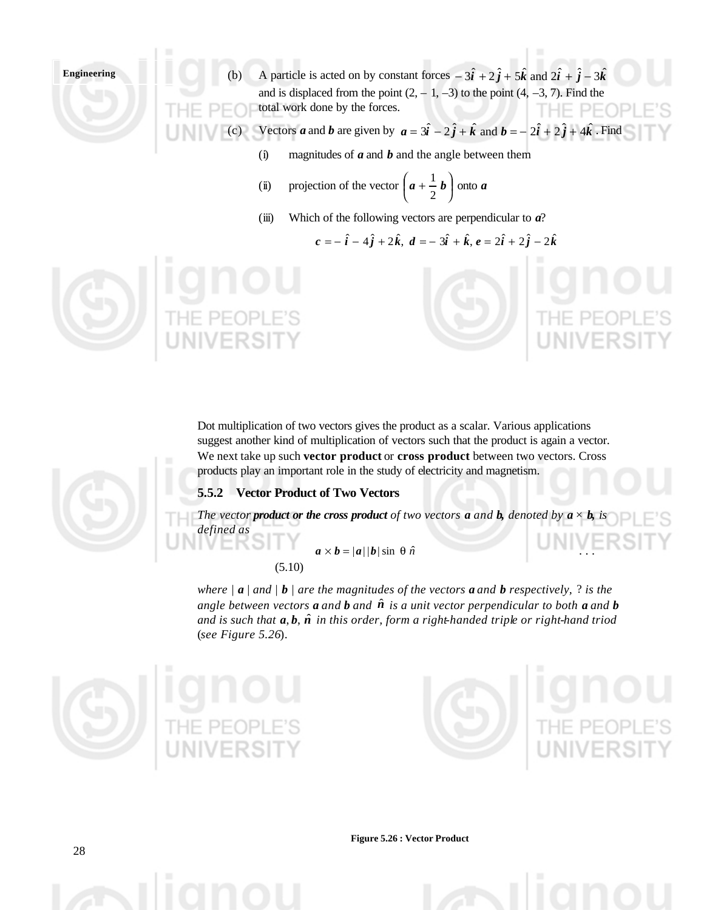- (b) A particle is acted on by constant forces  $-\hat{3i} + 2\hat{j} + 5\hat{k}$  and  $2\hat{i} + \hat{j} 3\hat{k}$ and is displaced from the point  $(2, -1, -3)$  to the point  $(4, -3, 7)$ . Find the total work done by the forces. THE.
- (c) Vectors *a* and *b* are given by  $a = 3\hat{i} 2\hat{j} + \hat{k}$  and  $b = -2\hat{i} + 2\hat{j} + 4\hat{k}$ . Find
	- (i) magnitudes of *a* and *b* and the angle between them
	- (ii) projection of the vector  $\left| a + \frac{1}{2}b \right|$  $\overline{\phantom{a}}$  $\left(a+\frac{1}{2}b\right)$ l  $\left(a+\frac{1}{2}b\right)$  $\frac{1}{a}$  **b** onto **a**
	- (iii) Which of the following vectors are perpendicular to *a*?

$$
c = -\hat{i} - 4\hat{j} + 2\hat{k}
$$
,  $d = -3\hat{i} + \hat{k}$ ,  $e = 2\hat{i} + 2\hat{j} - 2\hat{k}$ 





## **5.5.2 Vector Product of Two Vectors**

*The vector product or the cross product of two vectors <i>a* and *b, denoted by*  $a \times b$ *, is defined as*

> $a \times b = |a||b| \sin \theta \hat{n}$ (5.10)

*where |*  $\bf{a}$  *| and |*  $\bf{b}$  *| are the magnitudes of the vectors*  $\bf{a}$  *and*  $\bf{b}$  *respectively, ? is the angle between vectors <i>a* and *b* and  $\hat{n}$  is a unit vector perpendicular to both *a* and *b and is such that a*, *b*, *n*ˆ *in this order, form a right-handed triple or right-hand triod*  (*see Figure 5.26*).





**Figure 5.26 : Vector Product**

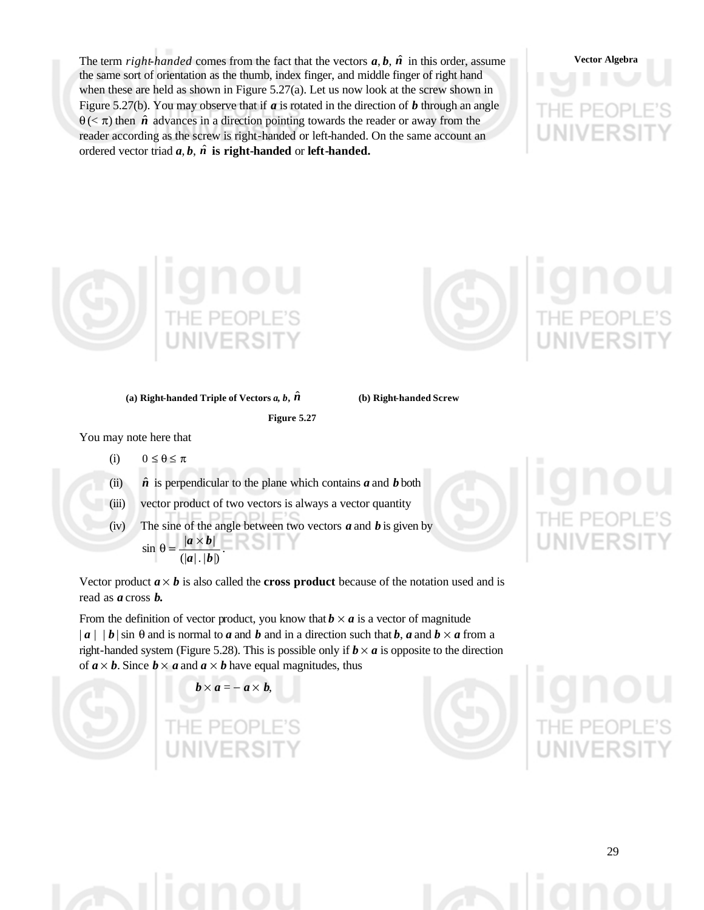The term *right-handed* comes from the fact that the vectors  $a, b, \hat{n}$  in this order, assume the same sort of orientation as the thumb, index finger, and middle finger of right hand when these are held as shown in Figure 5.27(a). Let us now look at the screw shown in Figure 5.27(b). You may observe that if *a* is rotated in the direction of *b* through an angle  $\theta$  (<  $\pi$ ) then  $\hat{n}$  advances in a direction pointing towards the reader or away from the reader according as the screw is right-handed or left-handed. On the same account an ordered vector triad  $a, b, \hat{n}$  is right-handed or left-handed.



#### **(a) Right-handed Triple of Vectors**  $a, b, \hat{n}$  **(b) Right-handed Screw**

**Figure 5.27**

You may note here that

- (i)  $0 \le \theta \le \pi$
- (ii)  $\hat{n}$  is perpendicular to the plane which contains  $\hat{a}$  and  $\hat{b}$  both
- (iii) vector product of two vectors is always a vector quantity
- (iv) The sine of the angle between two vectors  $\boldsymbol{a}$  and  $\boldsymbol{b}$  is given by  $(|a|, |b|)$  $\sin \theta = \frac{|a \times b|}{|a|}$  $a \vert$ .  $\vert b \vert$  $\theta = \frac{|a \times b|}{|a| + |b|}$ .

Vector product  $a \times b$  is also called the **cross product** because of the notation used and is read as *a* cross *b.*

From the definition of vector product, you know that  $b \times a$  is a vector of magnitude  $|a|$  | *b* | sin  $\theta$  and is normal to *a* and *b* and in a direction such that *b*, *a* and *b*  $\times$  *a* from a right-handed system (Figure 5.28). This is possible only if  $b \times a$  is opposite to the direction of  $a \times b$ . Since  $b \times a$  and  $a \times b$  have equal magnitudes, thus

 $\boldsymbol{b} \times \boldsymbol{a} = - \boldsymbol{a} \times \boldsymbol{b}$ .







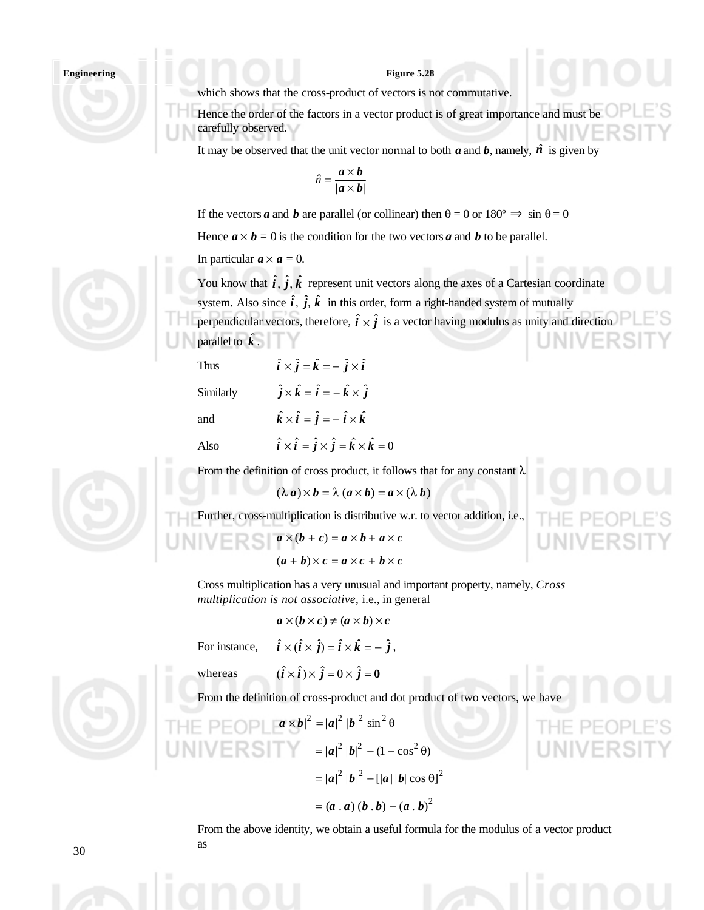#### **Figure 5.28**

which shows that the cross-product of vectors is not commutative.

Hence the order of the factors in a vector product is of great importance and must be carefully observed.

It may be observed that the unit vector normal to both  $a$  and  $b$ , namely,  $\hat{n}$  is given by

$$
\hat{n} = \frac{a \times b}{|a \times b|}
$$

If the vectors *a* and *b* are parallel (or collinear) then  $\theta = 0$  or  $180^\circ \Rightarrow \sin \theta = 0$ 

Hence  $a \times b = 0$  is the condition for the two vectors *a* and *b* to be parallel.

In particular  $a \times a = 0$ .

You know that  $\hat{i}$ ,  $\hat{j}$ ,  $\hat{k}$  represent unit vectors along the axes of a Cartesian coordinate system. Also since  $\hat{i}$ ,  $\hat{j}$ ,  $\hat{k}$  in this order, form a right-handed system of mutually perpendicular vectors, therefore,  $\hat{i} \times \hat{j}$  is a vector having modulus as unity and direction

parallel to  $\hat{k}$ .

Thus  $\hat{i} \times \hat{j} = \hat{k} = -\hat{j} \times \hat{i}$ 

Similarly  $\hat{j} \times \hat{k} = \hat{i} = -\hat{k} \times \hat{j}$ 

and  $\hat{k} \times \hat{i} = \hat{j} = -\hat{i} \times \hat{k}$ 

Also  $\hat{i} \times \hat{i} = \hat{j} \times \hat{j} = \hat{k} \times \hat{k} = 0$ 



From the definition of cross product, it follows that for any constant  $\lambda$ 

$$
(\lambda \, a) \times b = \lambda \, (a \times b) = a \times (\lambda \, b)
$$

Further, cross-multiplication is distributive w.r. to vector addition, i.e.,

$$
a \times (b + c) = a \times b + a \times c
$$

$$
(a + b) \times c = a \times c + b \times c
$$

Cross multiplication has a very unusual and important property, namely, *Cross multiplication is not associative,* i.e., in general

$$
a\times(b\times c)\neq(a\times b)\times c
$$

For instance,  $\hat{i} \times (\hat{i} \times \hat{j}) = \hat{i} \times \hat{k} = -\hat{j}$ ,

whereas  $(\hat{i} \times \hat{i}) \times \hat{j} = 0 \times \hat{j} = 0$ 

From the definition of cross-product and dot product of two vectors, we have

THE PEDP 
$$
|\mathbf{a} \times \mathbf{b}|^{2} = |\mathbf{a}|^{2} |\mathbf{b}|^{2} \sin^{2} \theta
$$

\n
$$
= |\mathbf{a}|^{2} |\mathbf{b}|^{2} - (1 - \cos^{2} \theta)
$$

\n
$$
= |\mathbf{a}|^{2} |\mathbf{b}|^{2} - [|\mathbf{a}| |\mathbf{b}| \cos \theta]^{2}
$$

\n
$$
= (\mathbf{a} \cdot \mathbf{a})(\mathbf{b} \cdot \mathbf{b}) - (\mathbf{a} \cdot \mathbf{b})^{2}
$$

From the above identity, we obtain a useful formula for the modulus of a vector product as



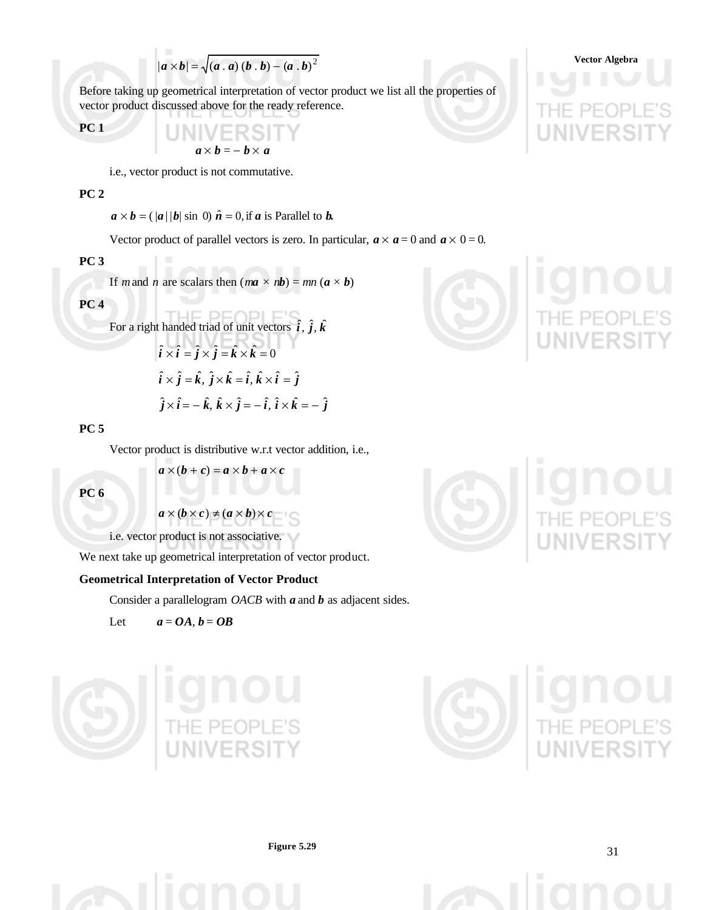$$
|\boldsymbol{a} \times \boldsymbol{b}| = \sqrt{(\boldsymbol{a} \cdot \boldsymbol{a}) (\boldsymbol{b} \cdot \boldsymbol{b}) - (\boldsymbol{a} \cdot \boldsymbol{b})^2}
$$
Vector Algebra

Before taking up geometrical interpretation of vector product we list all the properties of vector product discussed above for the ready reference.

$$
PC1
$$

 $a \times b = -b \times a$ 

i.e., vector product is not commutative.

THE PAPE

### **PC 2**

 $a \times b = ( |a| |b| \sin 0) \hat{n} = 0$ , if *a* is Parallel to *b*.

Vector product of parallel vectors is zero. In particular,  $a \times a = 0$  and  $a \times 0 = 0$ .

## **PC 3**

If *m* and *n* are scalars then  $(ma \times nb) = mn (a \times b)$ 

### **PC 4**

For a right handed triad of unit vectors 
$$
\hat{i}
$$
,  $\hat{j}$ ,  $\hat{k}$   
\n
$$
\hat{i} \times \hat{i} = \hat{j} \times \hat{j} = \hat{k} \times \hat{k} = 0
$$
\n
$$
\hat{i} \times \hat{j} = \hat{k}, \ \hat{j} \times \hat{k} = \hat{i}, \ \hat{k} \times \hat{i} = \hat{j}
$$
\n
$$
\hat{j} \times \hat{i} = -\hat{k}, \ \hat{k} \times \hat{j} = -\hat{i}, \ \hat{i} \times \hat{k} = -\hat{j}
$$

#### **PC 5**

Vector product is distributive w.r.t vector addition, i.e.,

$$
\overline{PC6}
$$

$$
\blacksquare\blacksquare\blacksquare\blacksquare\blacksquare\blacksquare\blacksquare\blacksquare
$$

 $a \times (b + c) = a \times b + a \times c$ 

 $a \times (b \times c) \neq (a \times b) \times c$ 

i.e. vector product is not associative.

We next take up geometrical interpretation of vector product.

#### **Geometrical Interpretation of Vector Product**

Consider a parallelogram *OACB* with *a* and *b* as adjacent sides.

Let  $a = OA, b = OB$ 









**Figure 5.29**

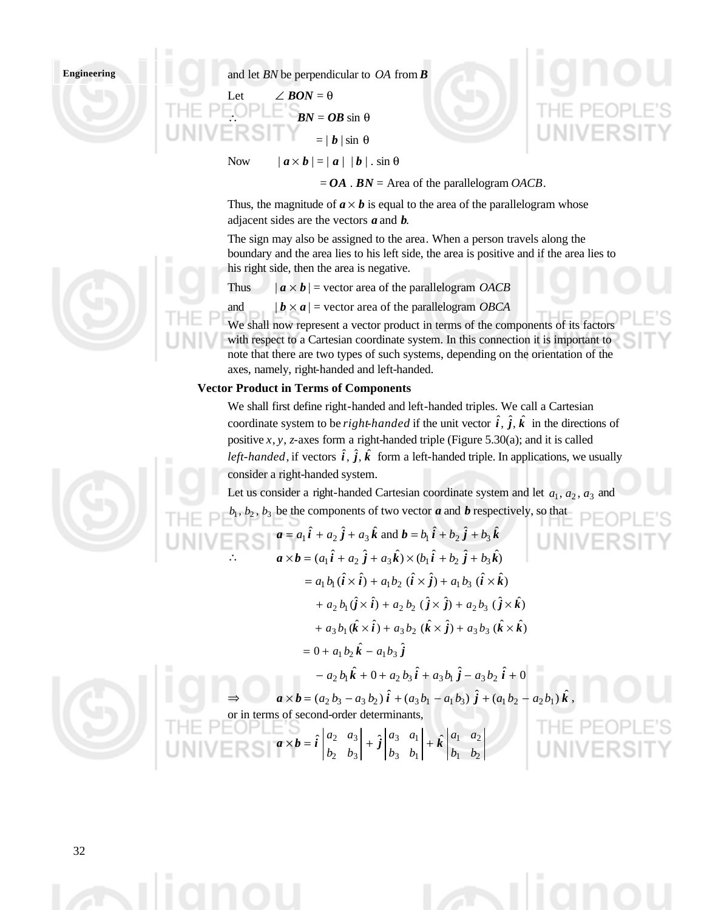and let *BN* be perpendicular to *OA* from *B*

Let  $\angle BON = \theta$  $BN = OB \sin \theta$  $= | b | \sin \theta$ 

Now  $| \mathbf{a} \times \mathbf{b} | = | \mathbf{a} | | \mathbf{b} |$ . sin  $\theta$ 

 $= OA$ .  $BN = Area$  of the parallelogram *OACB*.

Thus, the magnitude of  $a \times b$  is equal to the area of the parallelogram whose adjacent sides are the vectors *a* and *b*.

The sign may also be assigned to the area. When a person travels along the boundary and the area lies to his left side, the area is positive and if the area lies to his right side, then the area is negative.

Thus  $| \mathbf{a} \times \mathbf{b} |$  = vector area of the parallelogram *OACB* 

and  $|\mathbf{b} \times \mathbf{a}|$  = vector area of the parallelogram *OBCA* 

We shall now represent a vector product in terms of the components of its factors with respect to a Cartesian coordinate system. In this connection it is important to note that there are two types of such systems, depending on the orientation of the axes, namely, right-handed and left-handed.

#### **Vector Product in Terms of Components**

We shall first define right-handed and left-handed triples. We call a Cartesian coordinate system to be *right-handed* if the unit vector  $\hat{i}$ ,  $\hat{j}$ ,  $\hat{k}$  in the directions of positive *x*, *y*, *z-*axes form a right-handed triple (Figure 5.30(a); and it is called *left-handed*, if vectors  $\hat{i}$ ,  $\hat{j}$ ,  $\hat{k}$  form a left-handed triple. In applications, we usually consider a right-handed system.

Let us consider a right-handed Cartesian coordinate system and let  $a_1, a_2, a_3$  and  $b_1, b_2, b_3$  be the components of two vector *a* and *b* respectively, so that

HIE PECPEES  
\n**UNIVERSI**<sup>*a*</sup> = a<sub>1</sub>î + a<sub>2</sub>ĵ + a<sub>3</sub>îk and b = b<sub>1</sub>î + b<sub>2</sub>ĵ + b<sub>3</sub>îk  
\n
$$
a \times b = (a_1 \hat{i} + a_2 \hat{j} + a_3 \hat{k}) \times (b_1 \hat{i} + b_2 \hat{j} + b_3 \hat{k})
$$
\n= a<sub>1</sub>b<sub>1</sub> (îx)î + a<sub>1</sub>b<sub>2</sub> (îx)î + a<sub>1</sub>b<sub>3</sub> (îx)î)  
\n+ a<sub>2</sub>b<sub>1</sub> (îx)î + a<sub>2</sub>b<sub>2</sub> (îx)î + a<sub>2</sub>b<sub>3</sub> (îx)î)  
\n+ a<sub>3</sub>b<sub>1</sub> (îx)î + a<sub>3</sub>b<sub>2</sub> (îx)î + a<sub>3</sub>b<sub>3</sub> (îx)î  
\n= 0 + a<sub>1</sub>b<sub>2</sub>îk + a<sub>1</sub>b<sub>3</sub>ĵ  
\n- a<sub>2</sub>b<sub>1</sub>îk + 0 + a<sub>2</sub>b<sub>3</sub>î + a<sub>3</sub>b<sub>1</sub>ĵ - a<sub>3</sub>b<sub>2</sub>î + 0  
\n⇒ a<sub>1</sub>x b = (a<sub>2</sub>b<sub>3</sub> - a<sub>3</sub>b<sub>2</sub>)î + (a<sub>3</sub>b<sub>1</sub> - a<sub>1</sub>b<sub>3</sub>)ĵ + (a<sub>1</sub>b<sub>2</sub> - a<sub>2</sub>b<sub>1</sub>)îk,  
\nor in terms of second-order determinants,  
\nTHE PECPELE'S  
\n**EXAMPLE**  
\n**EXECUTE**  
\n**EXECUTE**  
\n**EXECUTE**  
\n**EXECUTE**  
\n**EXECUTE**  
\n**EXECUTE**  
\n**EXECUTE**  
\n**EXECUTE**  
\n**EXECUTE**  
\n**EXECUTE**  
\n**EXECUTE**  
\n**EXECUTE**  
\n**EXECUTE**  
\n**EXECUTE**  
\n

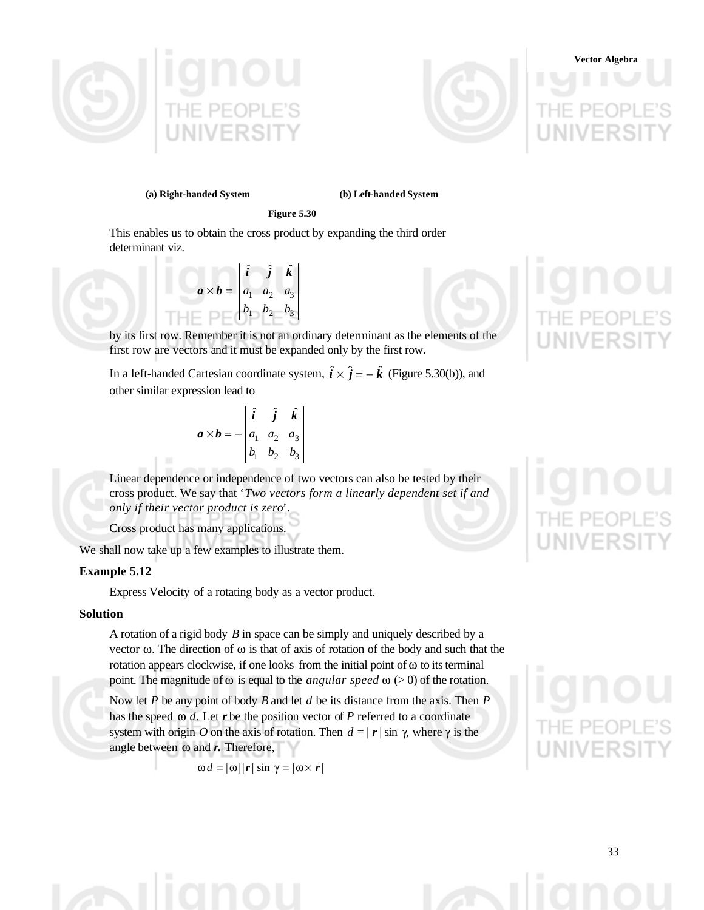



#### **(a) Right-handed System (b) Left-handed System**

**Figure 5.30**

This enables us to obtain the cross product by expanding the third order determinant viz.

$$
\mathbf{a} \times \mathbf{b} = \begin{vmatrix} \hat{\mathbf{i}} & \hat{\mathbf{j}} & \hat{\mathbf{k}} \\ a_1 & a_2 & a_3 \\ b_1 & b_2 & b_3 \end{vmatrix}
$$

by its first row. Remember it is not an ordinary determinant as the elements of the first row are vectors and it must be expanded only by the first row.

In a left-handed Cartesian coordinate system,  $\hat{i} \times \hat{j} = -\hat{k}$  (Figure 5.30(b)), and other similar expression lead to

$$
\mathbf{a} \times \mathbf{b} = -\begin{vmatrix} \hat{\mathbf{i}} & \hat{\mathbf{j}} & \hat{\mathbf{k}} \\ a_1 & a_2 & a_3 \\ b_1 & b_2 & b_3 \end{vmatrix}
$$

Linear dependence or independence of two vectors can also be tested by their cross product. We say that '*Two vectors form a linearly dependent set if and only if their vector product is zero*'.

Cross product has many applications.

We shall now take up a few examples to illustrate them.

#### **Example 5.12**

Express Velocity of a rotating body as a vector product.

#### **Solution**

A rotation of a rigid body *B* in space can be simply and uniquely described by a vector ω. The direction of ω is that of axis of rotation of the body and such that the rotation appears clockwise, if one looks from the initial point of  $\omega$  to its terminal point. The magnitude of ω is equal to the *angular speed* ω (> 0) of the rotation.

Now let *P* be any point of body *B* and let *d* be its distance from the axis. Then *P* has the speed ω *d.* Let *r* be the position vector of *P* referred to a coordinate system with origin *O* on the axis of rotation. Then  $d = |r| \sin \gamma$ , where  $\gamma$  is the angle between ω and *r.* Therefore,

$$
\omega d = |\omega| |r| \sin \gamma = |\omega \times r|
$$

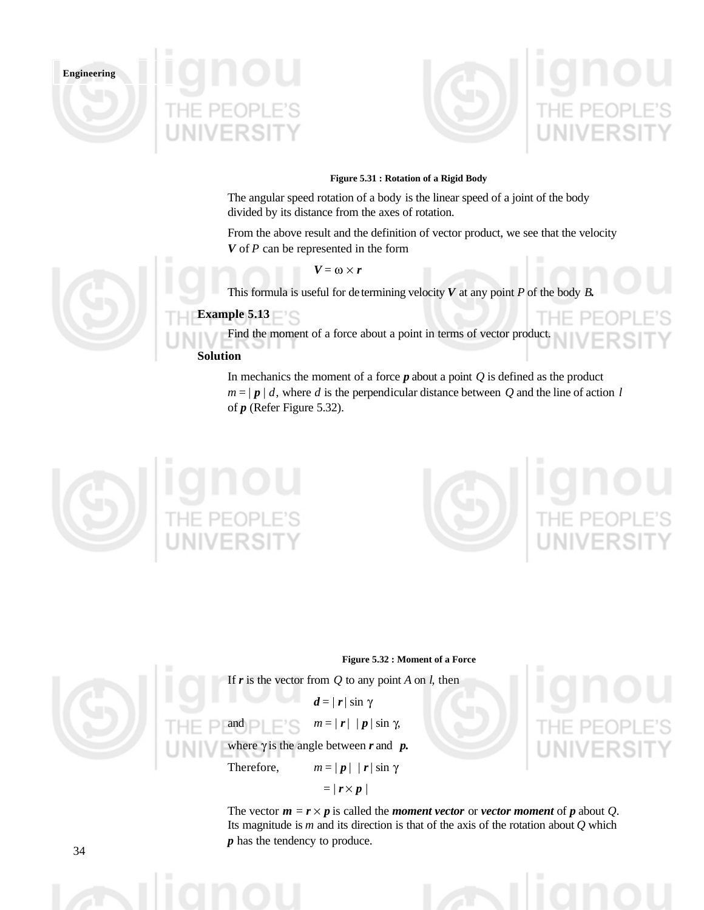





#### **Figure 5.31 : Rotation of a Rigid Body**

The angular speed rotation of a body is the linear speed of a joint of the body divided by its distance from the axes of rotation.

From the above result and the definition of vector product, we see that the velocity *V* of *P* can be represented in the form

 $V = \omega \times r$ 

This formula is useful for de termining velocity  $V$  at any point  $P$  of the body  $B$ .

# **Example 5.13**

Find the moment of a force about a point in terms of vector product.

## **Solution**

In mechanics the moment of a force  $p$  about a point  $Q$  is defined as the product  $m = |p| d$ , where *d* is the perpendicular distance between *Q* and the line of action *l* of *p* (Refer Figure 5.32).







If  $\mathbf{r}$  is the vector from  $Q$  to any point  $A$  on  $\mathbf{l}$ , then

 $d = |r| \sin \gamma$ 

and  $\Box$   $m = |r| |p| \sin \gamma$ ,

where  $\gamma$  is the angle between  $r$  and  $p$ .

Therefore,  $m = |p| |r| \sin \gamma$ 

 $= | r \times p |$ 

The vector  $m = r \times p$  is called the *moment vector* or *vector moment* of *p* about *Q*. Its magnitude is *m* and its direction is that of the axis of the rotation about *Q* which *p* has the tendency to produce.

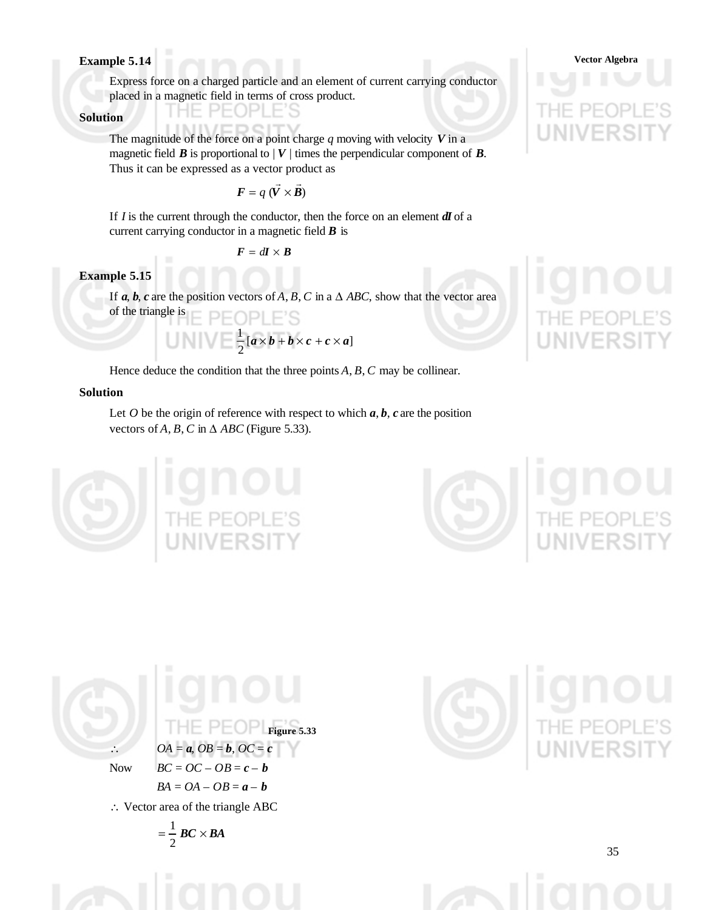## **Example 5.14 Vector Algebra**

Express force on a charged particle and an element of current carrying conductor placed in a magnetic field in terms of cross product. P

### **Solution**

The magnitude of the force on a point charge *q* moving with velocity *V* in a magnetic field  $\vec{B}$  is proportional to  $|V|$  times the perpendicular component of  $\vec{B}$ . Thus it can be expressed as a vector product as

$$
\mathbf{F} = q \; (\vec{V} \times \vec{B})
$$

 $\overline{\phantom{a}}$ 

If *I* is the current through the conductor, then the force on an element *dI* of a current carrying conductor in a magnetic field *B* is

$$
F = d\bm{I} \times \bm{B}
$$

**Example 5.15**

If  $a, b, c$  are the position vectors of  $A, B, C$  in a  $\triangle ABC$ , show that the vector area of the triangle is PEOPLE'S

> $[a \times b + b \times c + c \times a]$ 2  $\frac{1}{2}$  [a × b + b × c + c × a

Hence deduce the condition that the three points *A*, *B*, *C* may be collinear.

## **Solution**

Let  $O$  be the origin of reference with respect to which  $a, b, c$  are the position vectors of  $A$ ,  $B$ ,  $C$  in  $\triangle$   $ABC$  (Figure 5.33).



$$
OA = a, OB = b, OC = c
$$
  
Now  $BC = OC - OB = c - b$   
 $BA = OA - OB = a - b$   
 $\therefore$  Vector area of the triangle ABC  
 $= \frac{1}{2} BC \times BA$ 



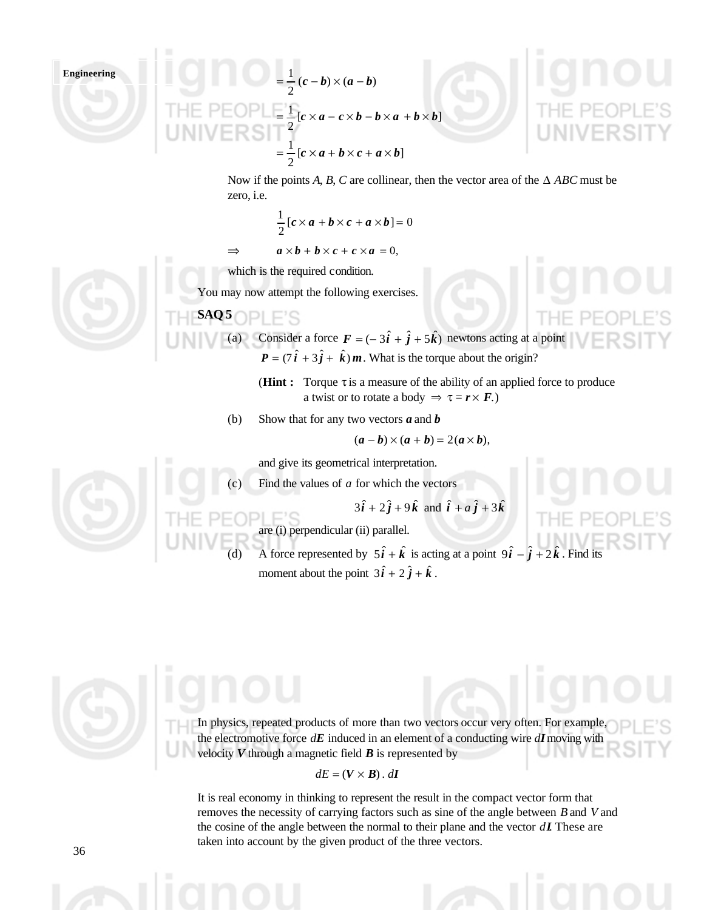Engineering

\n
$$
= \frac{1}{2}(c - b) \times (a - b)
$$
\n
$$
= \frac{1}{2}[c \times a - c \times b - b \times a + b \times b]
$$
\n
$$
= \frac{1}{2}[c \times a + b \times c + a \times b]
$$
\n
$$
= \frac{1}{2}[c \times a + b \times c + a \times b]
$$

Now if the points *A*, *B*, *C* are collinear, then the vector area of the ∆ *ABC* must be zero, i.e.

$$
\frac{1}{2} [c \times a + b \times c + a \times b] = 0
$$
  
\n
$$
\Rightarrow \qquad a \times b + b \times c + c \times a = 0.
$$

which is the required condition.

You may now attempt the following exercises.

# $SAQ 5$   $\Box$





(**Hint :** Torque τ is a measure of the ability of an applied force to produce a twist or to rotate a body  $\Rightarrow \tau = r \times F$ .)

(b) Show that for any two vectors *a* and *b*

$$
(\boldsymbol{a}-\boldsymbol{b})\times(\boldsymbol{a}+\boldsymbol{b})=2(\boldsymbol{a}\times\boldsymbol{b}),
$$

and give its geometrical interpretation.

(c) Find the values of *a* for which the vectors

$$
3\hat{i} + 2\hat{j} + 9\hat{k}
$$
 and  $\hat{i} + a\hat{j} + 3\hat{k}$ 

are (i) perpendicular (ii) parallel.

F'S

(d) A force represented by  $5\hat{i} + \hat{k}$  is acting at a point  $9\hat{i} - \hat{j} + 2\hat{k}$ . Find its moment about the point  $3\hat{i} + 2\hat{j} + \hat{k}$ .

In physics, repeated products of more than two vectors occur very often. For example, the electromotive force *dE* induced in an element of a conducting wire *dI* moving with velocity  $V$  through a magnetic field  $\boldsymbol{B}$  is represented by

## $dE = (V \times B)$ . *dI*

It is real economy in thinking to represent the result in the compact vector form that removes the necessity of carrying factors such as sine of the angle between *B* and *V* and the cosine of the angle between the normal to their plane and the vector *dI*. These are taken into account by the given product of the three vectors.



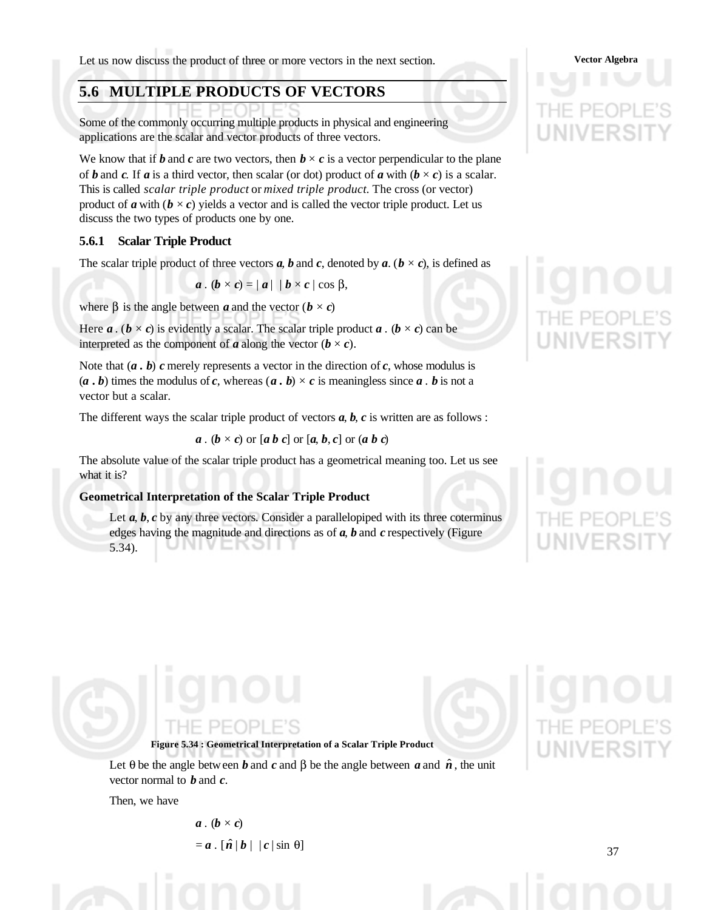Let us now discuss the product of three or more vectors in the next section. **Vector Algebra**

# **5.6 MULTIPLE PRODUCTS OF VECTORS**

Some of the commonly occurring multiple products in physical and engineering applications are the scalar and vector products of three vectors.

We know that if *b* and *c* are two vectors, then  $b \times c$  is a vector perpendicular to the plane of *b* and *c*. If *a* is a third vector, then scalar (or dot) product of *a* with ( $b \times c$ ) is a scalar. This is called *scalar triple product* or *mixed triple product.* The cross (or vector) product of **a** with  $(b \times c)$  yields a vector and is called the vector triple product. Let us discuss the two types of products one by one.

#### **5.6.1 Scalar Triple Product**

The scalar triple product of three vectors  $a$ ,  $b$  and  $c$ , denoted by  $a$ . ( $b \times c$ ), is defined as

$$
a \cdot (b \times c) = |a| |b \times c | \cos \beta,
$$

where  $\beta$  is the angle between *a* and the vector ( $\mathbf{b} \times \mathbf{c}$ )

Here *a* . ( $b \times c$ ) is evidently a scalar. The scalar triple product *a* . ( $b \times c$ ) can be interpreted as the component of *a* along the vector  $(b \times c)$ .

Note that  $(a \cdot b)$  *c* merely represents a vector in the direction of *c*, whose modulus is  $(a, b)$  times the modulus of *c*, whereas  $(a, b) \times c$  is meaningless since *a*. *b* is not a vector but a scalar.

The different ways the scalar triple product of vectors  $a, b, c$  is written are as follows :

 $a \cdot (b \times c)$  or  $[a \cdot b \cdot c]$  or  $[a \cdot b \cdot c]$  or  $(a \cdot b \cdot c)$ 

The absolute value of the scalar triple product has a geometrical meaning too. Let us see what it is?

#### **Geometrical Interpretation of the Scalar Triple Product**

Let *a*, *b*, *c* by any three vectors. Consider a parallelopiped with its three coterminus edges having the magnitude and directions as of *a*, *b* and *c* respectively (Figure 5.34). ៶៲៴⊏៲៶៰៲៲

# IF PFOPLE'S

**Figure 5.34 : Geometrical Interpretation of a Scalar Triple Product**

Let  $\theta$  be the angle between **b** and **c** and  $\beta$  be the angle between **a** and  $\hat{\boldsymbol{n}}$ , the unit vector normal to *b* and *c*.

Then, we have

 $a \cdot (b \times c)$  $= a \cdot [\hat{n} | b | | c | \sin \theta]$ 

37

**INIVERSI**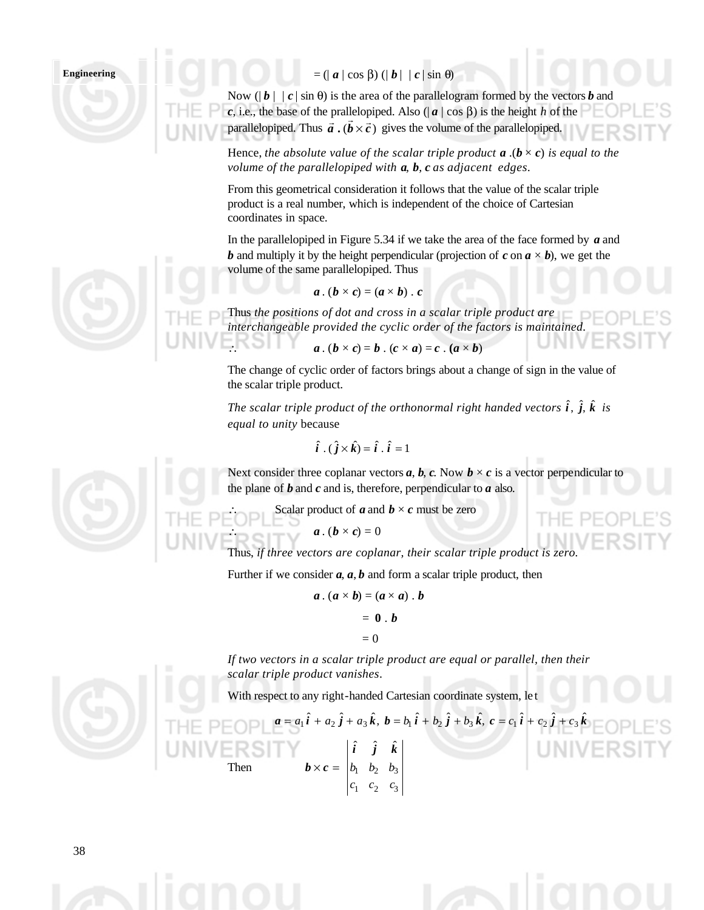# $=$  ( $| \mathbf{a} | \cos \beta$ ) ( $| \mathbf{b} | | \mathbf{c} | \sin \theta$ )

Now  $(|b| | c | \sin \theta)$  is the area of the parallelogram formed by the vectors *b* and *c*, i.e., the base of the prallelopiped. Also ( $|a|$  cos β) is the height *h* of the  $\vec{a}$ , i.e., the base of the pranetopiped. Also  $(|\vec{a}| \cos \beta)$  is the neight *n* of parallelopiped. Thus  $\vec{a} \cdot (\vec{b} \times \vec{c})$  gives the volume of the parallelopiped.

Hence, *the absolute value of the scalar triple product*  $\bf{a}$  *.(* $\bf{b} \times \bf{c}$ *) is equal to the volume of the parallelopiped with a, b, c as adjacent edges.*

From this geometrical consideration it follows that the value of the scalar triple product is a real number, which is independent of the choice of Cartesian coordinates in space.

In the parallelopiped in Figure 5.34 if we take the area of the face formed by *a* and *b* and multiply it by the height perpendicular (projection of *c* on  $a \times b$ ), we get the volume of the same parallelopiped. Thus

$$
a.(b \times c) = (a \times b).c
$$

Thus *the positions of dot and cross in a scalar triple product are interchangeable provided the cyclic order of the factors is maintained.*  $a \cdot (b \times c) = b \cdot (c \times a) = c \cdot (a \times b)$ 

The change of cyclic order of factors brings about a change of sign in the value of the scalar triple product.

The scalar triple product of the orthonormal right handed vectors  $\hat{i}$ ,  $\hat{j}$ ,  $\hat{k}$  is *equal to unity* because

$$
\hat{i} \cdot (\hat{j} \times \hat{k}) = \hat{i} \cdot \hat{i} = 1
$$

Next consider three coplanar vectors  $a, b, c$ . Now  $b \times c$  is a vector perpendicular to the plane of *b* and *c* and is, therefore, perpendicular to *a* also.

Scalar product of *a* and  $b \times c$  must be zero

 $a \cdot (b \times c) = 0$ 

Thus, *if three vectors are coplanar, their scalar triple product is zero.*

Further if we consider  $a$ ,  $a$ ,  $b$  and form a scalar triple product, then

$$
a \cdot (a \times b) = (a \times a) \cdot b
$$

$$
= 0 \cdot b
$$

$$
= 0
$$

*If two vectors in a scalar triple product are equal or parallel, then their scalar triple product vanishes*.

With respect to any right-handed Cartesian coordinate system, le t

 $a = a_1 \hat{i} + a_2 \hat{j} + a_3 \hat{k}$ ,  $b = b_1 \hat{i} + b_2 \hat{j} + b_3 \hat{k}$ ,  $c = c_1 \hat{i} + c_2 \hat{j} + c_3 \hat{k}$ Then  $v_1$   $v_2$   $v_3$  $\hat{i}$   $\hat{i}$   $\hat{k}$  $c_1$   $c_2$   $c_1$  $b_1$   $b_2$  *b i j k*  $\boldsymbol{b} \times \boldsymbol{c} =$ 

 $\frac{c_2}{c_3}$ 



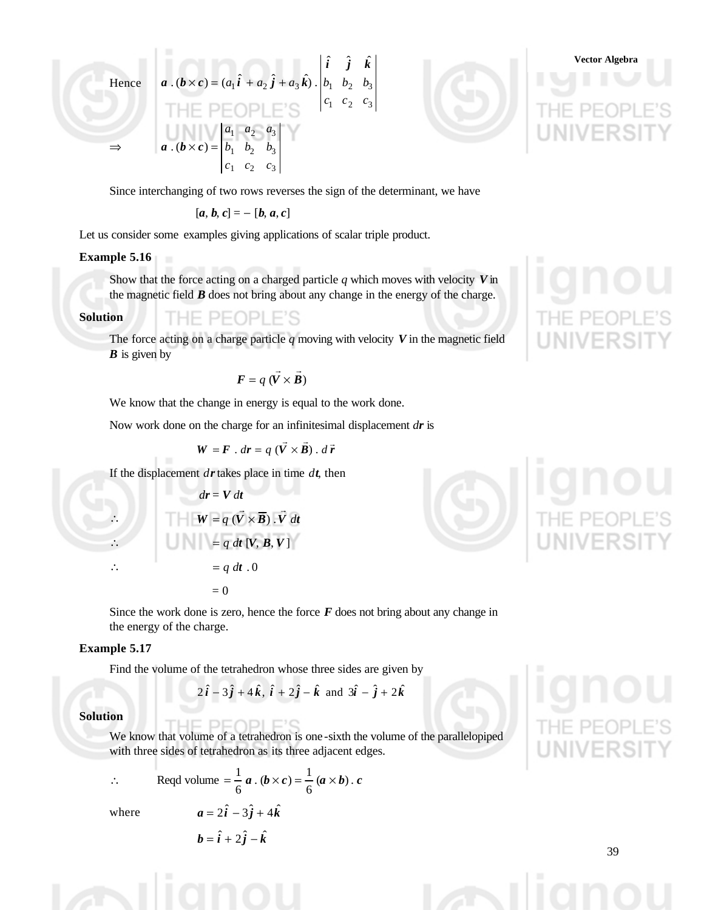Her

⇒

hence

\n
$$
\mathbf{a} \cdot (\mathbf{b} \times \mathbf{c}) = (a_1 \hat{\mathbf{i}} + a_2 \hat{\mathbf{j}} + a_3 \hat{\mathbf{k}}) \cdot \begin{vmatrix} \hat{\mathbf{i}} & \hat{\mathbf{j}} & \hat{\mathbf{k}} \\ b_1 & b_2 & b_3 \\ c_1 & c_2 & c_3 \end{vmatrix}
$$
\n
$$
\mathbf{a} \cdot (\mathbf{b} \times \mathbf{c}) = \begin{vmatrix} a_1 & a_2 & a_3 \\ b_1 & b_2 & b_3 \\ c_1 & c_2 & c_3 \end{vmatrix}
$$



Since interchanging of two rows reverses the sign of the determinant, we have

$$
[a, b, c] = - [b, a, c]
$$

Let us consider some examples giving applications of scalar triple product.

#### **Example 5.16**

Show that the force acting on a charged particle *q* which moves with velocity *V* in the magnetic field *B* does not bring about any change in the energy of the charge.

#### **Solution**

⊣⊢ PFOPLE'S

The force acting on a charge particle *q* moving with velocity *V* in the magnetic field *B* is given by

$$
\mathbf{F} = q \ (\vec{V} \times \vec{B})
$$

We know that the change in energy is equal to the work done.

Now work done on the charge for an infinitesimal displacement *dr* is

$$
W = F \cdot dr = q \left( \vec{V} \times \vec{B} \right) \cdot d\vec{r}
$$

If the displacement *dr* takes place in time *dt*, then





Since the work done is zero, hence the force  $F$  does not bring about any change in the energy of the charge.

#### **Example 5.17**

Find the volume of the tetrahedron whose three sides are given by

$$
2\hat{i}-3\hat{j}+4\hat{k}
$$
,  $\hat{i}+2\hat{j}-\hat{k}$  and  $3\hat{i}-\hat{j}+2\hat{k}$ 

#### **Solution**

We know that volume of a tetrahedron is one -sixth the volume of the parallelopiped with three sides of tetrahedron as its three adjacent edges.

∴ Reqd volume  $=\frac{1}{6}a \cdot (b \times c) = \frac{1}{6}(a \times b) \cdot c$  $\cdot (b \times c) = \frac{1}{2}$ 6  $=\frac{1}{a}$  a  $\cdot$   $(b \times c) = \frac{1}{a}$   $(a \times c)$ where  $a = 2\hat{i} - 3\hat{j} + 4\hat{k}$ 

$$
b = \hat{i} + 2\hat{j} - \hat{k}
$$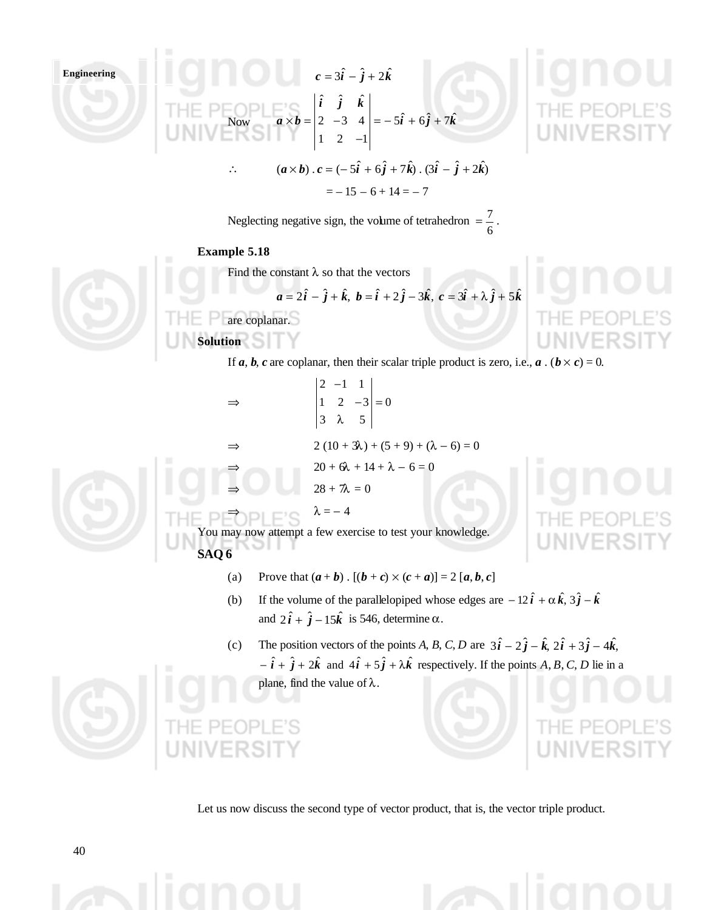

Let us now discuss the second type of vector product, that is, the vector triple product.

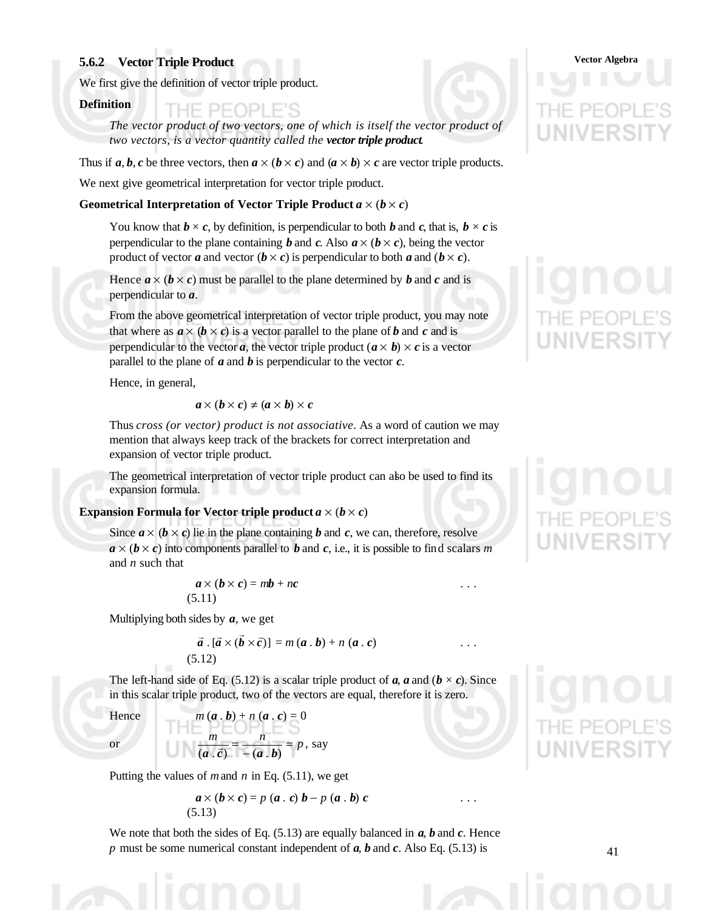# **Vector Algebra 5.6.2 Vector Triple Product**

We first give the definition of vector triple product.

#### **Definition**

THE PEOPLE'S

The vector product of two vectors, one of which is itself the vector product of *two vectors, is a vector quantity called the vector triple product.*

Thus if  $a, b, c$  be three vectors, then  $a \times (b \times c)$  and  $(a \times b) \times c$  are vector triple products.

We next give geometrical interpretation for vector triple product.

#### **Geometrical Interpretation of Vector Triple Product**  $a \times (b \times c)$

You know that  $\mathbf{b} \times \mathbf{c}$ , by definition, is perpendicular to both  $\mathbf{b}$  and  $\mathbf{c}$ , that is,  $\mathbf{b} \times \mathbf{c}$  is perpendicular to the plane containing *b* and *c*. Also  $a \times (b \times c)$ , being the vector product of vector *a* and vector  $(b \times c)$  is perpendicular to both *a* and  $(b \times c)$ .

Hence  $a \times (b \times c)$  must be parallel to the plane determined by *b* and *c* and is perpendicular to *a*.

From the above geometrical interpretation of vector triple product, you may note that where as  $a \times (b \times c)$  is a vector parallel to the plane of *b* and *c* and is perpendicular to the vector *a*, the vector triple product  $(a \times b) \times c$  is a vector parallel to the plane of  $\boldsymbol{a}$  and  $\boldsymbol{b}$  is perpendicular to the vector  $\boldsymbol{c}$ .

Hence, in general,

$$
a \times (b \times c) \neq (a \times b) \times c
$$

Thus *cross (or vector) product is not associative*. As a word of caution we may mention that always keep track of the brackets for correct interpretation and expansion of vector triple product.

The geometrical interpretation of vector triple product can also be used to find its expansion formula.

#### **Expansion Formula for Vector triple product**  $a \times (b \times c)$

Since  $a \times (b \times c)$  lie in the plane containing *b* and *c*, we can, therefore, resolve  $a \times (b \times c)$  into components parallel to *b* and *c*, i.e., it is possible to find scalars *m* and *n* such that

$$
a \times (b \times c) = mb + nc
$$
  
(5.11)

Multiplying both sides by *a*, we get

$$
\vec{a} \cdot [\vec{a} \times (\vec{b} \times \vec{c})] = m(a \cdot b) + n(a \cdot c) \quad \dots \quad \dots \quad \dots \quad \dots
$$
\n(5.12)

The left-hand side of Eq. (5.12) is a scalar triple product of  $a$ ,  $a$  and  $(b \times c)$ . Since in this scalar triple product, two of the vectors are equal, therefore it is zero.

 $m(\boldsymbol{a} \cdot \boldsymbol{b}) + n(\boldsymbol{a} \cdot \boldsymbol{c}) = 0$ or  $\frac{m}{\sqrt{r}} = \frac{n}{\sqrt{r}} = p$ , say *m n* − =  $(a \cdot \vec{c}) - (a \cdot \vec{b})$ 

Putting the values of *m* and *n* in Eq. (5.11), we get

$$
\mathbf{a} \times (\mathbf{b} \times \mathbf{c}) = p(\mathbf{a} \cdot \mathbf{c}) \mathbf{b} - p(\mathbf{a} \cdot \mathbf{b}) \mathbf{c} \quad \dots \quad \dots \quad \dots
$$
\n(5.13)

We note that both the sides of Eq. (5.13) are equally balanced in *a*, *b* and *c*. Hence *p* must be some numerical constant independent of *a*, *b* and *c*. Also Eq. (5.13) is

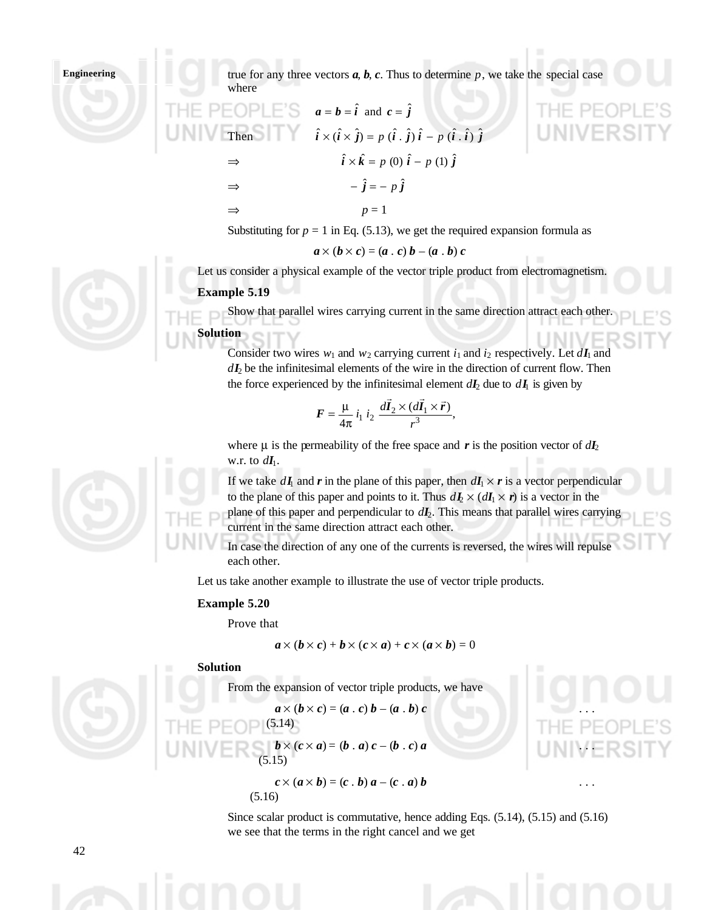true for any three vectors  $a, b, c$ . Thus to determine  $p$ , we take the special case where

THE PEDPLE'S 
$$
a = b = \hat{i}
$$
 and  $c = \hat{j}$ 

\nThus,  $\hat{i} \times (\hat{i} \times \hat{j}) = p(\hat{i} \cdot \hat{j})\hat{i} - p(\hat{i} \cdot \hat{i})\hat{j}$ 

\n $\Rightarrow \qquad \hat{i} \times \hat{k} = p(0)\hat{i} - p(1)\hat{j}$ 

\n $\Rightarrow \qquad -\hat{j} = -p\hat{j}$ 

\n $\Rightarrow \qquad p = 1$ 

Substituting for  $p = 1$  in Eq. (5.13), we get the required expansion formula as

$$
a \times (b \times c) = (a \cdot c) b - (a \cdot b) c
$$

Let us consider a physical example of the vector triple product from electromagnetism.

#### **Example 5.19**

Show that parallel wires carrying current in the same direction attract each other. **Solution**

Consider two wires  $w_1$  and  $w_2$  carrying current  $i_1$  and  $i_2$  respectively. Let  $dI_1$  and  $dI_2$  be the infinitesimal elements of the wire in the direction of current flow. Then the force experienced by the infinitesimal element  $dI_2$  due to  $dI_1$  is given by

$$
F = \frac{\mu}{4\pi} i_1 i_2 \frac{d\vec{I}_2 \times (d\vec{I}_1 \times \vec{r})}{r^3},
$$

where  $\mu$  is the permeability of the free space and  $\bf{r}$  is the position vector of  $d\bf{I}_2$ w.r. to  $d\mathbf{I}_1$ .

If we take  $dI_1$  and r in the plane of this paper, then  $dI_1 \times r$  is a vector perpendicular to the plane of this paper and points to it. Thus  $dI_2 \times (dI_1 \times r)$  is a vector in the plane of this paper and perpendicular to  $dI_2$ . This means that parallel wires carrying current in the same direction attract each other.

In case the direction of any one of the currents is reversed, the wires will repulse each other.

Let us take another example to illustrate the use of vector triple products.

#### **Example 5.20**

Prove that

$$
\boldsymbol{a}\times(\boldsymbol{b}\times\boldsymbol{c})+\boldsymbol{b}\times(\boldsymbol{c}\times\boldsymbol{a})+\boldsymbol{c}\times(\boldsymbol{a}\times\boldsymbol{b})=0
$$

**Solution**

From the expansion of vector triple products, we have

$$
\boldsymbol{a}\times(\boldsymbol{b}\times\boldsymbol{c})=(\boldsymbol{a}\cdot\boldsymbol{c})\,\boldsymbol{b}-(\boldsymbol{a}\cdot\boldsymbol{b})\,\boldsymbol{c}
$$

$$
INIVEER \simeq_{(5.15)} b \times (c \times a) = (b \cdot a) c - (b \cdot c) a
$$

 $(5.14)$ 

$$
c \times (a \times b) = (c \cdot b) a - (c \cdot a) b \qquad \qquad \dots
$$
\n(5.16)

Since scalar product is commutative, hence adding Eqs. (5.14), (5.15) and (5.16) we see that the terms in the right cancel and we get





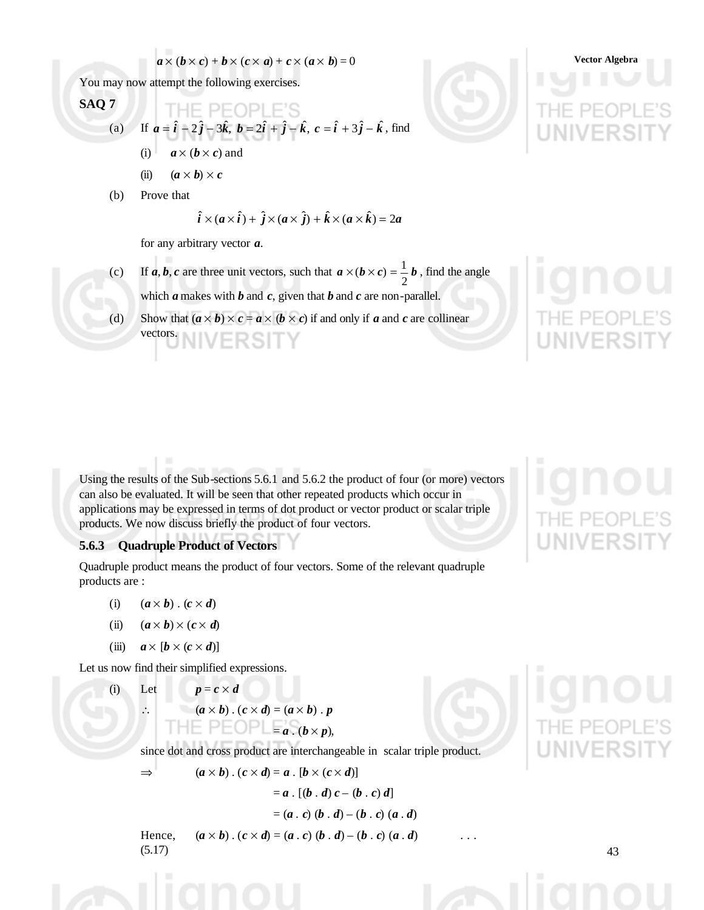$$
a \times (b \times c) + b \times (c \times a) + c \times (a \times b) = 0
$$
 Vector Algebra

You may now attempt the following exercises.

**SAQ 7**  
\n(a) If 
$$
\mathbf{a} = \hat{\mathbf{i}} - 2\hat{\mathbf{j}} - 3\hat{\mathbf{k}}, \ \mathbf{b} = 2\hat{\mathbf{i}} + \hat{\mathbf{j}} - \hat{\mathbf{k}}, \ \mathbf{c} = \hat{\mathbf{i}} + 3\hat{\mathbf{j}} - \hat{\mathbf{k}}
$$
, find  
\n(i)  $\mathbf{a} \times (\mathbf{b} \times \mathbf{c})$  and  
\n(ii)  $(\mathbf{a} \times \mathbf{b}) \times \mathbf{c}$ 

(b) Prove that

$$
\hat{i} \times (a \times \hat{i}) + \hat{j} \times (a \times \hat{j}) + \hat{k} \times (a \times \hat{k}) = 2a
$$

for any arbitrary vector *a*.

- (c) If *a*, *b*, *c* are three unit vectors, such that  $a \times (b \times c) = \frac{1}{a}b$ 2  $\times$  ( $\mathbf{b} \times \mathbf{c}$ ) =  $\frac{1}{2}$   $\mathbf{b}$ , find the angle which *a* makes with *b* and *c*, given that *b* and *c* are non-parallel.
- (d) Show that  $(a \times b) \times c = a \times (b \times c)$  if and only if *a* and *c* are collinear vectors.

Using the results of the Sub-sections 5.6.1 and 5.6.2 the product of four (or more) vectors can also be evaluated. It will be seen that other repeated products which occur in applications may be expressed in terms of dot product or vector product or scalar triple products. We now discuss briefly the product of four vectors.

## **5.6.3 Quadruple Product of Vectors**

Quadruple product means the product of four vectors. Some of the relevant quadruple products are :

- (i)  $(a \times b) \cdot (c \times d)$
- (ii)  $(a \times b) \times (c \times d)$
- (iii)  $a \times [b \times (c \times d)]$

Let us now find their simplified expressions.

(i) Let 
$$
p = c \times d
$$
  
\n $\therefore$   $(a \times b) \cdot (c \times d) = (a \times b) \cdot p$   
\n $\square$   $\square$   $\square$   $\square$   $\square$   $\square$   $\square$   $\square$   $\square$   $\square$   $\square$   $\square$   $\square$   $\square$   $\square$   $\square$   $\square$   $\square$   $\square$   $\square$   $\square$   $\square$   $\square$   $\square$   $\square$   $\square$   $\square$   $\square$   $\square$   $\square$   $\square$   $\square$   $\square$   $\square$   $\square$   $\square$   $\square$   $\square$   $\square$   $\square$   $\square$   $\square$   $\square$   $\square$   $\square$   $\square$   $\square$   $\square$   $\square$   $\square$   $\square$   $\square$   $\square$   $\square$   $\square$   $\square$   $\square$   $\square$   $\square$   $\square$   $\square$   $\square$   $\square$   $\square$   $\square$   $\square$   $\square$   $\square$   $\square$   $\square$   $\square$   $\square$   $\square$   $\square$   $\square$   $\square$   $\square$   $\square$   $\square$   $\square$   $\square$   $\square$   $\square$   $\square$   $\square$   $\square$   $\square$   $\square$   $\square$   $\square$   $\square$   $\square$   $\square$   $\square$   $\square$   $\square$   $\square$   $\square$   $\square$   $\square$   $\square$  <

since dot and cross product are interchangeable in scalar triple product.

$$
\Rightarrow \qquad (a \times b) \cdot (c \times d) = a \cdot [b \times (c \times d)]
$$

$$
= a \cdot [(b \cdot d) c - (b \cdot d)]
$$

 $=(a \cdot c) (b \cdot d) - (b \cdot c) (a \cdot d)$ 

 $c) d$ 

Hence,  $(a \times b) \cdot (c \times d) = (a \cdot c) (b \cdot d) - (b \cdot c) (a \cdot d)$ (5.17)

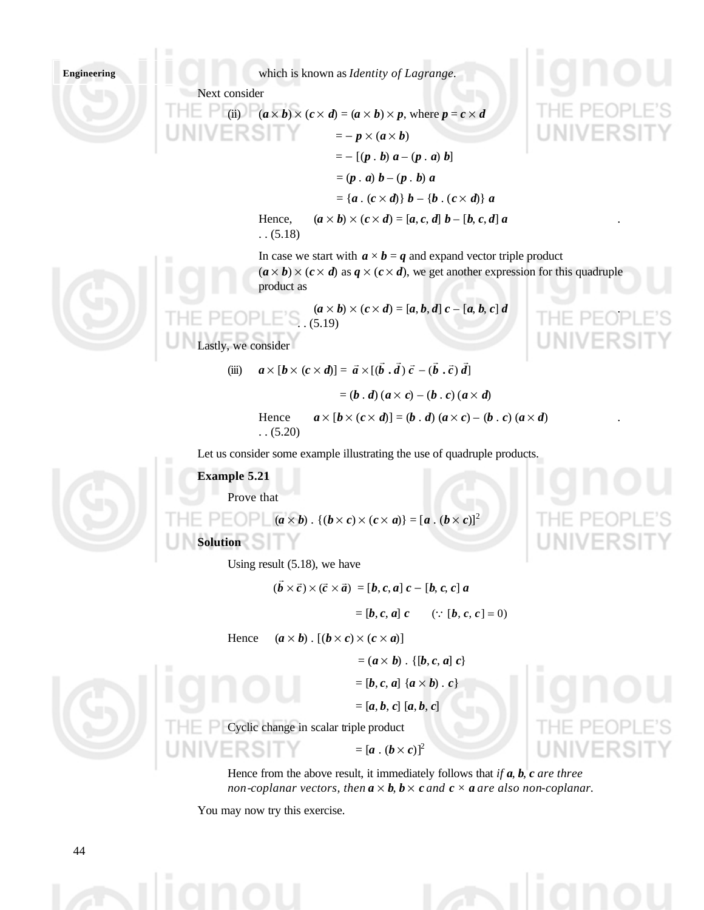which is known as *Identity of Lagrange.*

Next consider

(ii)  $(a \times b) \times (c \times d) = (a \times b) \times p$ , where  $p = c \times d$  $=- p \times (a \times b)$  $= - [(p \cdot b) a - (p \cdot a) b]$  $=(p \cdot a) b - (p \cdot b) a$  $= {a \cdot (c \times d)} b - {b \cdot (c \times d)} a$ Hence,  $(a \times b) \times (c \times d) = [a, c, d] b - [b, c, d] a$  $(5.18)$ 

> In case we start with  $a \times b = q$  and expand vector triple product  $(a \times b) \times (c \times d)$  as  $q \times (c \times d)$ , we get another expression for this quadruple product as



(iii)  $a \times [b \times (c \times d)] = \vec{a} \times [(\vec{b} \cdot \vec{d}) \vec{c} - (\vec{b} \cdot \vec{c}) \vec{d}]$  $=(b \cdot d)(a \times c) - (b \cdot c)(a \times d)$ Hence  $a \times [b \times (c \times d)] = (b \cdot d) (a \times c) - (b \cdot c) (a \times d)$ 

 $(5.20)$ 

Let us consider some example illustrating the use of quadruple products.

**Example 5.21**

Lastly, we consider

Prove that

 $\begin{bmatrix} a \times b \end{bmatrix}$  .  $\{(b \times c) \times (c \times a)\} = [a \cdot (b \times c)]^2$ 

**Solution**

Using result (5.18), we have

$$
(\vec{b}\times\vec{c})\times(\vec{c}\times\vec{a})=[b,c,a]c-[b,c,c]a
$$

 $=[\boldsymbol{b}, \boldsymbol{c}, \boldsymbol{a}] \ \boldsymbol{c} \qquad (\because [\boldsymbol{b}, \boldsymbol{c}, \boldsymbol{c}] = 0)$ 

Hence  $(a \times b)$ .  $[(b \times c) \times (c \times a)]$ 

 $=(a \times b) \cdot \{[b, c, a] \ c\}$ 

 $=[b, c, a]$   $\{a \times b\}$ .  $c$ }

 $=[a, b, c] [a, b, c]$ 

Cyclic change in scalar triple product

 $= [a \cdot (b \times c)]^2$ 

Hence from the above result, it immediately follows that *if a*, *b*, *c are three non-coplanar vectors, then*  $a \times b$ ,  $b \times c$  *and*  $c \times a$  *are also non-coplanar.* 

You may now try this exercise.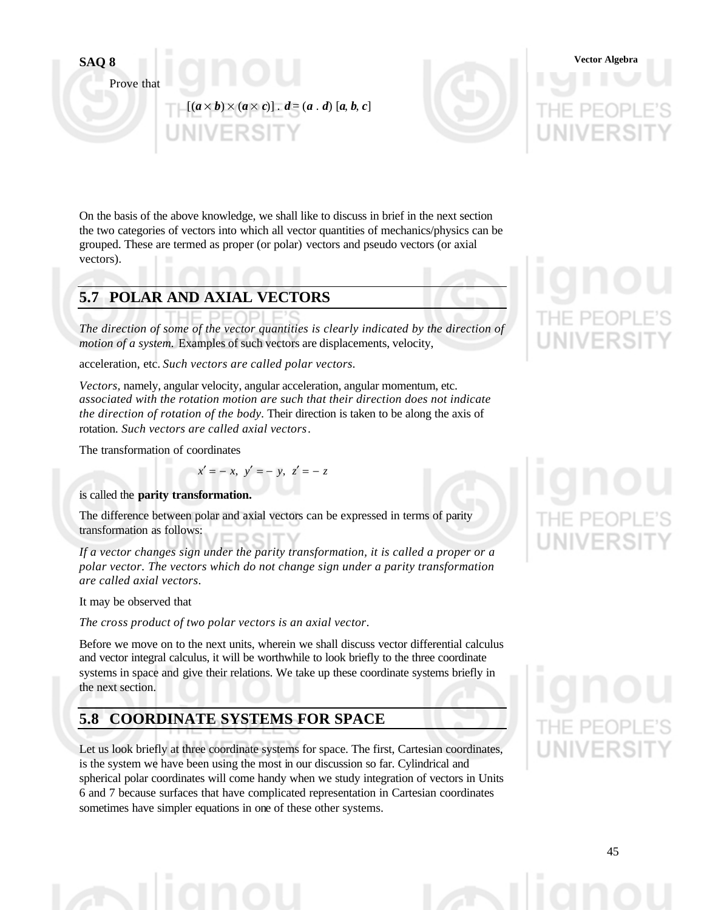

Prove that

 $[(a \times b) \times (a \times c)]$ .  $d = (a \cdot d) [a, b, c]$ 



On the basis of the above knowledge, we shall like to discuss in brief in the next section the two categories of vectors into which all vector quantities of mechanics/physics can be grouped. These are termed as proper (or polar) vectors and pseudo vectors (or axial vectors).

# **5.7 POLAR AND AXIAL VECTORS**

*The direction of some of the vector quantities is clearly indicated by the direction of motion of a system.* Examples of such vectors are displacements, velocity,

acceleration, etc. *Such vectors are called polar vectors.*

*Vectors,* namely, angular velocity, angular acceleration, angular momentum, etc. *associated with the rotation motion are such that their direction does not indicate the direction of rotation of the body.* Their direction is taken to be along the axis of rotation. *Such vectors are called axial vectors*.

The transformation of coordinates

 $x' = -x$ ,  $y' = -y$ ,  $z' = -z$ 

## is called the **parity transformation.**

The difference between polar and axial vectors can be expressed in terms of parity transformation as follows:

*If a vector changes sign under the parity transformation, it is called a proper or a polar vector. The vectors which do not change sign under a parity transformation are called axial vectors*.

It may be observed that

*The cross product of two polar vectors is an axial vector*.

Before we move on to the next units, wherein we shall discuss vector differential calculus and vector integral calculus, it will be worthwhile to look briefly to the three coordinate systems in space and give their relations. We take up these coordinate systems briefly in the next section.

# **5.8 COORDINATE SYSTEMS FOR SPACE**

Let us look briefly at three coordinate systems for space. The first, Cartesian coordinates, is the system we have been using the most in our discussion so far. Cylindrical and spherical polar coordinates will come handy when we study integration of vectors in Units 6 and 7 because surfaces that have complicated representation in Cartesian coordinates sometimes have simpler equations in one of these other systems.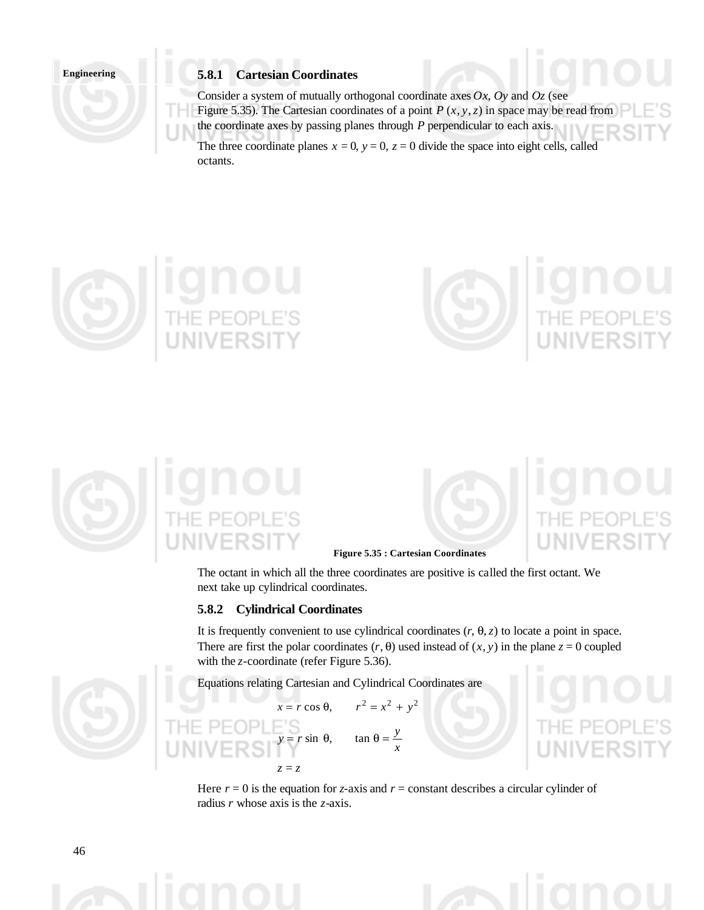

## **5.8.1 Cartesian Coordinates**

Consider a system of mutually orthogonal coordinate axes *Ox*, *Oy* and *Oz* (see Figure 5.35). The Cartesian coordinates of a point  $P(x, y, z)$  in space may be read from the coordinate axes by passing planes through *P* perpendicular to each axis. The three coordinate planes  $x = 0$ ,  $y = 0$ ,  $z = 0$  divide the space into eight cells, called octants.









#### **Figure 5.35 : Cartesian Coordinates**

The octant in which all the three coordinates are positive is called the first octant. We next take up cylindrical coordinates.

#### **5.8.2 Cylindrical Coordinates**

It is frequently convenient to use cylindrical coordinates  $(r, \theta, z)$  to locate a point in space. There are first the polar coordinates  $(r, \theta)$  used instead of  $(x, y)$  in the plane  $z = 0$  coupled with the *z*-coordinate (refer Figure 5.36).

Equations relating Cartesian and Cylindrical Coordinates are

 $r \sin \theta$ ,

 $z = z$ 

 $r^2 = x^2 + y^2$  $x = r \cos \theta$ . *x y*



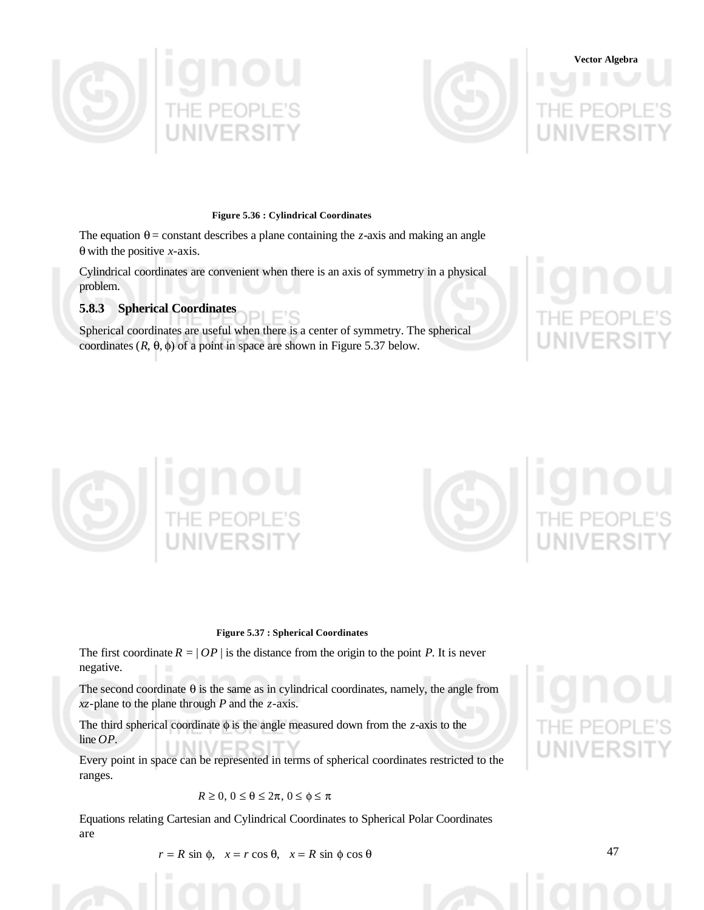



# **Vector Algebra**

#### **Figure 5.36 : Cylindrical Coordinates**

The equation  $\theta$  = constant describes a plane containing the *z*-axis and making an angle θ with the positive *x*-axis.

Cylindrical coordinates are convenient when there is an axis of symmetry in a physical problem.

# **5.8.3 Spherical Coordinates**

Spherical coordinates are useful when there is a center of symmetry. The spherical coordinates  $(R, \theta, \phi)$  of a point in space are shown in Figure 5.37 below.





#### **Figure 5.37 : Spherical Coordinates**

The first coordinate  $R = |OP|$  is the distance from the origin to the point *P*. It is never negative.

The second coordinate  $\theta$  is the same as in cylindrical coordinates, namely, the angle from *xz*-plane to the plane through *P* and the *z*-axis.

The third spherical coordinate φ is the angle measured down from the *z*-axis to the line *OP*.

Every point in space can be represented in terms of spherical coordinates restricted to the ranges.

## $R \ge 0, 0 \le \theta \le 2\pi, 0 \le \phi \le \pi$

Equations relating Cartesian and Cylindrical Coordinates to Spherical Polar Coordinates are

 $r = R \sin \phi$ ,  $x = r \cos \theta$ ,  $x = R \sin \phi \cos \theta$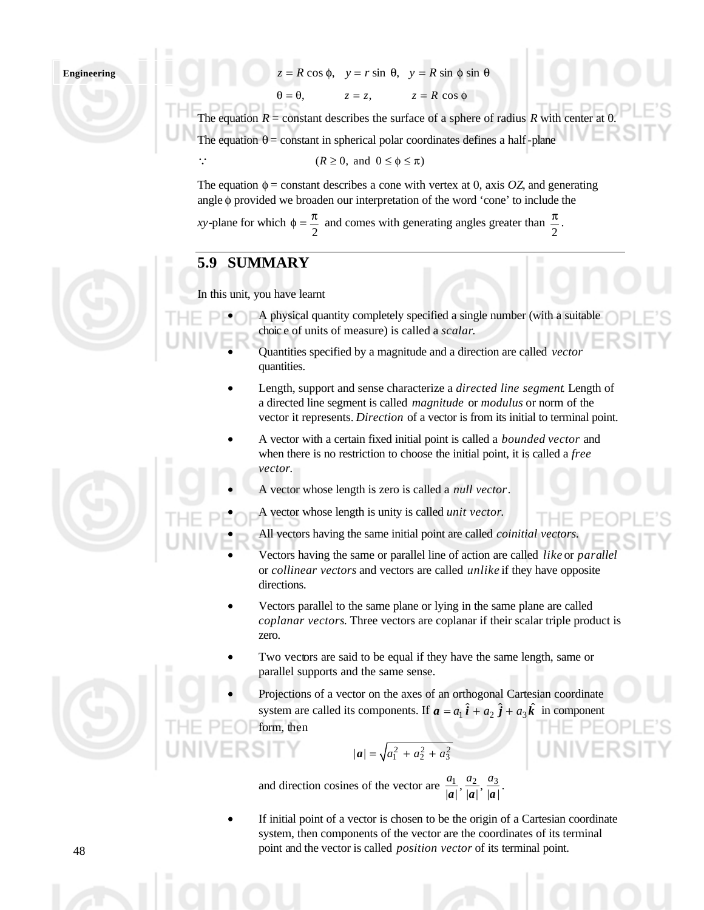# $= R \cos φ$ ,  $y = r \sin θ$ ,  $y = R \sin φ \sin θ$

 $\theta = \theta$ ,  $z = z$ ,  $z = R \cos \phi$ 

The equation  $R =$  constant describes the surface of a sphere of radius  $R$  with center at 0. The equation  $\theta$  = constant in spherical polar coordinates defines a half-plane

#### $\therefore$   $(R \ge 0, \text{ and } 0 \le \phi \le \pi)$

The equation  $\phi$  = constant describes a cone with vertex at 0, axis *OZ*, and generating angle φ provided we broaden our interpretation of the word 'cone' to include the

*xy*-plane for which 2  $\phi = \frac{\pi}{2}$  and comes with generating angles greater than  $\frac{\pi}{2}$  $\frac{\pi}{\pi}$ .

# **5.9 SUMMARY**

In this unit, you have learnt

- A physical quantity completely specified a single number (with a suitable choic e of units of measure) is called a *scalar*.
	- Quantities specified by a magnitude and a direction are called *vector* quantities.
	- Length, support and sense characterize a *directed line segment*. Length of a directed line segment is called *magnitude* or *modulus* or norm of the vector it represents. *Direction* of a vector is from its initial to terminal point.
	- A vector with a certain fixed initial point is called a *bounded vector* and when there is no restriction to choose the initial point, it is called a *free vector*.
		- A vector whose length is zero is called a *null vector*.
		- A vector whose length is unity is called *unit vector*.
			- All vectors having the same initial point are called *coinitial vectors.*
			- Vectors having the same or parallel line of action are called *like* or *parallel* or *collinear vectors* and vectors are called *unlike* if they have opposite directions.
	- Vectors parallel to the same plane or lying in the same plane are called *coplanar vectors*. Three vectors are coplanar if their scalar triple product is zero.
	- Two vectors are said to be equal if they have the same length, same or parallel supports and the same sense.
		- Projections of a vector on the axes of an orthogonal Cartesian coordinate system are called its components. If  $\boldsymbol{a} = a_1 \hat{i} + a_2 \hat{j} + a_3 \hat{k}$  in component form, then

$$
|\boldsymbol{a}| = \sqrt{a_1^2 + a_2^2 + a_3^2}
$$

and direction cosines of the vector are  $\frac{a_1}{|a|}, \frac{a_2}{|a|}, \frac{a_3}{|a|}$  $a_1$   $a_2$   $a_3$  $a \mid \dot{a} \mid \dot{a}$  $\frac{a_1}{a_2}, \frac{a_2}{a_3}$ .

If initial point of a vector is chosen to be the origin of a Cartesian coordinate system, then components of the vector are the coordinates of its terminal point and the vector is called *position vector* of its terminal point.

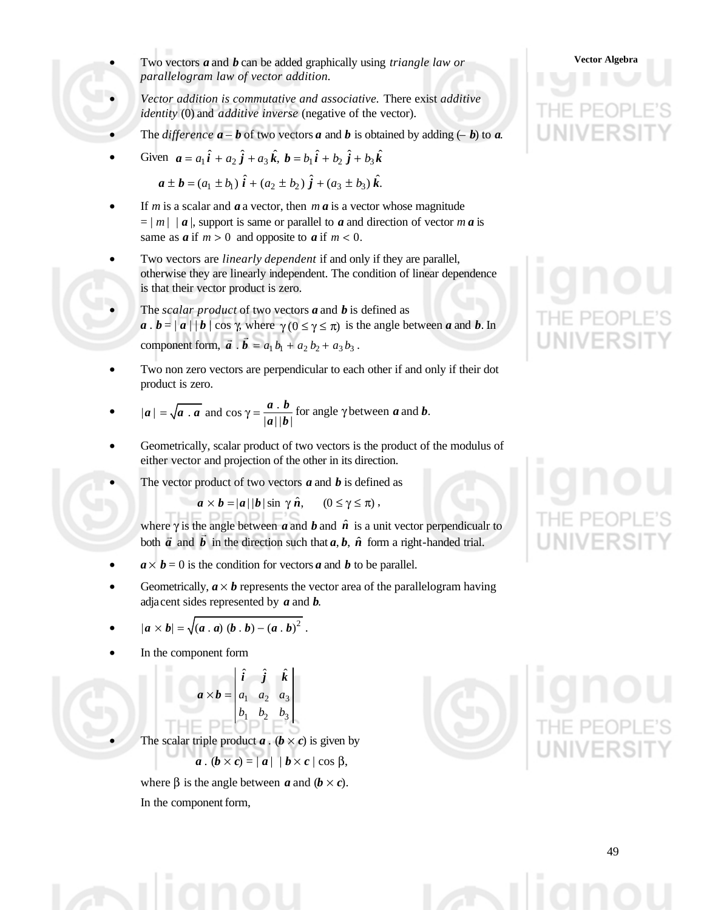- Two vectors *a* and *b* can be added graphically using *triangle law or* **Vector Algebra** *parallelogram law of vector addition.*
- *Vector addition is commutative and associative.* There exist *additive identity* (0) and *additive inverse* (negative of the vector).
- The *difference*  $\mathbf{a} \mathbf{b}$  of two vectors  $\mathbf{a}$  and  $\mathbf{b}$  is obtained by adding  $(-\mathbf{b})$  to  $\mathbf{a}$ .
- Given  $a = a_1 \hat{i} + a_2 \hat{j} + a_3 \hat{k}$ ,  $b = b_1 \hat{i} + b_2 \hat{j} + b_3 \hat{k}$

 $\hat{a} \pm \hat{b} = (a_1 \pm b_1) \hat{i} + (a_2 \pm b_2) \hat{j} + (a_3 \pm b_3) \hat{k}.$ 

- If *m* is a scalar and  $\boldsymbol{a}$  a vector, then  $\boldsymbol{m}$   $\boldsymbol{a}$  is a vector whose magnitude  $= |m| |a|$ , support is same or parallel to *a* and direction of vector *m a* is same as  $a$  if  $m > 0$  and opposite to  $a$  if  $m < 0$ .
- Two vectors are *linearly dependent* if and only if they are parallel, otherwise they are linearly independent. The condition of linear dependence is that their vector product is zero.
	- The *scalar product* of two vectors *a* and *b* is defined as  $a \cdot b = |a| | b | \cos \gamma$ , where  $\gamma(0 \le \gamma \le \pi)$  is the angle between *a* and *b*. In component form,  $\vec{a} \cdot \vec{b} = a_1 b_1 + a_2 b_2 + a_3 b_3$  $\vec{a} \cdot \vec{b} = a_1 b_1 + a_2 b_2 + a_3 b_3$ .
- Two non zero vectors are perpendicular to each other if and only if their dot product is zero.

• 
$$
|a| = \sqrt{a \cdot a}
$$
 and  $\cos \gamma = \frac{a \cdot b}{|a||b|}$  for angle  $\gamma$  between **a** and **b**.

- Geometrically, scalar product of two vectors is the product of the modulus of either vector and projection of the other in its direction.
	- The vector product of two vectors  $\boldsymbol{a}$  and  $\boldsymbol{b}$  is defined as

$$
a \times b = |a| |b| \sin \gamma \hat{n}, \qquad (0 \le \gamma \le \pi) ,
$$

where  $\gamma$  is the angle between *a* and *b* and  $\hat{n}$  is a unit vector perpendicualr to both  $\vec{a}$  and  $\vec{b}$  in the direction such that  $a$ ,  $b$ ,  $\hat{n}$  form a right-handed trial.

- $a \times b = 0$  is the condition for vectors *a* and *b* to be parallel.
- Geometrically,  $\mathbf{a} \times \mathbf{b}$  represents the vector area of the parallelogram having adjacent sides represented by *a* and *b*.

• 
$$
|a \times b| = \sqrt{(a \cdot a) (b \cdot b) - (a \cdot b)^2}
$$
.

In the component form

$$
\mathbf{a} \times \mathbf{b} = \begin{vmatrix} \hat{\mathbf{i}} & \hat{\mathbf{j}} & \hat{\mathbf{k}} \\ a_1 & a_2 & a_3 \\ b_1 & b_2 & b_3 \end{vmatrix}
$$

The scalar triple product  $a \cdot (b \times c)$  is given by

 $a \cdot (b \times c) = |a| | b \times c | \cos \beta$ ,

where β is the angle between *a* and  $(b \times c)$ . In the component form,





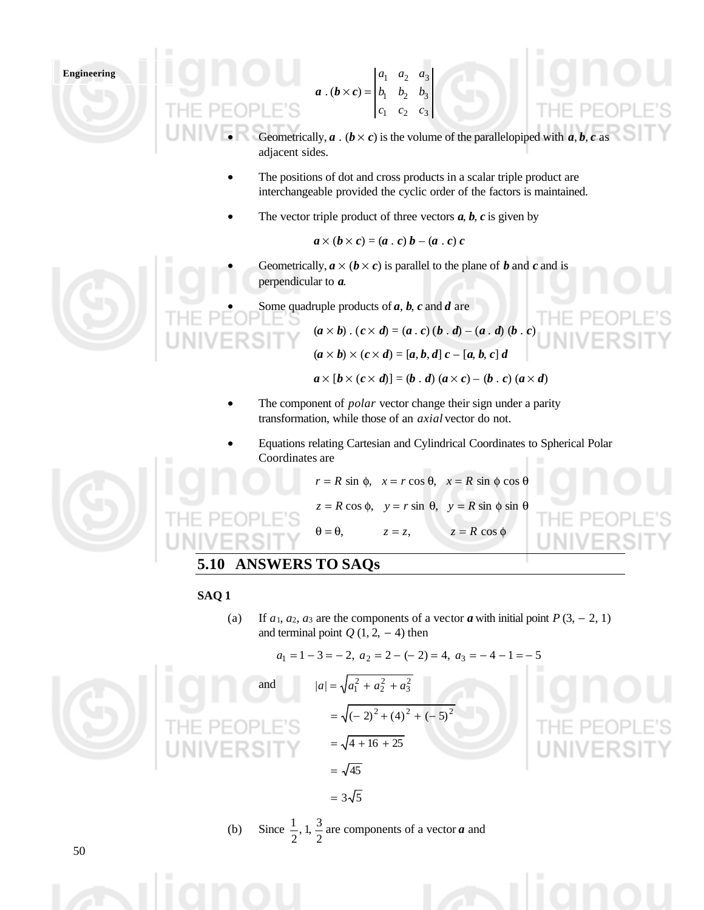$$
a \cdot (b \times c) = \begin{vmatrix} a_1 & a_2 & a_3 \\ b_1 & b_2 & b_3 \\ c_1 & c_2 & c_3 \end{vmatrix}
$$

- Geometrically,  $\boldsymbol{a}$  . ( $\boldsymbol{b} \times \boldsymbol{c}$ ) is the volume of the parallelopiped with  $\boldsymbol{a}, \boldsymbol{b}, \boldsymbol{c}$  as adjacent sides.
- The positions of dot and cross products in a scalar triple product are interchangeable provided the cyclic order of the factors is maintained.
- The vector triple product of three vectors  $a, b, c$  is given by

$$
a \times (b \times c) = (a \cdot c) b - (a \cdot c) c
$$

Geometrically,  $a \times (b \times c)$  is parallel to the plane of *b* and *c* and is perpendicular to *a*.

• Some quadruple products of *a*, *b*, *c* and *d* are

$$
(a \times b) \cdot (c \times d) = (a \cdot c) (b \cdot d) - (a \cdot d) (b \cdot c)
$$

$$
(a \times b) \times (c \times d) = [a, b, d] c - [a, b, c] d
$$

$$
a \times [b \times (c \times d)] = (b \cdot d) (a \times c) - (b \cdot c) (a \times d)
$$

- The component of *polar* vector change their sign under a parity transformation, while those of an *axial* vector do not.
	- Equations relating Cartesian and Cylindrical Coordinates to Spherical Polar Coordinates are



*r* = *R* sin φ,  $x = r \cos θ$ ,  $x = R \sin φ \cos θ$  $z = R \cos \phi$ ,  $y = r \sin \theta$ ,  $y = R \sin \phi \sin \theta$  $\theta = \theta$ ,  $z = z$ ,  $z = R \cos \phi$ 

# **5.10 ANSWERS TO SAQs**

## **SAQ 1**

(a) If  $a_1, a_2, a_3$  are the components of a vector *a* with initial point  $P(3, -2, 1)$ and terminal point  $Q(1, 2, -4)$  then

$$
a_1 = 1 - 3 = -2
$$
,  $a_2 = 2 - (-2) = 4$ ,  $a_3 = -4 - 1 = -5$ 

and 
$$
|a| = \sqrt{a_1^2 + a_2^2 + a_3^2}
$$
  
=  $\sqrt{(-2)^2 + (4)^2 + (-5)^2}$   
=  $\sqrt{4 + 16 + 25}$   
=  $\sqrt{45}$ 



 $= 3\sqrt{5}$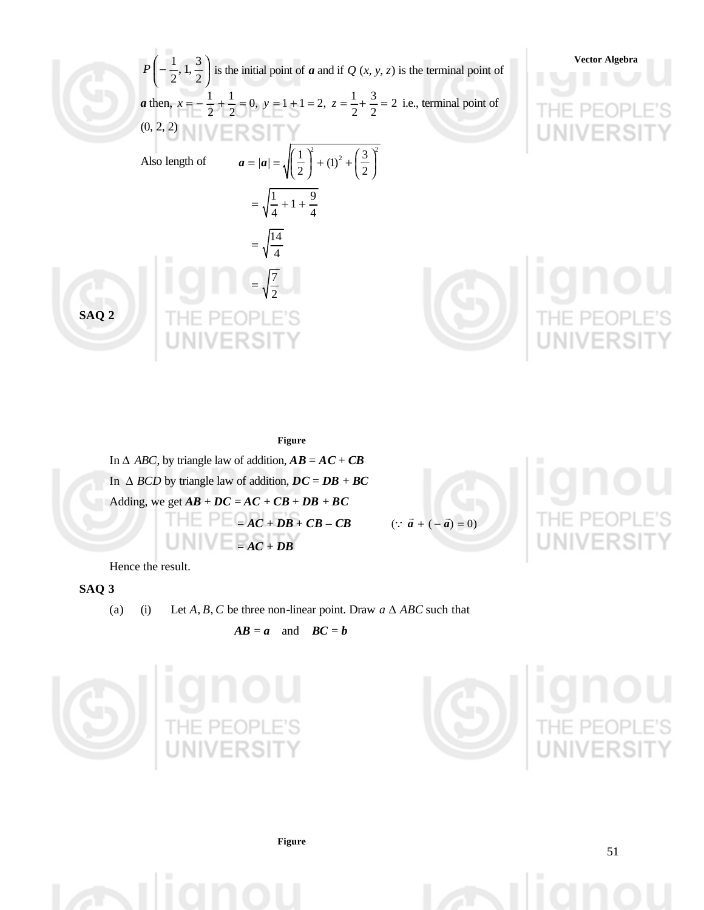

**Figure** In  $\triangle$  *ABC*, by triangle law of addition,  $\mathbf{AB} = \mathbf{AC} + \mathbf{CB}$ In  $\triangle$  *BCD* by triangle law of addition,  $DC = DB + BC$ Adding, we get  $\overline{AB}$  +  $\overline{DC}$  =  $\overline{AC}$  +  $\overline{CB}$  +  $\overline{DB}$  +  $\overline{BC}$  $= AC + DB + CB - CB$  $= AC + DB$ 

 $\therefore \vec{a} + (-\vec{a})$ 

Hence the result.

# **SAQ 3**

(a) (i) Let *A*, *B*, *C* be three non-linear point. Draw  $a \Delta ABC$  such that

$$
AB = a \quad \text{and} \quad BC = b
$$





**Figure**

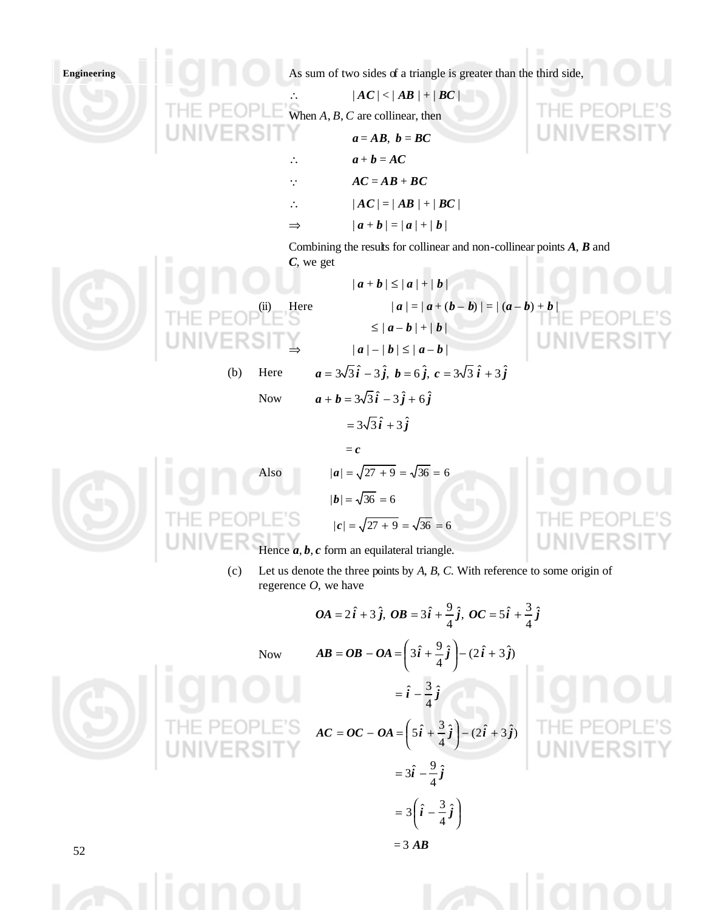

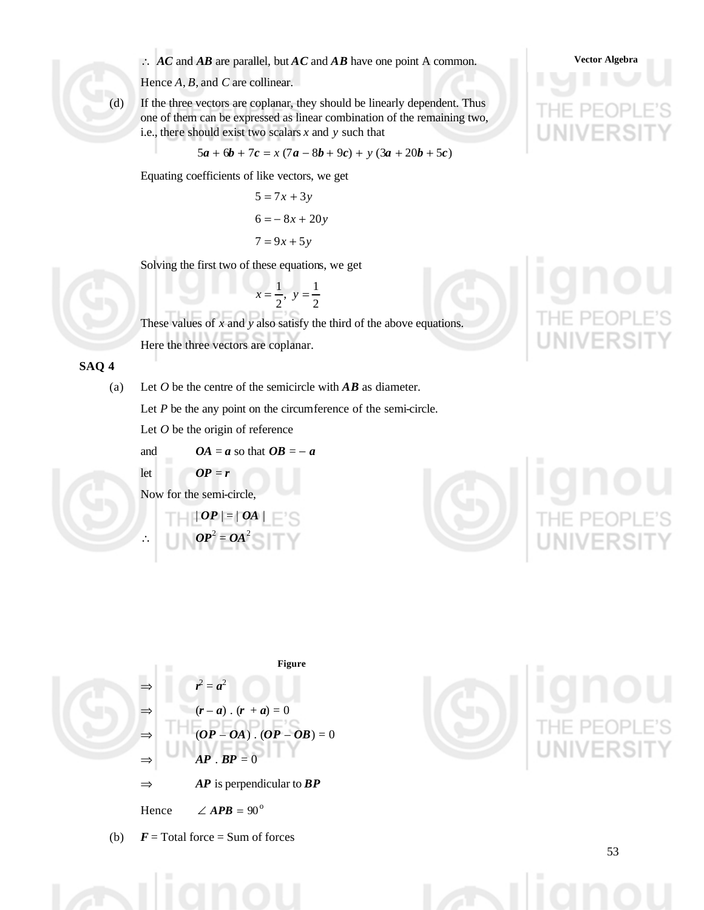∴ *AC* and *AB* are parallel, but *AC* and *AB* have one point A common. Vector Algebra

Hence *A*, *B*, and *C* are collinear.

(d) If the three vectors are coplanar, they should be linearly dependent. Thus one of them can be expressed as linear combination of the remaining two, i.e., there should exist two scalars *x* and *y* such that

$$
5a + 6b + 7c = x(7a - 8b + 9c) + y(3a + 20b + 5c)
$$

Equating coefficients of like vectors, we get

$$
5 = 7x + 3y
$$

$$
6 = -8x + 20y
$$

$$
7 = 9x + 5y
$$

Solving the first two of these equations, we get

2  $y=\frac{1}{2}$ 2  $x = \frac{1}{2}, y =$ 



These values of *x* and *y* also satisfy the third of the above equations. Here the three vectors are coplanar.

## **SAQ 4**

(a) Let *O* be the centre of the semicircle with *AB* as diameter.

Let *P* be the any point on the circumference of the semi-circle.

Let *O* be the origin of reference

 $\boldsymbol{OP} = \boldsymbol{r}$ 

and 
$$
OA = a
$$
 so that  $OB = -a$ 

$$
\quad \ \ \text{let} \quad \ \
$$

Now for the semi-circle,

$$
|OP| = |OA|
$$
  

$$
OP2 = OA2
$$



Figure  
\n
$$
\Rightarrow \quad r^2 = a^2
$$
\n
$$
\Rightarrow \quad (r - a) \cdot (r + a) = 0
$$
\n
$$
\Rightarrow \quad (OP - OA) \cdot (OP - OB) = 0
$$
\n
$$
\Rightarrow \quad AP \cdot BP = 0
$$
\n
$$
\Rightarrow \quad AP \text{ is perpendicular to } BP
$$

Hence  $\angle APB = 90^\circ$ 

(b)  $\mathbf{F} = \text{Total force} = \text{Sum of forces}$ 



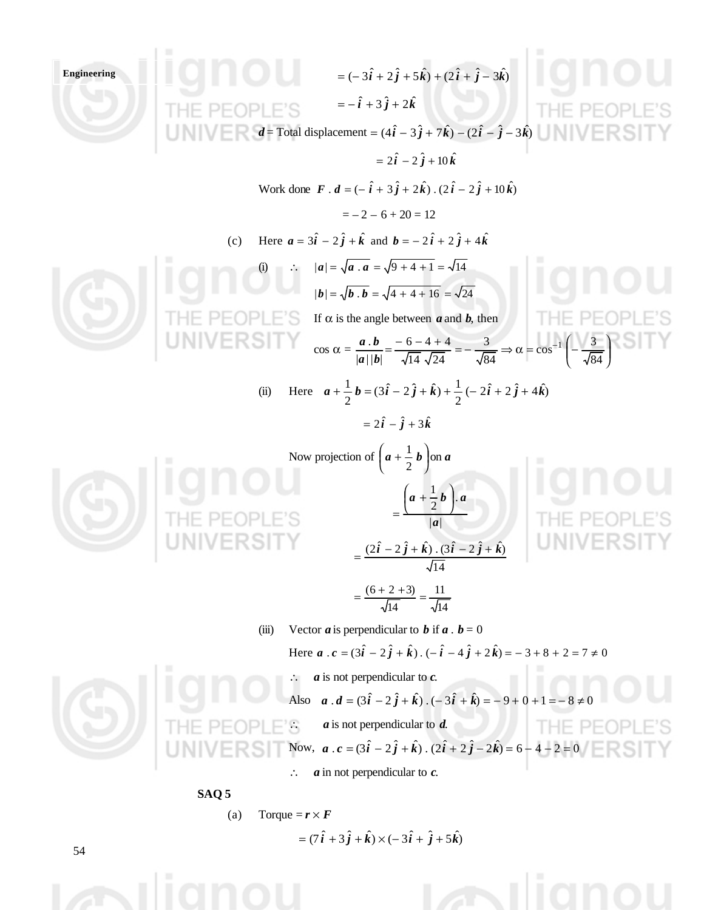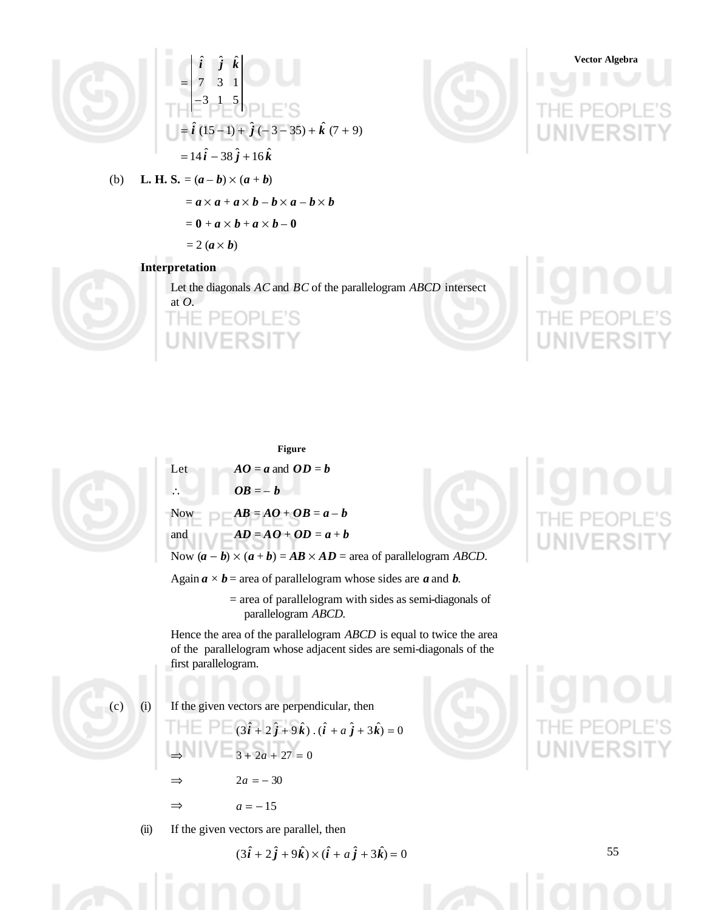



# **Vector Algebra**

(b) **L. H. S.** =  $(a - b) \times (a + b)$ 

 $= a \times a + a \times b - b \times a - b \times b$ 

$$
= \mathbf{0} + \boldsymbol{a} \times \boldsymbol{b} + \boldsymbol{a} \times \boldsymbol{b} - \mathbf{0}
$$

 $= 2$  ( $\boldsymbol{a} \times \boldsymbol{b}$ )

## **Interpretation**

Let the diagonals *AC* and *BC* of the parallelogram *ABCD* intersect at *O*. ٠F.



**Figure** Let  $AO = a$  and  $OD = b$  $\therefore$  *OB* = – *b* Now  $AB = AO + OB = a - b$ and  $AD = AO + OD = a + b$ Now  $(a - b) \times (a + b) = AB \times AD$  = area of parallelogram *ABCD*.

Again  $a \times b$  = area of parallelogram whose sides are *a* and *b*.

 = area of parallelogram with sides as semi-diagonals of parallelogram *ABCD.*

Hence the area of the parallelogram *ABCD* is equal to twice the area of the parallelogram whose adjacent sides are semi-diagonals of the first parallelogram.

(c) (i) If the given vectors are perpendicular, then

$$
(3\hat{i} + 2\hat{j} + 9\hat{k}) \cdot (\hat{i} + a\hat{j} + 3\hat{k}) = 0
$$
  
\n
$$
\Rightarrow \qquad 3 + 2a + 27 = 0
$$
  
\n
$$
\Rightarrow \qquad 2a = -30
$$
  
\n
$$
\Rightarrow \qquad a = -15
$$

(ii) If the given vectors are parallel, then

$$
(3\hat{i} + 2\hat{j} + 9\hat{k}) \times (\hat{i} + a\hat{j} + 3\hat{k}) = 0
$$

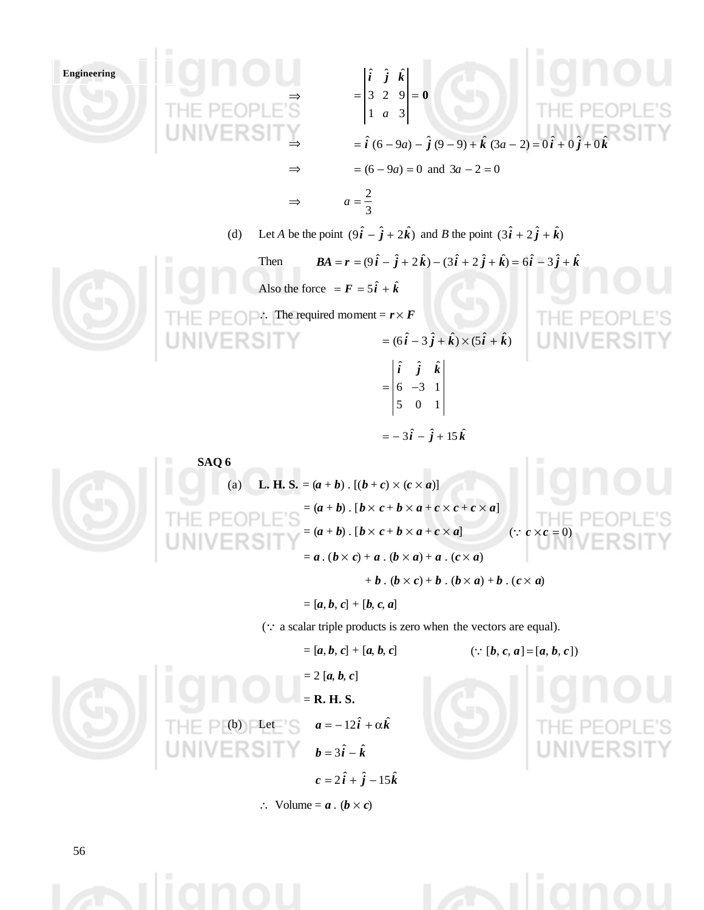

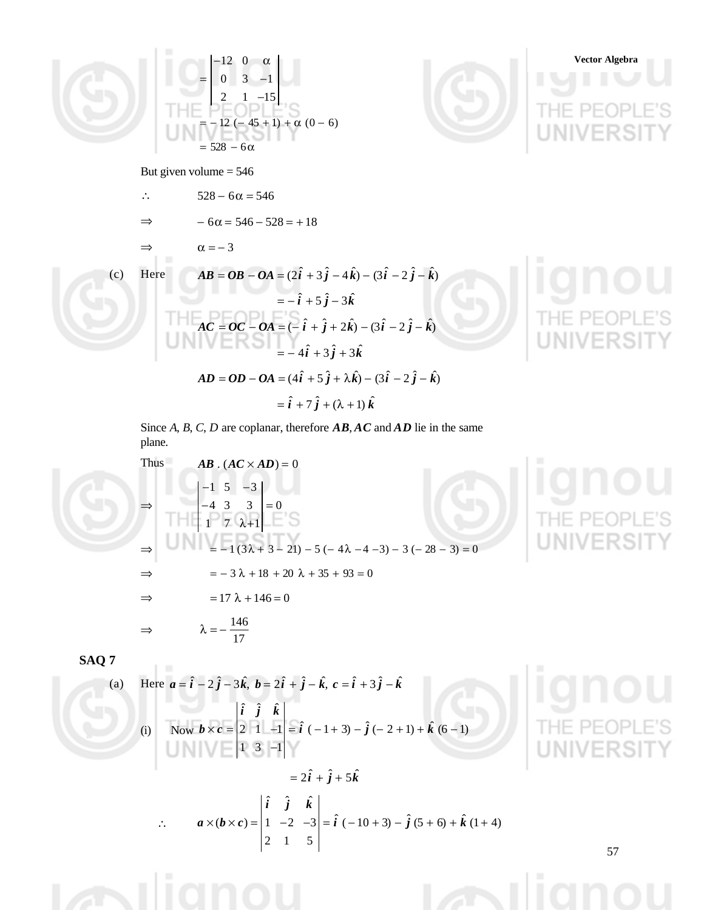

Since *A*, *B*, *C*, *D* are coplanar, therefore *AB*, *AC* and *AD* lie in the same plane.

Thus 
$$
AB \cdot (AC \times AD) = 0
$$
  
\n
$$
\begin{vmatrix}\n-1 & 5 & -3 \\
-4 & 3 & 3 \\
1 & 7 & \lambda+1\n\end{vmatrix} = 0
$$
\n
$$
= -1(3\lambda + 3 - 21) - 5(-4\lambda - 4 - 3) - 3(-28 - 3) = 0
$$
\n
$$
\Rightarrow = -3\lambda + 18 + 20\lambda + 35 + 93 = 0
$$
\n
$$
\Rightarrow = 17\lambda + 146 = 0
$$
\n
$$
\Rightarrow \lambda = -\frac{146}{17}
$$

**SAQ 7**

(a) Here  $a = \hat{i} - 2\hat{j} - 3\hat{k}$ ,  $b = 2\hat{i} + \hat{j} - \hat{k}$ ,  $c = \hat{i} + 3\hat{j} - \hat{k}$ (i) Now  $\mathbf{b} \times \mathbf{c} = \begin{vmatrix} 2 & 1 & -1 \end{vmatrix} = \hat{\mathbf{i}} \ (-1 + 3) - \hat{\mathbf{j}} \ (-2 + 1) + \hat{\mathbf{k}} \ (6 - 1)$  $1 \quad 3 \quad -1$  $\hat{i}$   $\hat{j}$   $\hat{k}$  $= 2\hat{i} + \hat{j} + 5\hat{k}$ 

$$
\therefore \qquad a \times (b \times c) = \begin{vmatrix} \hat{i} & \hat{j} & \hat{k} \\ 1 & -2 & -3 \\ 2 & 1 & 5 \end{vmatrix} = \hat{i} (-10 + 3) - \hat{j} (5 + 6) + \hat{k} (1 + 4)
$$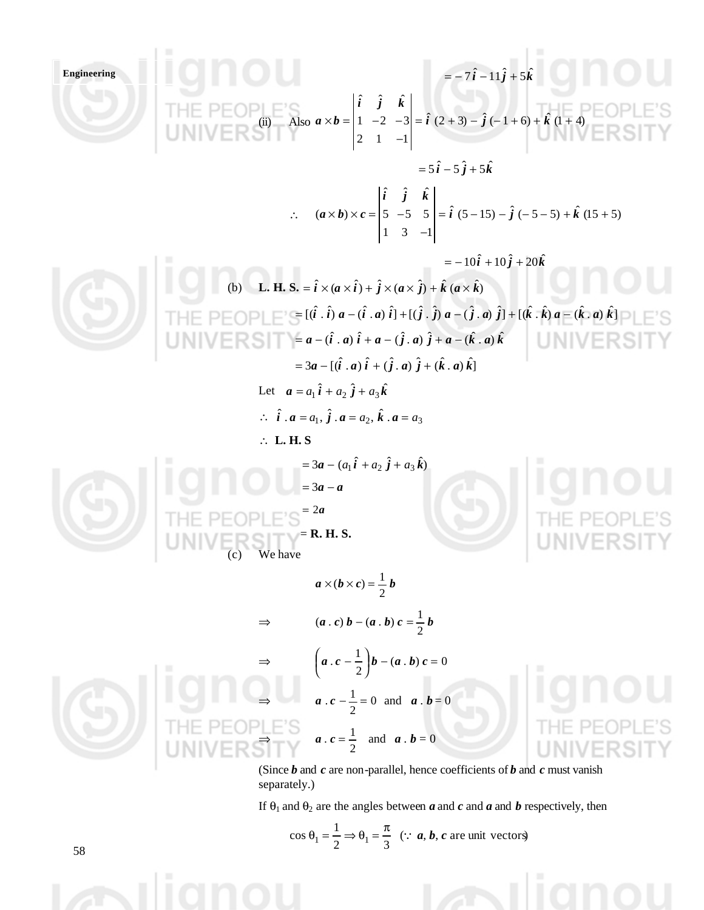**Engineering**  *i j k* ˆ 5 ˆ 11 ˆ = − 7 − + (ii) Also (1 4) ˆ ( 1 6) ˆ (2 3) ˆ 2 1 1 1 2 3 ˆ ˆ ˆ = + − − + + + − × = − − *i j k i j k a b i j k* ˆ 5 ˆ 5 ˆ = 5 − + ∴ (15 5) ˆ ( 5 5) ˆ (5 15) ˆ 1 3 1 5 5 5 ˆ ˆ ˆ ( ) = − − − − + + − × × = − *i j k i j k a b c i j k* ˆ 20 ˆ 10 ˆ = − 10 + + (b) **L. H. S.** ) ˆ ( ˆ ) ˆ ( ˆ ) ˆ ( ˆ = *i* × *a* × *i* + *j* × *a* × *j* + *k a* × *k* ] ˆ . ) ˆ ) ( ˆ . ˆ ] [( ˆ . ) ˆ ) ( ˆ . ˆ ] [( ˆ . ) ˆ ) ( ˆ . ˆ = [(*i i a* − *i a i* + *j j a* − *j a j* + *k k a* − *k a k a i a i a j a j a k a k* ˆ . ) ˆ ( ˆ . ) ˆ ( ˆ . ) ˆ = − ( + − + − ] ˆ . ) ˆ ( ˆ . ) ˆ ( ˆ . ) ˆ = 3*a* − [(*i a i* + *j a j* + *k a k* Let *a i j k* <sup>ˆ</sup> <sup>ˆ</sup> <sup>ˆ</sup> <sup>=</sup> *<sup>a</sup>*<sup>1</sup> <sup>+</sup> *<sup>a</sup>*<sup>2</sup> <sup>+</sup> *<sup>a</sup>*<sup>3</sup> ∴ <sup>1</sup> <sup>2</sup> <sup>3</sup> . ˆ . , ˆ . , ˆ *i a* = *a j a* = *a k a* = *a* ∴ **L. H. S** ) <sup>ˆ</sup> <sup>ˆ</sup> <sup>ˆ</sup> <sup>3</sup> ( <sup>=</sup> *<sup>a</sup>* <sup>−</sup> *<sup>a</sup>*<sup>1</sup> *i* + *a*<sup>2</sup> *j* + *a*<sup>3</sup> *k* = 3*a* − *a* = 2*a* = **R. H. S.** (c) We have *a b c b* 2 1 × ( × ) = ⇒ *a c b a b c b* 2 1 ( . ) − ( . ) = ⇒ ( . ) 0 2 1 . − = *a c* − *b a b c* ⇒ 0 2 1 *a* . *c* − = and *a* . *b* = 0 ⇒ 2 1 *a* . *c* = and *a* . *b* = 0 (Since *b* and *c* are non-parallel, hence coefficients of *b* and *c* must vanish separately.)

If  $\theta_1$  and  $\theta_2$  are the angles between *a* and *c* and *a* and *b* respectively, then

$$
\cos \theta_1 = \frac{1}{2} \Rightarrow \theta_1 = \frac{\pi}{3}
$$
 (: **a**, **b**, **c** are unit vectors)